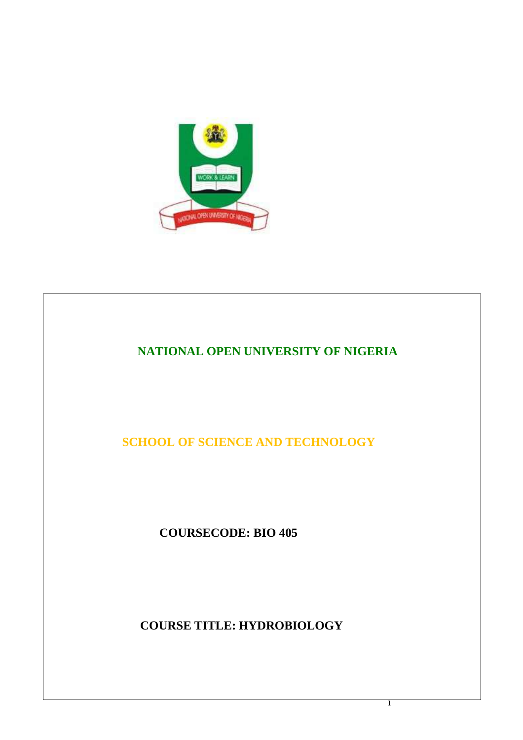

# **NATIONAL OPEN UNIVERSITY OF NIGERIA**

**SCHOOL OF SCIENCE AND TECHNOLOGY** 

**COURSECODE: BIO 405** 

**COURSE TITLE: HYDROBIOLOGY**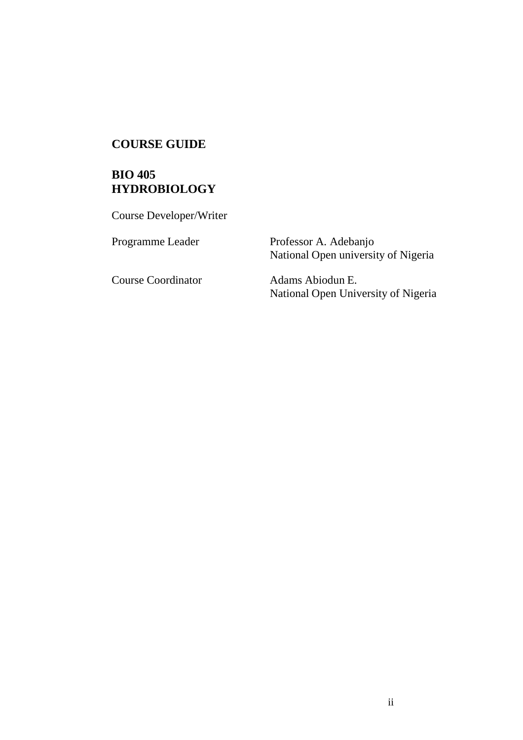# **COURSE GUIDE**

# **BIO 405 HYDROBIOLOGY**

Course Developer/Writer

Course Coordinator Adams Abiodun E.

Programme Leader Professor A. Adebanjo National Open university of Nigeria

National Open University of Nigeria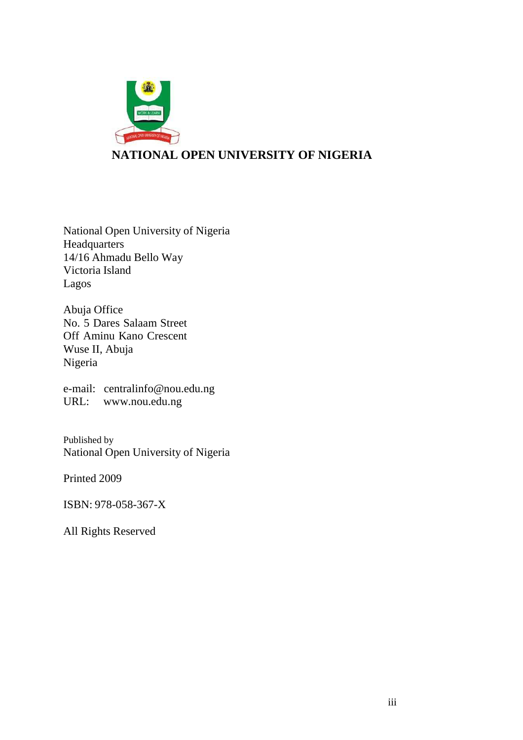

National Open University of Nigeria Headquarters 14/16 Ahmadu Bello Way Victoria Island Lagos

Abuja Office No. 5 Dares Salaam Street Off Aminu Kano Crescent Wuse II, Abuja Nigeria

e-mail: centralinfo@nou.edu.ng URL: www.nou.edu.ng

Published by National Open University of Nigeria

Printed 2009

ISBN: 978-058-367-X

All Rights Reserved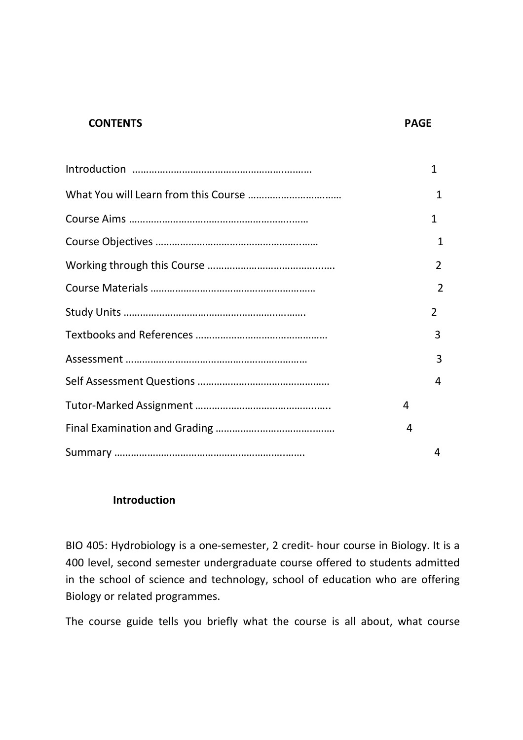### **CONTENTS PAGE**

|   | $\mathbf{1}$   |
|---|----------------|
|   | 1              |
|   | $\mathbf{1}$   |
|   | 1              |
|   | $\overline{2}$ |
|   | $\overline{2}$ |
|   | $\overline{2}$ |
|   | 3              |
|   | 3              |
|   | 4              |
| 4 |                |
| 4 |                |
|   | 4              |

#### **Introduction**

BIO 405: Hydrobiology is a one-semester, 2 credit- hour course in Biology. It is a 400 level, second semester undergraduate course offered to students admitted in the school of science and technology, school of education who are offering Biology or related programmes.

The course guide tells you briefly what the course is all about, what course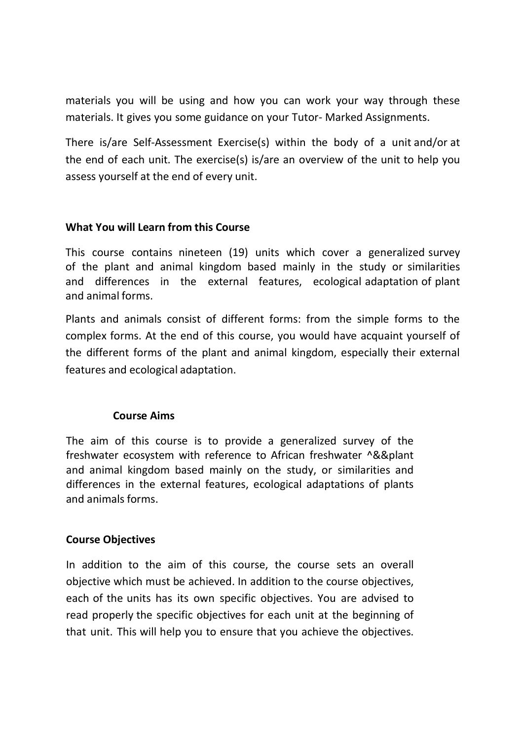materials you will be using and how you can work your way through these materials. It gives you some guidance on your Tutor- Marked Assignments.

There is/are Self-Assessment Exercise(s) within the body of a unit and/or at the end of each unit. The exercise(s) is/are an overview of the unit to help you assess yourself at the end of every unit.

### **What You will Learn from this Course**

This course contains nineteen (19) units which cover a generalized survey of the plant and animal kingdom based mainly in the study or similarities and differences in the external features, ecological adaptation of plant and animal forms.

Plants and animals consist of different forms: from the simple forms to the complex forms. At the end of this course, you would have acquaint yourself of the different forms of the plant and animal kingdom, especially their external features and ecological adaptation.

#### **Course Aims**

The aim of this course is to provide a generalized survey of the freshwater ecosystem with reference to African freshwater ^&&plant and animal kingdom based mainly on the study, or similarities and differences in the external features, ecological adaptations of plants and animals forms.

#### **Course Objectives**

In addition to the aim of this course, the course sets an overall objective which must be achieved. In addition to the course objectives, each of the units has its own specific objectives. You are advised to read properly the specific objectives for each unit at the beginning of that unit. This will help you to ensure that you achieve the objectives.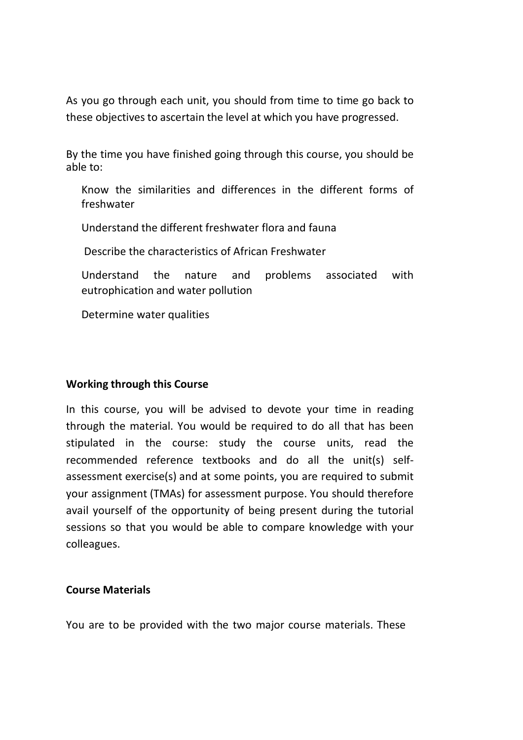As you go through each unit, you should from time to time go back to these objectives to ascertain the level at which you have progressed.

By the time you have finished going through this course, you should be able to:

Know the similarities and differences in the different forms of freshwater

Understand the different freshwater flora and fauna

Describe the characteristics of African Freshwater

Understand the nature and problems associated with eutrophication and water pollution

Determine water qualities

## **Working through this Course**

In this course, you will be advised to devote your time in reading through the material. You would be required to do all that has been stipulated in the course: study the course units, read the recommended reference textbooks and do all the unit(s) selfassessment exercise(s) and at some points, you are required to submit your assignment (TMAs) for assessment purpose. You should therefore avail yourself of the opportunity of being present during the tutorial sessions so that you would be able to compare knowledge with your colleagues.

#### **Course Materials**

You are to be provided with the two major course materials. These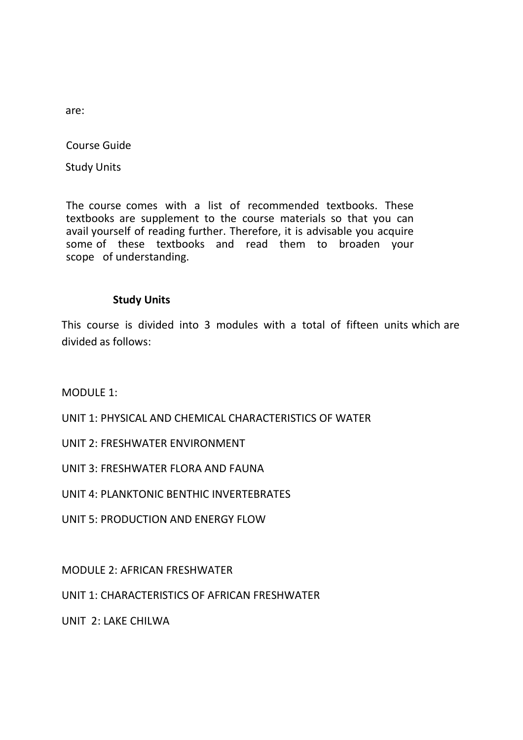are:

Course Guide

Study Units

The course comes with a list of recommended textbooks. These textbooks are supplement to the course materials so that you can avail yourself of reading further. Therefore, it is advisable you acquire some of these textbooks and read them to broaden your scope of understanding.

#### **Study Units**

This course is divided into 3 modules with a total of fifteen units which are divided as follows:

MODULE 1:

UNIT 1: PHYSICAL AND CHEMICAL CHARACTERISTICS OF WATER

UNIT 2: FRESHWATER ENVIRONMENT

UNIT 3: FRESHWATER FLORA AND FAUNA

UNIT 4: PLANKTONIC BENTHIC INVERTEBRATES

UNIT 5: PRODUCTION AND ENERGY FLOW

MODULE 2: AFRICAN FRESHWATER

UNIT 1: CHARACTERISTICS OF AFRICAN FRESHWATER

UNIT 2: LAKE CHILWA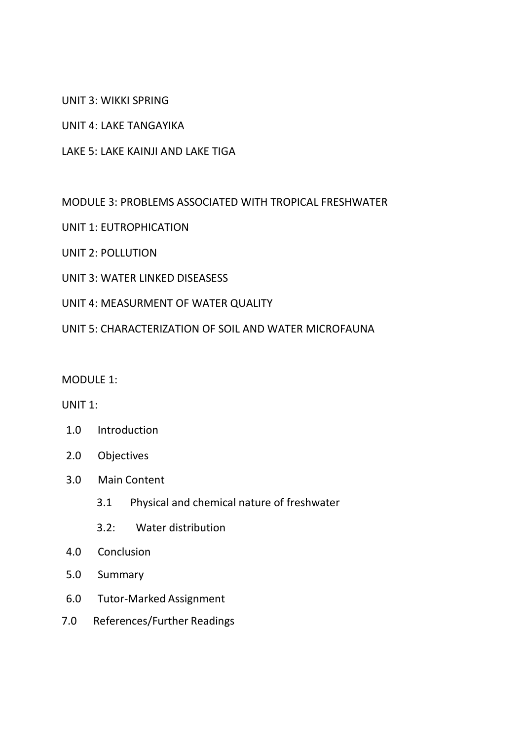UNIT 3: WIKKI SPRING

UNIT 4: LAKE TANGAYIKA

LAKE 5: LAKE KAINJI AND LAKE TIGA

MODULE 3: PROBLEMS ASSOCIATED WITH TROPICAL FRESHWATER

UNIT 1: EUTROPHICATION

UNIT 2: POLLUTION

- UNIT 3: WATER LINKED DISEASESS
- UNIT 4: MEASURMENT OF WATER QUALITY
- UNIT 5: CHARACTERIZATION OF SOIL AND WATER MICROFAUNA

#### MODULE 1:

#### UNIT 1:

- 1.0 Introduction
- 2.0 Objectives
- 3.0 Main Content
	- 3.1 Physical and chemical nature of freshwater
	- 3.2: Water distribution
- 4.0 Conclusion
- 5.0 Summary
- 6.0 Tutor-Marked Assignment
- 7.0 References/Further Readings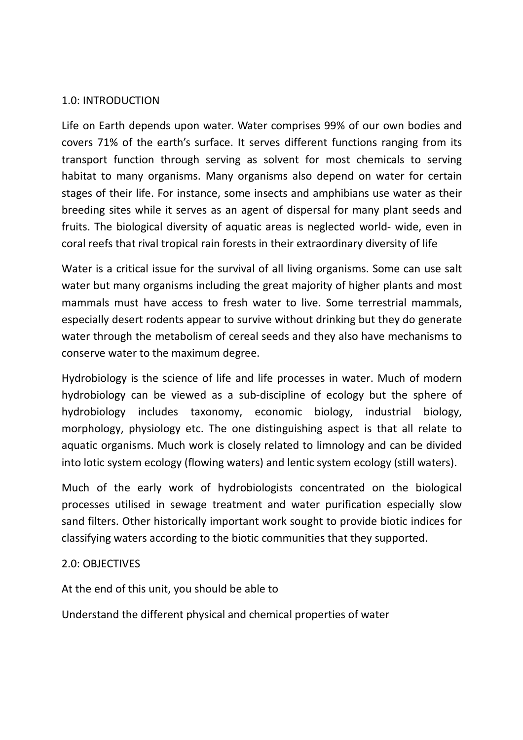#### 1.0: INTRODUCTION

Life on Earth depends upon water. Water comprises 99% of our own bodies and covers 71% of the earth's surface. It serves different functions ranging from its transport function through serving as solvent for most chemicals to serving habitat to many organisms. Many organisms also depend on water for certain stages of their life. For instance, some insects and amphibians use water as their breeding sites while it serves as an agent of dispersal for many plant seeds and fruits. The biological diversity of aquatic areas is neglected world- wide, even in coral reefs that rival tropical rain forests in their extraordinary diversity of life

Water is a critical issue for the survival of all living organisms. Some can use salt water but many organisms including the great majority of higher plants and most mammals must have access to fresh water to live. Some terrestrial mammals, especially desert rodents appear to survive without drinking but they do generate water through the metabolism of cereal seeds and they also have mechanisms to conserve water to the maximum degree.

Hydrobiology is the science of life and life processes in water. Much of modern hydrobiology can be viewed as a sub-discipline of ecology but the sphere of hydrobiology includes taxonomy, economic biology, industrial biology, morphology, physiology etc. The one distinguishing aspect is that all relate to aquatic organisms. Much work is closely related to limnology and can be divided into lotic system ecology (flowing waters) and lentic system ecology (still waters).

Much of the early work of hydrobiologists concentrated on the biological processes utilised in sewage treatment and water purification especially slow sand filters. Other historically important work sought to provide biotic indices for classifying waters according to the biotic communities that they supported.

## 2.0: OBJECTIVES

At the end of this unit, you should be able to

Understand the different physical and chemical properties of water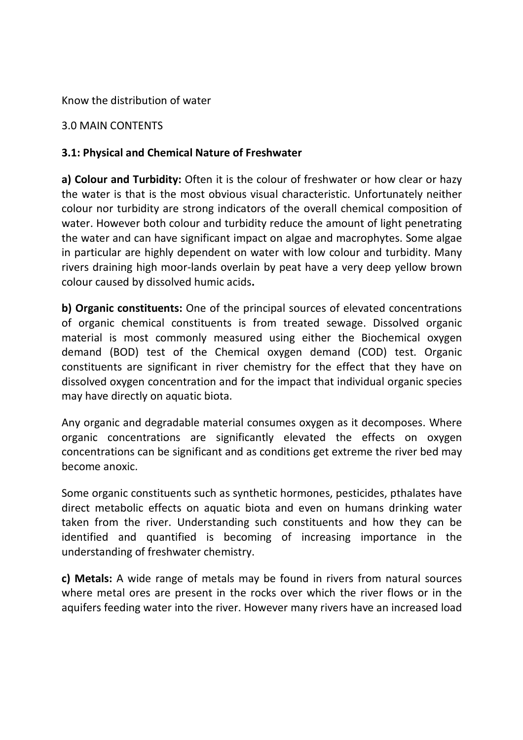Know the distribution of water

## 3.0 MAIN CONTENTS

### **3.1: Physical and Chemical Nature of Freshwater**

**a) Colour and Turbidity:** Often it is the colour of freshwater or how clear or hazy the water is that is the most obvious visual characteristic. Unfortunately neither colour nor turbidity are strong indicators of the overall chemical composition of water. However both colour and turbidity reduce the amount of light penetrating the water and can have significant impact on algae and macrophytes. Some algae in particular are highly dependent on water with low colour and turbidity. Many rivers draining high moor-lands overlain by peat have a very deep yellow brown colour caused by dissolved humic acids**.** 

**b) Organic constituents:** One of the principal sources of elevated concentrations of organic chemical constituents is from treated sewage. Dissolved organic material is most commonly measured using either the Biochemical oxygen demand (BOD) test of the Chemical oxygen demand (COD) test. Organic constituents are significant in river chemistry for the effect that they have on dissolved oxygen concentration and for the impact that individual organic species may have directly on aquatic biota.

Any organic and degradable material consumes oxygen as it decomposes. Where organic concentrations are significantly elevated the effects on oxygen concentrations can be significant and as conditions get extreme the river bed may become anoxic.

Some organic constituents such as synthetic hormones, pesticides, pthalates have direct metabolic effects on aquatic biota and even on humans drinking water taken from the river. Understanding such constituents and how they can be identified and quantified is becoming of increasing importance in the understanding of freshwater chemistry.

**c) Metals:** A wide range of metals may be found in rivers from natural sources where metal ores are present in the rocks over which the river flows or in the aquifers feeding water into the river. However many rivers have an increased load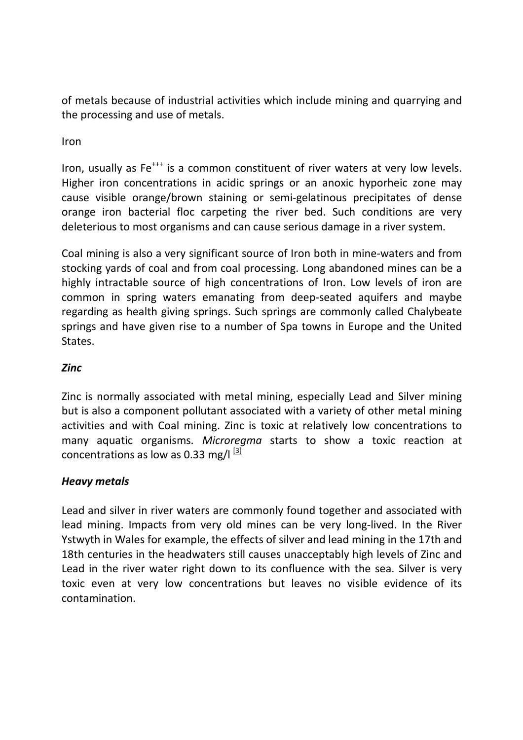of metals because of industrial activities which include mining and quarrying and the processing and use of metals.

Iron

Iron, usually as Fe<sup>+++</sup> is a common constituent of river waters at very low levels. Higher iron concentrations in acidic springs or an anoxic hyporheic zone may cause visible orange/brown staining or semi-gelatinous precipitates of dense orange iron bacterial floc carpeting the river bed. Such conditions are very deleterious to most organisms and can cause serious damage in a river system.

Coal mining is also a very significant source of Iron both in mine-waters and from stocking yards of coal and from coal processing. Long abandoned mines can be a highly intractable source of high concentrations of Iron. Low levels of iron are common in spring waters emanating from deep-seated aquifers and maybe regarding as health giving springs. Such springs are commonly called Chalybeate springs and have given rise to a number of Spa towns in Europe and the United States.

# *Zinc*

Zinc is normally associated with metal mining, especially Lead and Silver mining but is also a component pollutant associated with a variety of other metal mining activities and with Coal mining. Zinc is toxic at relatively low concentrations to many aquatic organisms. *Microregma* starts to show a toxic reaction at concentrations as low as 0.33 mg/l  $^{31}$ 

# *Heavy metals*

Lead and silver in river waters are commonly found together and associated with lead mining. Impacts from very old mines can be very long-lived. In the River Ystwyth in Wales for example, the effects of silver and lead mining in the 17th and 18th centuries in the headwaters still causes unacceptably high levels of Zinc and Lead in the river water right down to its confluence with the sea. Silver is very toxic even at very low concentrations but leaves no visible evidence of its contamination.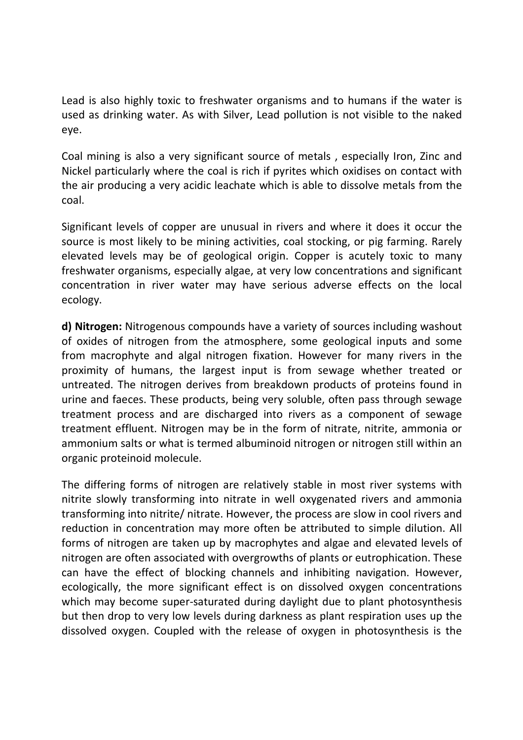Lead is also highly toxic to freshwater organisms and to humans if the water is used as drinking water. As with Silver, Lead pollution is not visible to the naked eye.

Coal mining is also a very significant source of metals , especially Iron, Zinc and Nickel particularly where the coal is rich if pyrites which oxidises on contact with the air producing a very acidic leachate which is able to dissolve metals from the coal.

Significant levels of copper are unusual in rivers and where it does it occur the source is most likely to be mining activities, coal stocking, or pig farming. Rarely elevated levels may be of geological origin. Copper is acutely toxic to many freshwater organisms, especially algae, at very low concentrations and significant concentration in river water may have serious adverse effects on the local ecology.

**d) Nitrogen:** Nitrogenous compounds have a variety of sources including washout of oxides of nitrogen from the atmosphere, some geological inputs and some from macrophyte and algal nitrogen fixation. However for many rivers in the proximity of humans, the largest input is from sewage whether treated or untreated. The nitrogen derives from breakdown products of proteins found in urine and faeces. These products, being very soluble, often pass through sewage treatment process and are discharged into rivers as a component of sewage treatment effluent. Nitrogen may be in the form of nitrate, nitrite, ammonia or ammonium salts or what is termed albuminoid nitrogen or nitrogen still within an organic proteinoid molecule.

The differing forms of nitrogen are relatively stable in most river systems with nitrite slowly transforming into nitrate in well oxygenated rivers and ammonia transforming into nitrite/ nitrate. However, the process are slow in cool rivers and reduction in concentration may more often be attributed to simple dilution. All forms of nitrogen are taken up by macrophytes and algae and elevated levels of nitrogen are often associated with overgrowths of plants or eutrophication. These can have the effect of blocking channels and inhibiting navigation. However, ecologically, the more significant effect is on dissolved oxygen concentrations which may become super-saturated during daylight due to plant photosynthesis but then drop to very low levels during darkness as plant respiration uses up the dissolved oxygen. Coupled with the release of oxygen in photosynthesis is the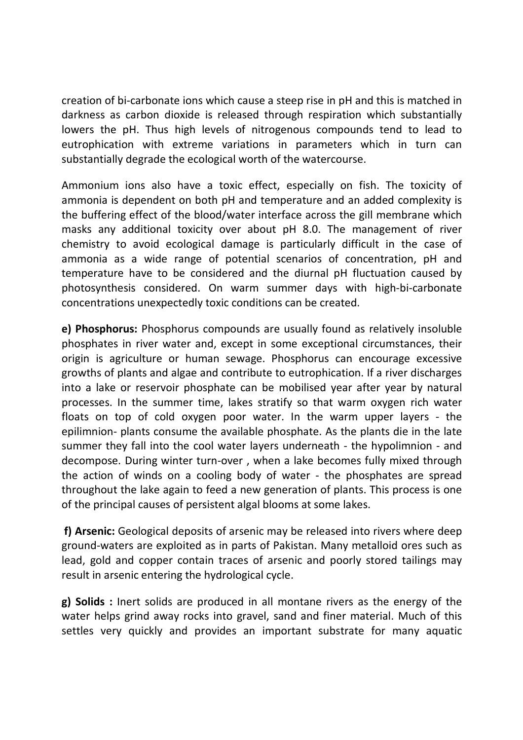creation of bi-carbonate ions which cause a steep rise in pH and this is matched in darkness as carbon dioxide is released through respiration which substantially lowers the pH. Thus high levels of nitrogenous compounds tend to lead to eutrophication with extreme variations in parameters which in turn can substantially degrade the ecological worth of the watercourse.

Ammonium ions also have a toxic effect, especially on fish. The toxicity of ammonia is dependent on both pH and temperature and an added complexity is the buffering effect of the blood/water interface across the gill membrane which masks any additional toxicity over about pH 8.0. The management of river chemistry to avoid ecological damage is particularly difficult in the case of ammonia as a wide range of potential scenarios of concentration, pH and temperature have to be considered and the diurnal pH fluctuation caused by photosynthesis considered. On warm summer days with high-bi-carbonate concentrations unexpectedly toxic conditions can be created.

**e) Phosphorus:** Phosphorus compounds are usually found as relatively insoluble phosphates in river water and, except in some exceptional circumstances, their origin is agriculture or human sewage. Phosphorus can encourage excessive growths of plants and algae and contribute to eutrophication. If a river discharges into a lake or reservoir phosphate can be mobilised year after year by natural processes. In the summer time, lakes stratify so that warm oxygen rich water floats on top of cold oxygen poor water. In the warm upper layers - the epilimnion- plants consume the available phosphate. As the plants die in the late summer they fall into the cool water layers underneath - the hypolimnion - and decompose. During winter turn-over , when a lake becomes fully mixed through the action of winds on a cooling body of water - the phosphates are spread throughout the lake again to feed a new generation of plants. This process is one of the principal causes of persistent algal blooms at some lakes.

 **f) Arsenic:** Geological deposits of arsenic may be released into rivers where deep ground-waters are exploited as in parts of Pakistan. Many metalloid ores such as lead, gold and copper contain traces of arsenic and poorly stored tailings may result in arsenic entering the hydrological cycle.

**g) Solids :** Inert solids are produced in all montane rivers as the energy of the water helps grind away rocks into gravel, sand and finer material. Much of this settles very quickly and provides an important substrate for many aquatic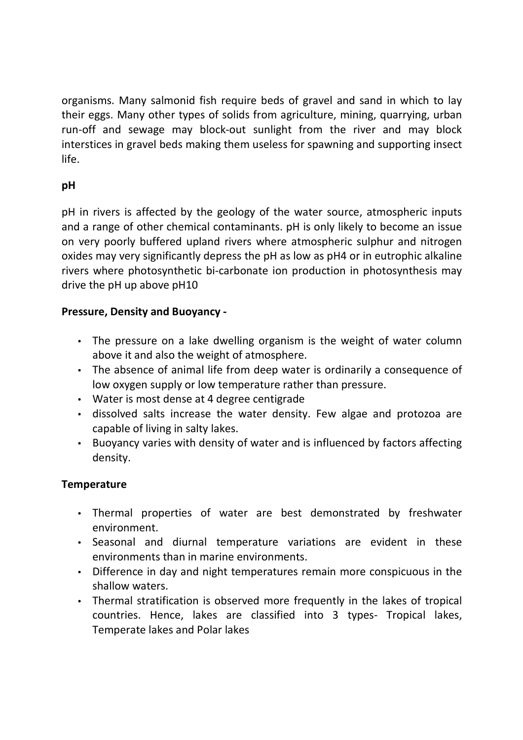organisms. Many salmonid fish require beds of gravel and sand in which to lay their eggs. Many other types of solids from agriculture, mining, quarrying, urban run-off and sewage may block-out sunlight from the river and may block interstices in gravel beds making them useless for spawning and supporting insect life.

## **pH**

pH in rivers is affected by the geology of the water source, atmospheric inputs and a range of other chemical contaminants. pH is only likely to become an issue on very poorly buffered upland rivers where atmospheric sulphur and nitrogen oxides may very significantly depress the pH as low as pH4 or in eutrophic alkaline rivers where photosynthetic bi-carbonate ion production in photosynthesis may drive the pH up above pH10

## **Pressure, Density and Buoyancy -**

- The pressure on a lake dwelling organism is the weight of water column above it and also the weight of atmosphere.
- The absence of animal life from deep water is ordinarily a consequence of low oxygen supply or low temperature rather than pressure.
- Water is most dense at 4 degree centigrade
- dissolved salts increase the water density. Few algae and protozoa are capable of living in salty lakes.
- Buoyancy varies with density of water and is influenced by factors affecting density.

# **Temperature**

- Thermal properties of water are best demonstrated by freshwater environment.
- Seasonal and diurnal temperature variations are evident in these environments than in marine environments.
- Difference in day and night temperatures remain more conspicuous in the shallow waters.
- Thermal stratification is observed more frequently in the lakes of tropical countries. Hence, lakes are classified into 3 types- Tropical lakes, Temperate lakes and Polar lakes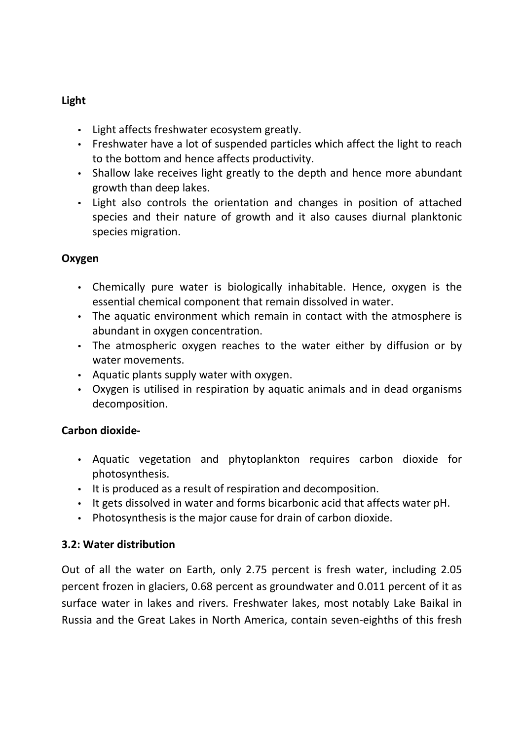## **Light**

- Light affects freshwater ecosystem greatly.
- Freshwater have a lot of suspended particles which affect the light to reach to the bottom and hence affects productivity.
- Shallow lake receives light greatly to the depth and hence more abundant growth than deep lakes.
- Light also controls the orientation and changes in position of attached species and their nature of growth and it also causes diurnal planktonic species migration.

## **Oxygen**

- Chemically pure water is biologically inhabitable. Hence, oxygen is the essential chemical component that remain dissolved in water.
- The aquatic environment which remain in contact with the atmosphere is abundant in oxygen concentration.
- The atmospheric oxygen reaches to the water either by diffusion or by water movements.
- Aquatic plants supply water with oxygen.
- Oxygen is utilised in respiration by aquatic animals and in dead organisms decomposition.

## **Carbon dioxide-**

- Aquatic vegetation and phytoplankton requires carbon dioxide for photosynthesis.
- It is produced as a result of respiration and decomposition.
- It gets dissolved in water and forms bicarbonic acid that affects water pH.
- Photosynthesis is the major cause for drain of carbon dioxide.

## **3.2: Water distribution**

Out of all the water on Earth, only 2.75 percent is fresh water, including 2.05 percent frozen in glaciers, 0.68 percent as groundwater and 0.011 percent of it as surface water in lakes and rivers. Freshwater lakes, most notably Lake Baikal in Russia and the Great Lakes in North America, contain seven-eighths of this fresh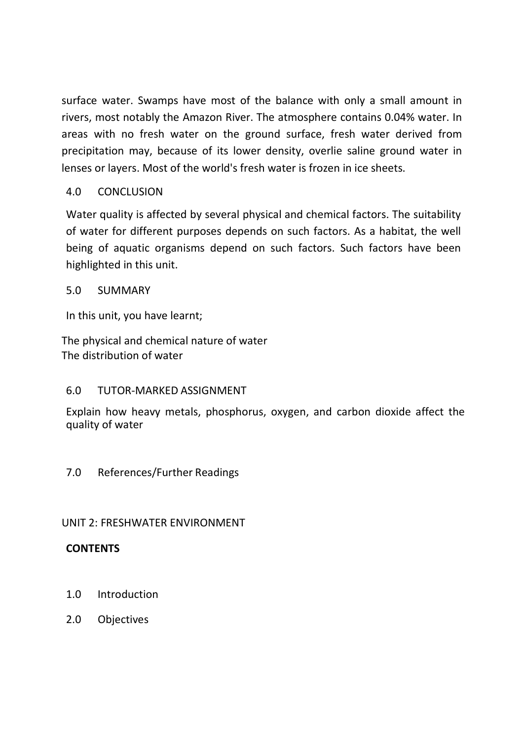surface water. Swamps have most of the balance with only a small amount in rivers, most notably the Amazon River. The atmosphere contains 0.04% water. In areas with no fresh water on the ground surface, fresh water derived from precipitation may, because of its lower density, overlie saline ground water in lenses or layers. Most of the world's fresh water is frozen in ice sheets.

## 4.0 CONCLUSION

Water quality is affected by several physical and chemical factors. The suitability of water for different purposes depends on such factors. As a habitat, the well being of aquatic organisms depend on such factors. Such factors have been highlighted in this unit.

## 5.0 SUMMARY

In this unit, you have learnt;

The physical and chemical nature of water The distribution of water

## 6.0 TUTOR-MARKED ASSIGNMENT

Explain how heavy metals, phosphorus, oxygen, and carbon dioxide affect the quality of water

7.0 References/Further Readings

## UNIT 2: FRESHWATER ENVIRONMENT

## **CONTENTS**

- 1.0 Introduction
- 2.0 Objectives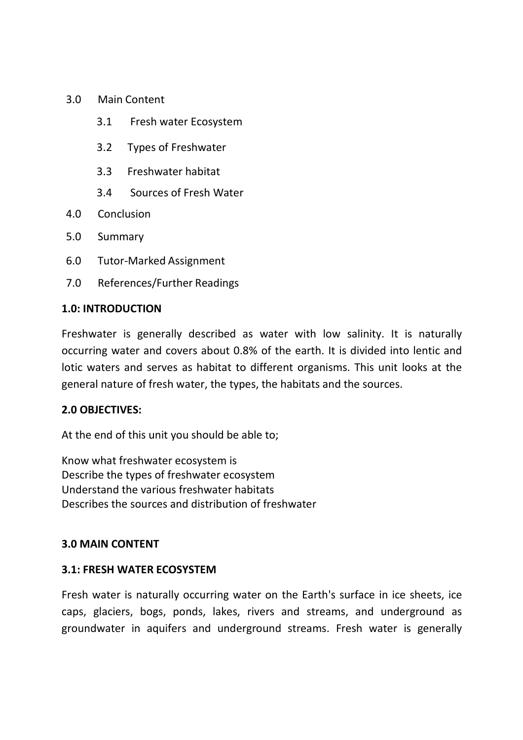- 3.0 Main Content
	- 3.1 Fresh water Ecosystem
	- 3.2 Types of Freshwater
	- 3.3 Freshwater habitat
	- 3.4 Sources of Fresh Water
- 4.0 Conclusion
- 5.0 Summary
- 6.0 Tutor-Marked Assignment
- 7.0 References/Further Readings

### **1.0: INTRODUCTION**

Freshwater is generally described as water with low salinity. It is naturally occurring water and covers about 0.8% of the earth. It is divided into lentic and lotic waters and serves as habitat to different organisms. This unit looks at the general nature of fresh water, the types, the habitats and the sources.

## **2.0 OBJECTIVES:**

At the end of this unit you should be able to;

Know what freshwater ecosystem is Describe the types of freshwater ecosystem Understand the various freshwater habitats Describes the sources and distribution of freshwater

#### **3.0 MAIN CONTENT**

#### **3.1: FRESH WATER ECOSYSTEM**

Fresh water is naturally occurring water on the Earth's surface in ice sheets, ice caps, glaciers, bogs, ponds, lakes, rivers and streams, and underground as groundwater in aquifers and underground streams. Fresh water is generally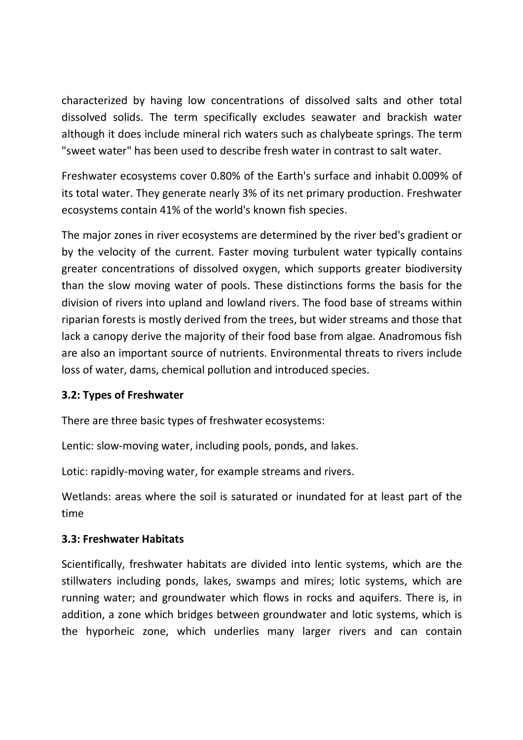characterized by having low concentrations of dissolved salts and other total dissolved solids. The term specifically excludes seawater and brackish water although it does include mineral rich waters such as chalybeate springs. The term "sweet water" has been used to describe fresh water in contrast to salt water.

Freshwater ecosystems cover 0.80% of the Earth's surface and inhabit 0.009% of its total water. They generate nearly 3% of its net primary production. Freshwater ecosystems contain 41% of the world's known fish species.

The major zones in river ecosystems are determined by the river bed's gradient or by the velocity of the current. Faster moving turbulent water typically contains greater concentrations of dissolved oxygen, which supports greater biodiversity than the slow moving water of pools. These distinctions forms the basis for the division of rivers into upland and lowland rivers. The food base of streams within riparian forests is mostly derived from the trees, but wider streams and those that lack a canopy derive the majority of their food base from algae. Anadromous fish are also an important source of nutrients. Environmental threats to rivers include loss of water, dams, chemical pollution and introduced species.

## **3.2: Types of Freshwater**

There are three basic types of freshwater ecosystems:

Lentic: slow-moving water, including pools, ponds, and lakes.

Lotic: rapidly-moving water, for example streams and rivers.

Wetlands: areas where the soil is saturated or inundated for at least part of the time

## **3.3: Freshwater Habitats**

Scientifically, freshwater habitats are divided into lentic systems, which are the stillwaters including ponds, lakes, swamps and mires; lotic systems, which are running water; and groundwater which flows in rocks and aquifers. There is, in addition, a zone which bridges between groundwater and lotic systems, which is the hyporheic zone, which underlies many larger rivers and can contain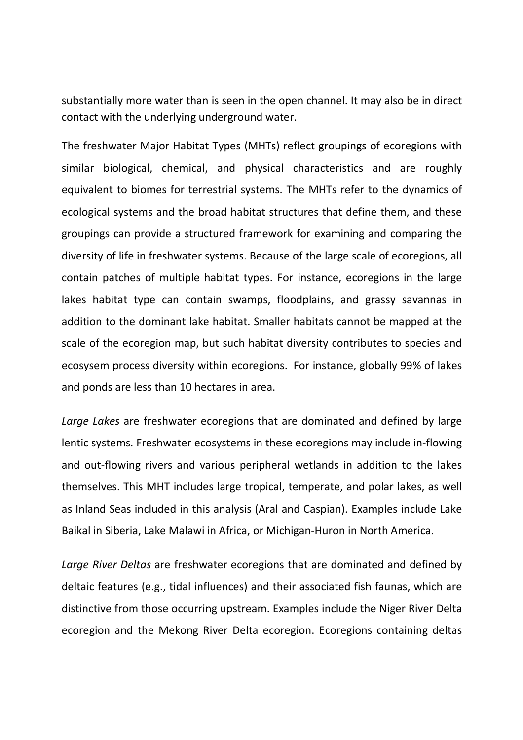substantially more water than is seen in the open channel. It may also be in direct contact with the underlying underground water.

The freshwater Major Habitat Types (MHTs) reflect groupings of ecoregions with similar biological, chemical, and physical characteristics and are roughly equivalent to biomes for terrestrial systems. The MHTs refer to the dynamics of ecological systems and the broad habitat structures that define them, and these groupings can provide a structured framework for examining and comparing the diversity of life in freshwater systems. Because of the large scale of ecoregions, all contain patches of multiple habitat types. For instance, ecoregions in the large lakes habitat type can contain swamps, floodplains, and grassy savannas in addition to the dominant lake habitat. Smaller habitats cannot be mapped at the scale of the ecoregion map, but such habitat diversity contributes to species and ecosysem process diversity within ecoregions. For instance, globally 99% of lakes and ponds are less than 10 hectares in area.

*Large Lakes* are freshwater ecoregions that are dominated and defined by large lentic systems. Freshwater ecosystems in these ecoregions may include in-flowing and out-flowing rivers and various peripheral wetlands in addition to the lakes themselves. This MHT includes large tropical, temperate, and polar lakes, as well as Inland Seas included in this analysis (Aral and Caspian). Examples include Lake Baikal in Siberia, Lake Malawi in Africa, or Michigan-Huron in North America.

*Large River Deltas* are freshwater ecoregions that are dominated and defined by deltaic features (e.g., tidal influences) and their associated fish faunas, which are distinctive from those occurring upstream. Examples include the Niger River Delta ecoregion and the Mekong River Delta ecoregion. Ecoregions containing deltas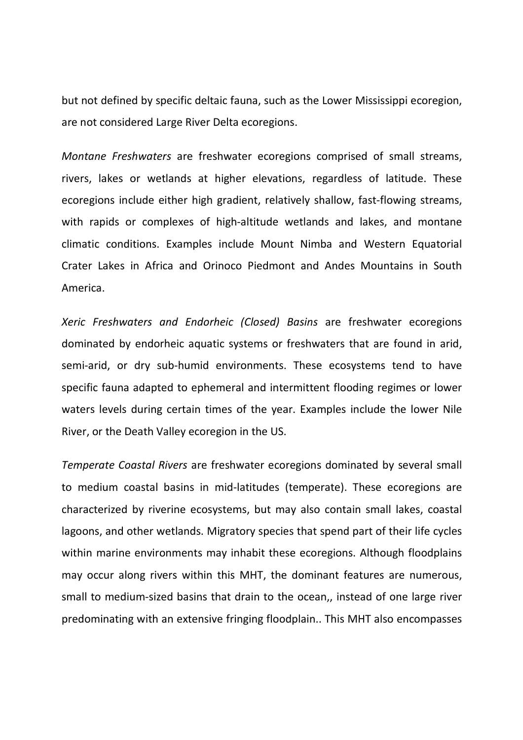but not defined by specific deltaic fauna, such as the Lower Mississippi ecoregion, are not considered Large River Delta ecoregions.

*Montane Freshwaters* are freshwater ecoregions comprised of small streams, rivers, lakes or wetlands at higher elevations, regardless of latitude. These ecoregions include either high gradient, relatively shallow, fast-flowing streams, with rapids or complexes of high-altitude wetlands and lakes, and montane climatic conditions. Examples include Mount Nimba and Western Equatorial Crater Lakes in Africa and Orinoco Piedmont and Andes Mountains in South America.

*Xeric Freshwaters and Endorheic (Closed) Basins* are freshwater ecoregions dominated by endorheic aquatic systems or freshwaters that are found in arid, semi-arid, or dry sub-humid environments. These ecosystems tend to have specific fauna adapted to ephemeral and intermittent flooding regimes or lower waters levels during certain times of the year. Examples include the lower Nile River, or the Death Valley ecoregion in the US.

*Temperate Coastal Rivers* are freshwater ecoregions dominated by several small to medium coastal basins in mid-latitudes (temperate). These ecoregions are characterized by riverine ecosystems, but may also contain small lakes, coastal lagoons, and other wetlands. Migratory species that spend part of their life cycles within marine environments may inhabit these ecoregions. Although floodplains may occur along rivers within this MHT, the dominant features are numerous, small to medium-sized basins that drain to the ocean,, instead of one large river predominating with an extensive fringing floodplain.. This MHT also encompasses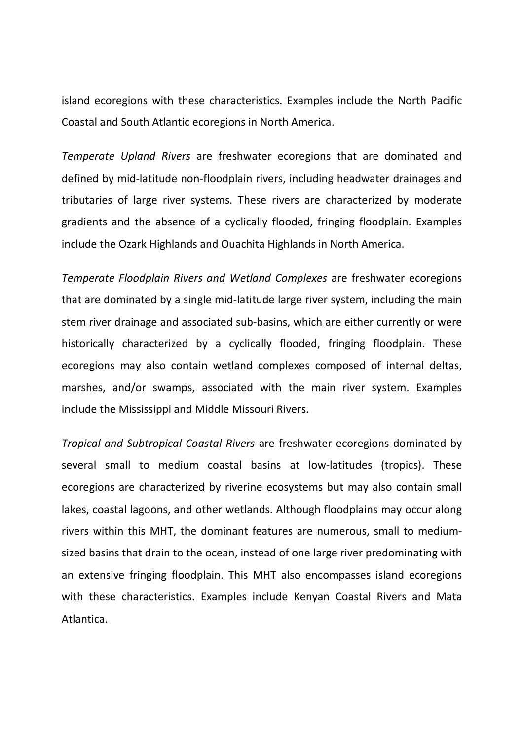island ecoregions with these characteristics. Examples include the North Pacific Coastal and South Atlantic ecoregions in North America.

*Temperate Upland Rivers* are freshwater ecoregions that are dominated and defined by mid-latitude non-floodplain rivers, including headwater drainages and tributaries of large river systems. These rivers are characterized by moderate gradients and the absence of a cyclically flooded, fringing floodplain. Examples include the Ozark Highlands and Ouachita Highlands in North America.

*Temperate Floodplain Rivers and Wetland Complexes* are freshwater ecoregions that are dominated by a single mid-latitude large river system, including the main stem river drainage and associated sub-basins, which are either currently or were historically characterized by a cyclically flooded, fringing floodplain. These ecoregions may also contain wetland complexes composed of internal deltas, marshes, and/or swamps, associated with the main river system. Examples include the Mississippi and Middle Missouri Rivers.

*Tropical and Subtropical Coastal Rivers* are freshwater ecoregions dominated by several small to medium coastal basins at low-latitudes (tropics). These ecoregions are characterized by riverine ecosystems but may also contain small lakes, coastal lagoons, and other wetlands. Although floodplains may occur along rivers within this MHT, the dominant features are numerous, small to mediumsized basins that drain to the ocean, instead of one large river predominating with an extensive fringing floodplain. This MHT also encompasses island ecoregions with these characteristics. Examples include Kenyan Coastal Rivers and Mata Atlantica.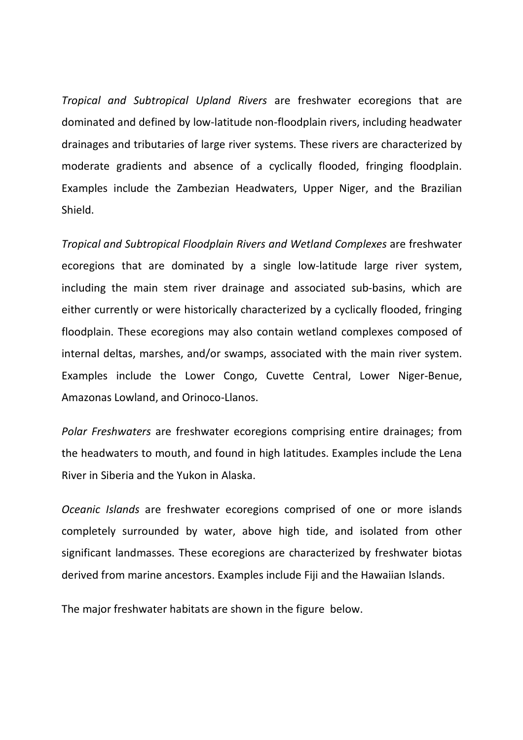*Tropical and Subtropical Upland Rivers* are freshwater ecoregions that are dominated and defined by low-latitude non-floodplain rivers, including headwater drainages and tributaries of large river systems. These rivers are characterized by moderate gradients and absence of a cyclically flooded, fringing floodplain. Examples include the Zambezian Headwaters, Upper Niger, and the Brazilian Shield.

*Tropical and Subtropical Floodplain Rivers and Wetland Complexes* are freshwater ecoregions that are dominated by a single low-latitude large river system, including the main stem river drainage and associated sub-basins, which are either currently or were historically characterized by a cyclically flooded, fringing floodplain. These ecoregions may also contain wetland complexes composed of internal deltas, marshes, and/or swamps, associated with the main river system. Examples include the Lower Congo, Cuvette Central, Lower Niger-Benue, Amazonas Lowland, and Orinoco-Llanos.

*Polar Freshwaters* are freshwater ecoregions comprising entire drainages; from the headwaters to mouth, and found in high latitudes. Examples include the Lena River in Siberia and the Yukon in Alaska.

*Oceanic Islands* are freshwater ecoregions comprised of one or more islands completely surrounded by water, above high tide, and isolated from other significant landmasses. These ecoregions are characterized by freshwater biotas derived from marine ancestors. Examples include Fiji and the Hawaiian Islands.

The major freshwater habitats are shown in the figure below.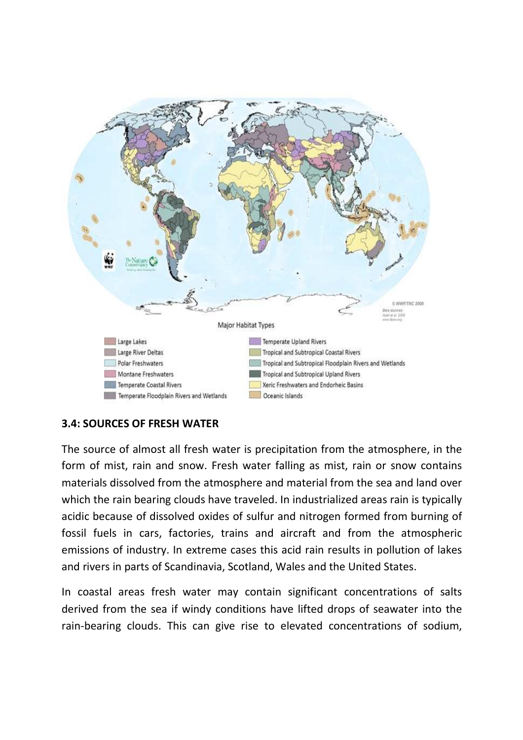

## **3.4: SOURCES OF FRESH WATER**

The source of almost all fresh water is precipitation from the atmosphere, in the form of mist, rain and snow. Fresh water falling as mist, rain or snow contains materials dissolved from the atmosphere and material from the sea and land over which the rain bearing clouds have traveled. In industrialized areas rain is typically acidic because of dissolved oxides of sulfur and nitrogen formed from burning of fossil fuels in cars, factories, trains and aircraft and from the atmospheric emissions of industry. In extreme cases this acid rain results in pollution of lakes and rivers in parts of Scandinavia, Scotland, Wales and the United States.

In coastal areas fresh water may contain significant concentrations of salts derived from the sea if windy conditions have lifted drops of seawater into the rain-bearing clouds. This can give rise to elevated concentrations of sodium,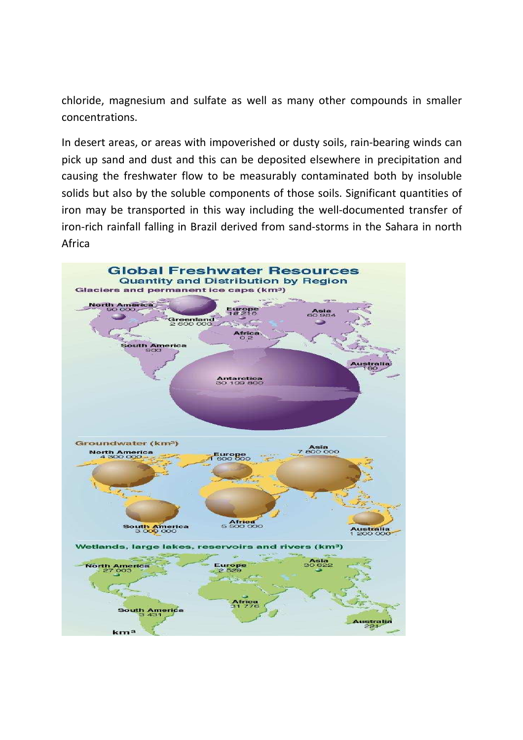chloride, magnesium and sulfate as well as many other compounds in smaller concentrations.

In desert areas, or areas with impoverished or dusty soils, rain-bearing winds can pick up sand and dust and this can be deposited elsewhere in precipitation and causing the freshwater flow to be measurably contaminated both by insoluble solids but also by the soluble components of those soils. Significant quantities of iron may be transported in this way including the well-documented transfer of iron-rich rainfall falling in Brazil derived from sand-storms in the Sahara in north Africa

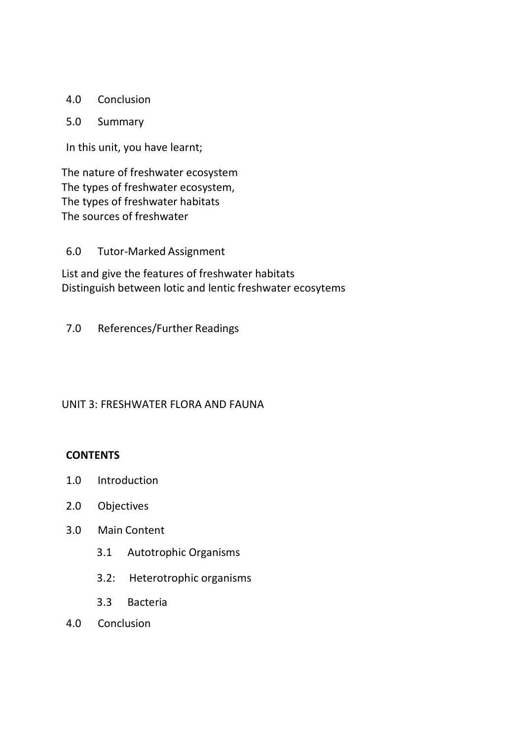- 4.0 Conclusion
- 5.0 Summary

In this unit, you have learnt;

The nature of freshwater ecosystem The types of freshwater ecosystem, The types of freshwater habitats The sources of freshwater

6.0 Tutor-Marked Assignment

List and give the features of freshwater habitats Distinguish between lotic and lentic freshwater ecosytems

7.0 References/Further Readings

#### UNIT 3: FRESHWATER FLORA AND FAUNA

#### **CONTENTS**

- 1.0 Introduction
- 2.0 Objectives
- 3.0 Main Content
	- 3.1 Autotrophic Organisms
	- 3.2: Heterotrophic organisms
	- 3.3 Bacteria
- 4.0 Conclusion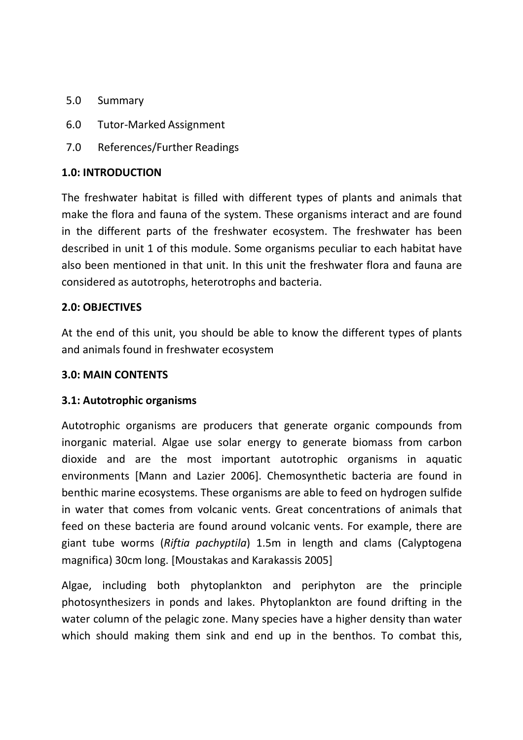- 5.0 Summary
- 6.0 Tutor-Marked Assignment
- 7.0 References/Further Readings

#### **1.0: INTRODUCTION**

The freshwater habitat is filled with different types of plants and animals that make the flora and fauna of the system. These organisms interact and are found in the different parts of the freshwater ecosystem. The freshwater has been described in unit 1 of this module. Some organisms peculiar to each habitat have also been mentioned in that unit. In this unit the freshwater flora and fauna are considered as autotrophs, heterotrophs and bacteria.

### **2.0: OBJECTIVES**

At the end of this unit, you should be able to know the different types of plants and animals found in freshwater ecosystem

#### **3.0: MAIN CONTENTS**

#### **3.1: Autotrophic organisms**

Autotrophic organisms are producers that generate organic compounds from inorganic material. Algae use solar energy to generate biomass from carbon dioxide and are the most important autotrophic organisms in aquatic environments [Mann and Lazier 2006]. Chemosynthetic bacteria are found in benthic marine ecosystems. These organisms are able to feed on hydrogen sulfide in water that comes from volcanic vents. Great concentrations of animals that feed on these bacteria are found around volcanic vents. For example, there are giant tube worms (*Riftia pachyptila*) 1.5m in length and clams (Calyptogena magnifica) 30cm long. [Moustakas and Karakassis 2005]

Algae, including both phytoplankton and periphyton are the principle photosynthesizers in ponds and lakes. Phytoplankton are found drifting in the water column of the pelagic zone. Many species have a higher density than water which should making them sink and end up in the benthos. To combat this,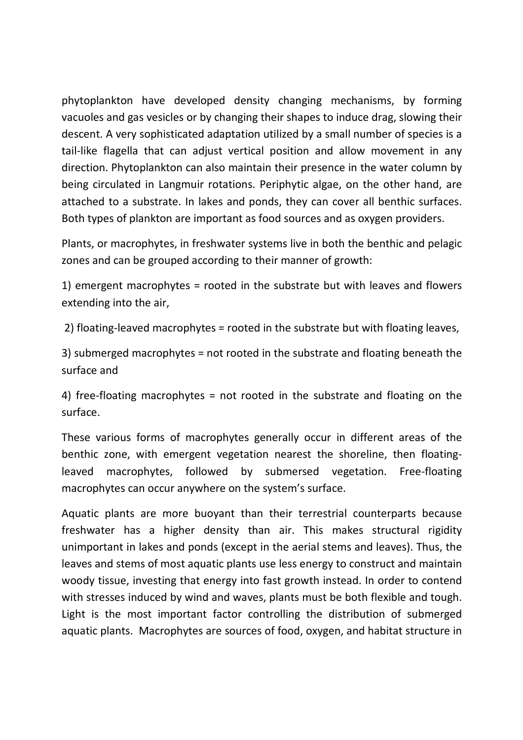phytoplankton have developed density changing mechanisms, by forming vacuoles and gas vesicles or by changing their shapes to induce drag, slowing their descent. A very sophisticated adaptation utilized by a small number of species is a tail-like flagella that can adjust vertical position and allow movement in any direction. Phytoplankton can also maintain their presence in the water column by being circulated in Langmuir rotations. Periphytic algae, on the other hand, are attached to a substrate. In lakes and ponds, they can cover all benthic surfaces. Both types of plankton are important as food sources and as oxygen providers.

Plants, or macrophytes, in freshwater systems live in both the benthic and pelagic zones and can be grouped according to their manner of growth:

1) emergent macrophytes = rooted in the substrate but with leaves and flowers extending into the air,

2) floating-leaved macrophytes = rooted in the substrate but with floating leaves,

3) submerged macrophytes = not rooted in the substrate and floating beneath the surface and

4) free-floating macrophytes = not rooted in the substrate and floating on the surface.

These various forms of macrophytes generally occur in different areas of the benthic zone, with emergent vegetation nearest the shoreline, then floatingleaved macrophytes, followed by submersed vegetation. Free-floating macrophytes can occur anywhere on the system's surface.

Aquatic plants are more buoyant than their terrestrial counterparts because freshwater has a higher density than air. This makes structural rigidity unimportant in lakes and ponds (except in the aerial stems and leaves). Thus, the leaves and stems of most aquatic plants use less energy to construct and maintain woody tissue, investing that energy into fast growth instead. In order to contend with stresses induced by wind and waves, plants must be both flexible and tough. Light is the most important factor controlling the distribution of submerged aquatic plants. Macrophytes are sources of food, oxygen, and habitat structure in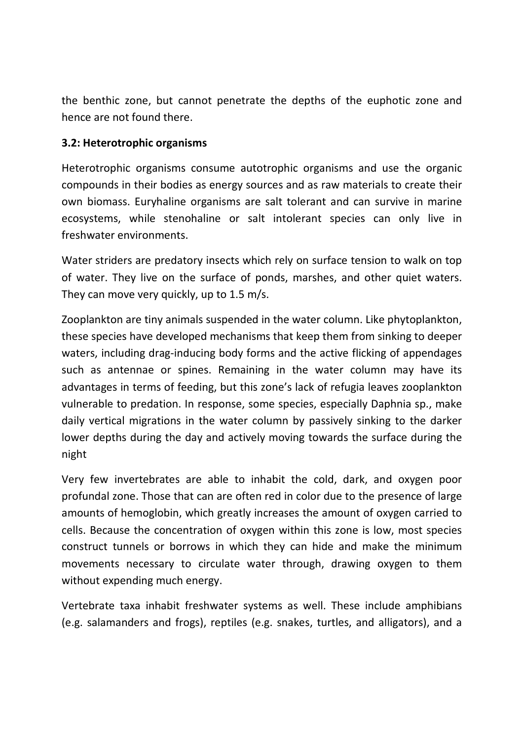the benthic zone, but cannot penetrate the depths of the euphotic zone and hence are not found there.

## **3.2: Heterotrophic organisms**

Heterotrophic organisms consume autotrophic organisms and use the organic compounds in their bodies as energy sources and as raw materials to create their own biomass. Euryhaline organisms are salt tolerant and can survive in marine ecosystems, while stenohaline or salt intolerant species can only live in freshwater environments.

Water striders are predatory insects which rely on surface tension to walk on top of water. They live on the surface of ponds, marshes, and other quiet waters. They can move very quickly, up to 1.5 m/s.

Zooplankton are tiny animals suspended in the water column. Like phytoplankton, these species have developed mechanisms that keep them from sinking to deeper waters, including drag-inducing body forms and the active flicking of appendages such as antennae or spines. Remaining in the water column may have its advantages in terms of feeding, but this zone's lack of refugia leaves zooplankton vulnerable to predation. In response, some species, especially Daphnia sp., make daily vertical migrations in the water column by passively sinking to the darker lower depths during the day and actively moving towards the surface during the night

Very few invertebrates are able to inhabit the cold, dark, and oxygen poor profundal zone. Those that can are often red in color due to the presence of large amounts of hemoglobin, which greatly increases the amount of oxygen carried to cells. Because the concentration of oxygen within this zone is low, most species construct tunnels or borrows in which they can hide and make the minimum movements necessary to circulate water through, drawing oxygen to them without expending much energy.

Vertebrate taxa inhabit freshwater systems as well. These include amphibians (e.g. salamanders and frogs), reptiles (e.g. snakes, turtles, and alligators), and a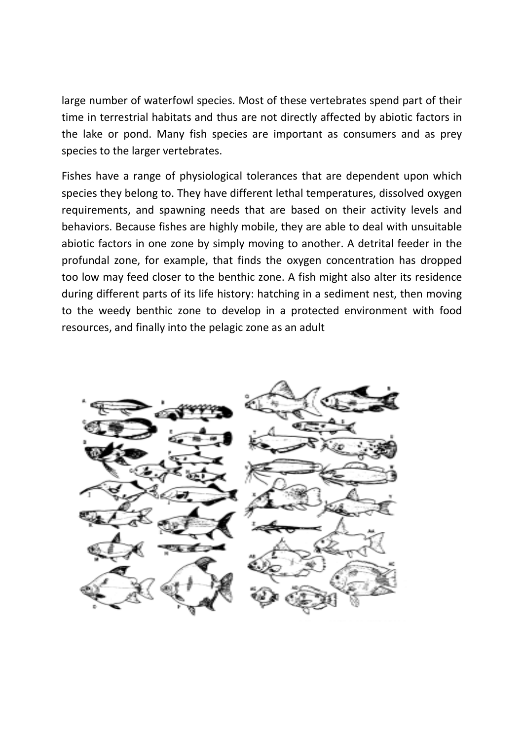large number of waterfowl species. Most of these vertebrates spend part of their time in terrestrial habitats and thus are not directly affected by abiotic factors in the lake or pond. Many fish species are important as consumers and as prey species to the larger vertebrates.

Fishes have a range of physiological tolerances that are dependent upon which species they belong to. They have different lethal temperatures, dissolved oxygen requirements, and spawning needs that are based on their activity levels and behaviors. Because fishes are highly mobile, they are able to deal with unsuitable abiotic factors in one zone by simply moving to another. A detrital feeder in the profundal zone, for example, that finds the oxygen concentration has dropped too low may feed closer to the benthic zone. A fish might also alter its residence during different parts of its life history: hatching in a sediment nest, then moving to the weedy benthic zone to develop in a protected environment with food resources, and finally into the pelagic zone as an adult

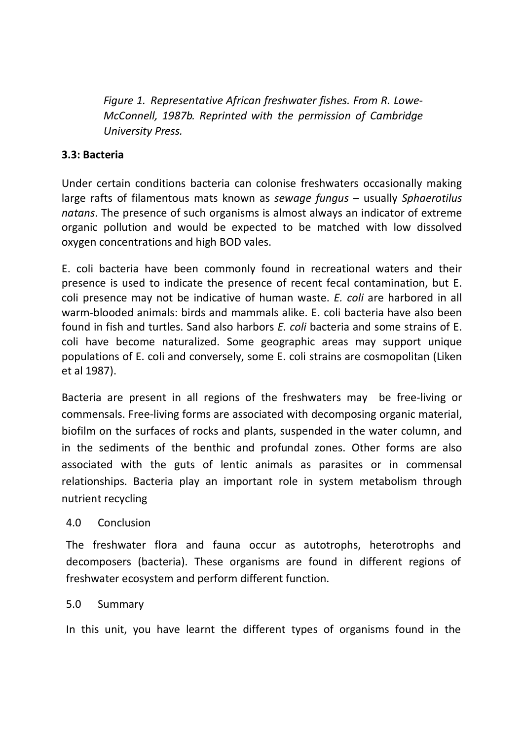*Figure 1. Representative African freshwater fishes. From R. Lowe-McConnell, 1987b. Reprinted with the permission of Cambridge University Press.*

## **3.3: Bacteria**

Under certain conditions bacteria can colonise freshwaters occasionally making large rafts of filamentous mats known as *sewage fungus* – usually *Sphaerotilus natans*. The presence of such organisms is almost always an indicator of extreme organic pollution and would be expected to be matched with low dissolved oxygen concentrations and high BOD vales.

E. coli bacteria have been commonly found in recreational waters and their presence is used to indicate the presence of recent fecal contamination, but E. coli presence may not be indicative of human waste. *E. coli* are harbored in all warm-blooded animals: birds and mammals alike. E. coli bacteria have also been found in fish and turtles. Sand also harbors *E. coli* bacteria and some strains of E. coli have become naturalized. Some geographic areas may support unique populations of E. coli and conversely, some E. coli strains are cosmopolitan (Liken et al 1987).

Bacteria are present in all regions of the freshwaters may be free-living or commensals. Free-living forms are associated with decomposing organic material, biofilm on the surfaces of rocks and plants, suspended in the water column, and in the sediments of the benthic and profundal zones. Other forms are also associated with the guts of lentic animals as parasites or in commensal relationships. Bacteria play an important role in system metabolism through nutrient recycling

#### 4.0 Conclusion

The freshwater flora and fauna occur as autotrophs, heterotrophs and decomposers (bacteria). These organisms are found in different regions of freshwater ecosystem and perform different function.

#### 5.0 Summary

In this unit, you have learnt the different types of organisms found in the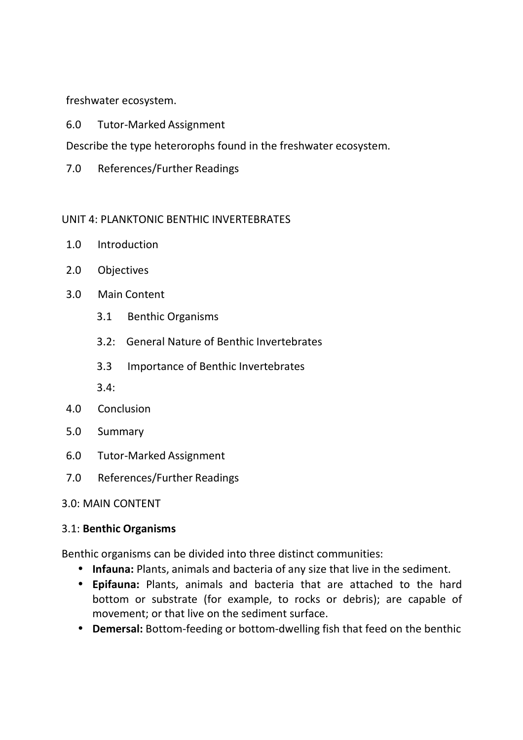freshwater ecosystem.

6.0 Tutor-Marked Assignment

Describe the type heterorophs found in the freshwater ecosystem.

7.0 References/Further Readings

### UNIT 4: PLANKTONIC BENTHIC INVERTEBRATES

- 1.0 Introduction
- 2.0 Objectives
- 3.0 Main Content
	- 3.1 Benthic Organisms
	- 3.2: General Nature of Benthic Invertebrates
	- 3.3 Importance of Benthic Invertebrates
	- 3.4:
- 4.0 Conclusion
- 5.0 Summary
- 6.0 Tutor-Marked Assignment
- 7.0 References/Further Readings

#### 3.0: MAIN CONTENT

#### 3.1: **Benthic Organisms**

Benthic organisms can be divided into three distinct communities:

- **Infauna:** Plants, animals and bacteria of any size that live in the sediment.
- **Epifauna:** Plants, animals and bacteria that are attached to the hard bottom or substrate (for example, to rocks or debris); are capable of movement; or that live on the sediment surface.
- **Demersal:** Bottom-feeding or bottom-dwelling fish that feed on the benthic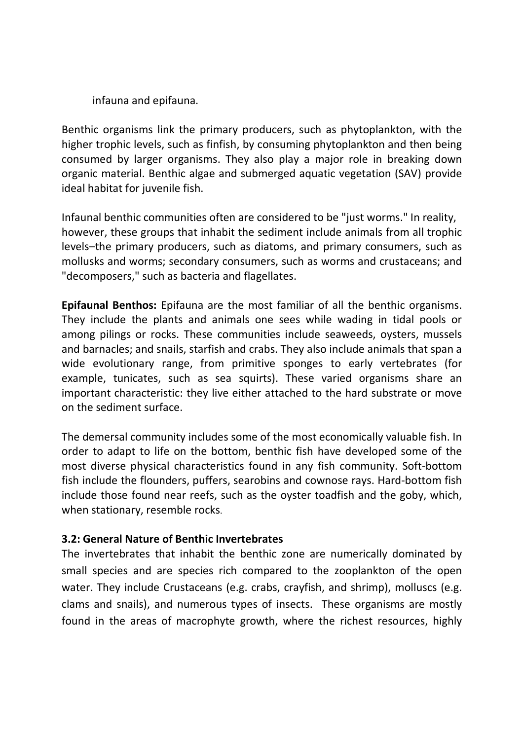infauna and epifauna.

Benthic organisms link the primary producers, such as phytoplankton, with the higher trophic levels, such as finfish, by consuming phytoplankton and then being consumed by larger organisms. They also play a major role in breaking down organic material. Benthic algae and submerged aquatic vegetation (SAV) provide ideal habitat for juvenile fish.

Infaunal benthic communities often are considered to be "just worms." In reality, however, these groups that inhabit the sediment include animals from all trophic levels–the primary producers, such as diatoms, and primary consumers, such as mollusks and worms; secondary consumers, such as worms and crustaceans; and "decomposers," such as bacteria and flagellates.

**Epifaunal Benthos:** Epifauna are the most familiar of all the benthic organisms. They include the plants and animals one sees while wading in tidal pools or among pilings or rocks. These communities include seaweeds, oysters, mussels and barnacles; and snails, starfish and crabs. They also include animals that span a wide evolutionary range, from primitive sponges to early vertebrates (for example, tunicates, such as sea squirts). These varied organisms share an important characteristic: they live either attached to the hard substrate or move on the sediment surface.

The demersal community includes some of the most economically valuable fish. In order to adapt to life on the bottom, benthic fish have developed some of the most diverse physical characteristics found in any fish community. Soft-bottom fish include the flounders, puffers, searobins and cownose rays. Hard-bottom fish include those found near reefs, such as the oyster toadfish and the goby, which, when stationary, resemble rocks.

## **3.2: General Nature of Benthic Invertebrates**

The invertebrates that inhabit the benthic zone are numerically dominated by small species and are species rich compared to the zooplankton of the open water. They include Crustaceans (e.g. crabs, crayfish, and shrimp), molluscs (e.g. clams and snails), and numerous types of insects. These organisms are mostly found in the areas of macrophyte growth, where the richest resources, highly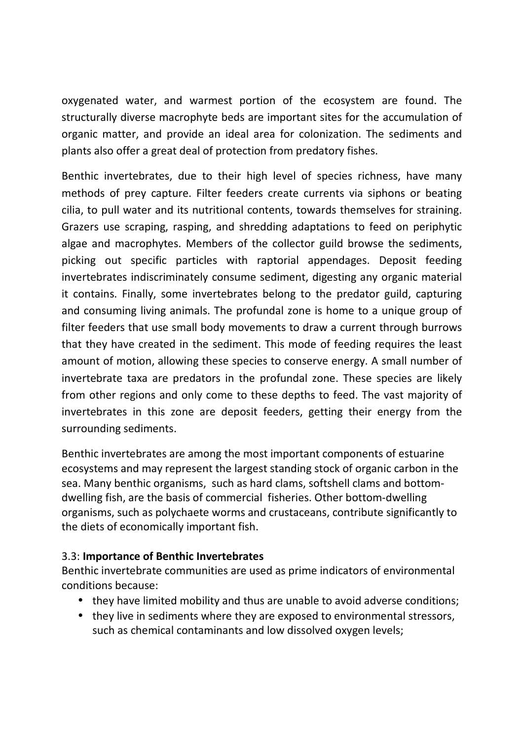oxygenated water, and warmest portion of the ecosystem are found. The structurally diverse macrophyte beds are important sites for the accumulation of organic matter, and provide an ideal area for colonization. The sediments and plants also offer a great deal of protection from predatory fishes.

Benthic invertebrates, due to their high level of species richness, have many methods of prey capture. Filter feeders create currents via siphons or beating cilia, to pull water and its nutritional contents, towards themselves for straining. Grazers use scraping, rasping, and shredding adaptations to feed on periphytic algae and macrophytes. Members of the collector guild browse the sediments, picking out specific particles with raptorial appendages. Deposit feeding invertebrates indiscriminately consume sediment, digesting any organic material it contains. Finally, some invertebrates belong to the predator guild, capturing and consuming living animals. The profundal zone is home to a unique group of filter feeders that use small body movements to draw a current through burrows that they have created in the sediment. This mode of feeding requires the least amount of motion, allowing these species to conserve energy. A small number of invertebrate taxa are predators in the profundal zone. These species are likely from other regions and only come to these depths to feed. The vast majority of invertebrates in this zone are deposit feeders, getting their energy from the surrounding sediments.

Benthic invertebrates are among the most important components of estuarine ecosystems and may represent the largest standing stock of organic carbon in the sea. Many benthic organisms, such as hard clams, softshell clams and bottomdwelling fish, are the basis of commercial fisheries. Other bottom-dwelling organisms, such as polychaete worms and crustaceans, contribute significantly to the diets of economically important fish.

## 3.3: **Importance of Benthic Invertebrates**

Benthic invertebrate communities are used as prime indicators of environmental conditions because:

- they have limited mobility and thus are unable to avoid adverse conditions;
- they live in sediments where they are exposed to environmental stressors, such as chemical contaminants and low dissolved oxygen levels;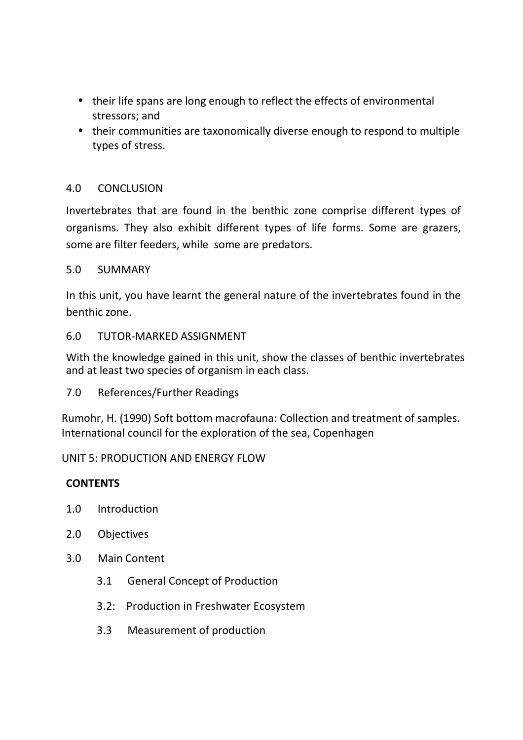- their life spans are long enough to reflect the effects of environmental stressors; and
- their communities are taxonomically diverse enough to respond to multiple types of stress.

## 4.0 CONCLUSION

Invertebrates that are found in the benthic zone comprise different types of organisms. They also exhibit different types of life forms. Some are grazers, some are filter feeders, while some are predators.

### 5.0 SUMMARY

In this unit, you have learnt the general nature of the invertebrates found in the benthic zone.

#### 6.0 TUTOR-MARKED ASSIGNMENT

With the knowledge gained in this unit, show the classes of benthic invertebrates and at least two species of organism in each class.

7.0 References/Further Readings

Rumohr, H. (1990) Soft bottom macrofauna: Collection and treatment of samples. International council for the exploration of the sea, Copenhagen

#### UNIT 5: PRODUCTION AND ENERGY FLOW

## **CONTENTS**

- 1.0 Introduction
- 2.0 Objectives
- 3.0 Main Content
	- 3.1 General Concept of Production
	- 3.2: Production in Freshwater Ecosystem
	- 3.3 Measurement of production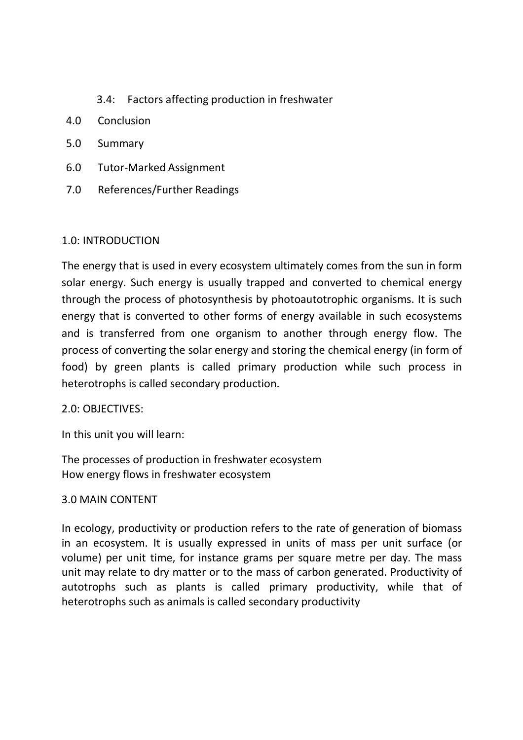## 3.4: Factors affecting production in freshwater

- 4.0 Conclusion
- 5.0 Summary
- 6.0 Tutor-Marked Assignment
- 7.0 References/Further Readings

#### 1.0: INTRODUCTION

The energy that is used in every ecosystem ultimately comes from the sun in form solar energy. Such energy is usually trapped and converted to chemical energy through the process of photosynthesis by photoautotrophic organisms. It is such energy that is converted to other forms of energy available in such ecosystems and is transferred from one organism to another through energy flow. The process of converting the solar energy and storing the chemical energy (in form of food) by green plants is called primary production while such process in heterotrophs is called secondary production.

#### 2.0: OBJECTIVES:

In this unit you will learn:

The processes of production in freshwater ecosystem How energy flows in freshwater ecosystem

#### 3.0 MAIN CONTENT

In ecology, productivity or production refers to the rate of generation of biomass in an ecosystem. It is usually expressed in units of mass per unit surface (or volume) per unit time, for instance grams per square metre per day. The mass unit may relate to dry matter or to the mass of carbon generated. Productivity of autotrophs such as plants is called primary productivity, while that of heterotrophs such as animals is called secondary productivity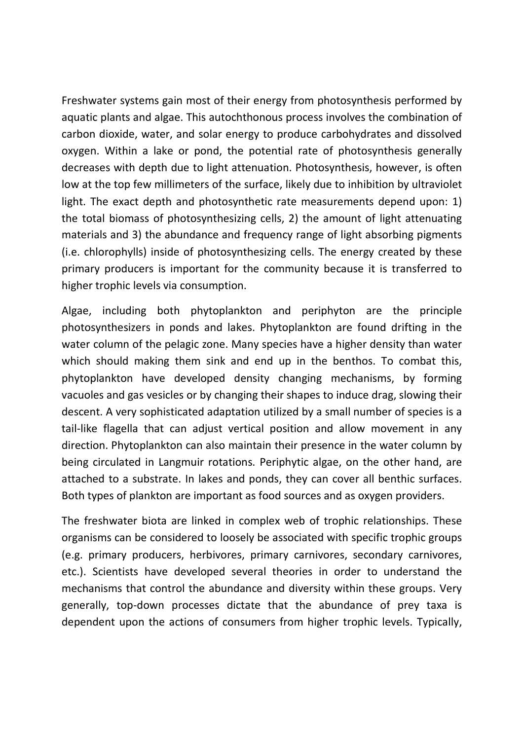Freshwater systems gain most of their energy from photosynthesis performed by aquatic plants and algae. This autochthonous process involves the combination of carbon dioxide, water, and solar energy to produce carbohydrates and dissolved oxygen. Within a lake or pond, the potential rate of photosynthesis generally decreases with depth due to light attenuation. Photosynthesis, however, is often low at the top few millimeters of the surface, likely due to inhibition by ultraviolet light. The exact depth and photosynthetic rate measurements depend upon: 1) the total biomass of photosynthesizing cells, 2) the amount of light attenuating materials and 3) the abundance and frequency range of light absorbing pigments (i.e. chlorophylls) inside of photosynthesizing cells. The energy created by these primary producers is important for the community because it is transferred to higher trophic levels via consumption.

Algae, including both phytoplankton and periphyton are the principle photosynthesizers in ponds and lakes. Phytoplankton are found drifting in the water column of the pelagic zone. Many species have a higher density than water which should making them sink and end up in the benthos. To combat this, phytoplankton have developed density changing mechanisms, by forming vacuoles and gas vesicles or by changing their shapes to induce drag, slowing their descent. A very sophisticated adaptation utilized by a small number of species is a tail-like flagella that can adjust vertical position and allow movement in any direction. Phytoplankton can also maintain their presence in the water column by being circulated in Langmuir rotations. Periphytic algae, on the other hand, are attached to a substrate. In lakes and ponds, they can cover all benthic surfaces. Both types of plankton are important as food sources and as oxygen providers.

The freshwater biota are linked in complex web of trophic relationships. These organisms can be considered to loosely be associated with specific trophic groups (e.g. primary producers, herbivores, primary carnivores, secondary carnivores, etc.). Scientists have developed several theories in order to understand the mechanisms that control the abundance and diversity within these groups. Very generally, top-down processes dictate that the abundance of prey taxa is dependent upon the actions of consumers from higher trophic levels. Typically,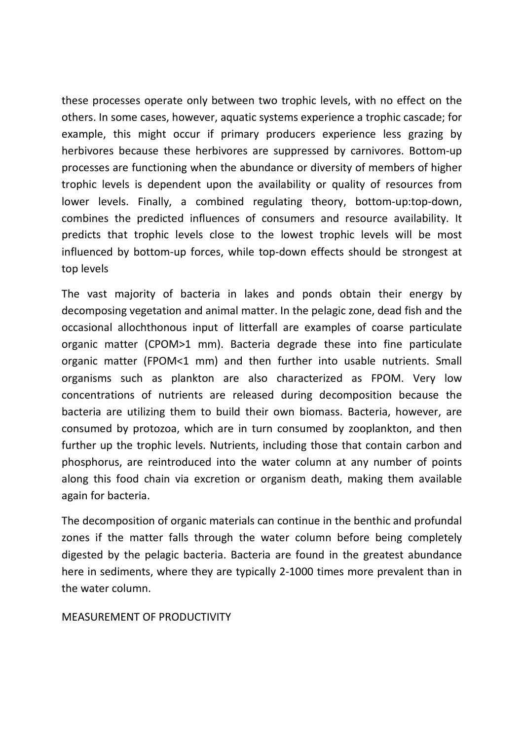these processes operate only between two trophic levels, with no effect on the others. In some cases, however, aquatic systems experience a trophic cascade; for example, this might occur if primary producers experience less grazing by herbivores because these herbivores are suppressed by carnivores. Bottom-up processes are functioning when the abundance or diversity of members of higher trophic levels is dependent upon the availability or quality of resources from lower levels. Finally, a combined regulating theory, bottom-up:top-down, combines the predicted influences of consumers and resource availability. It predicts that trophic levels close to the lowest trophic levels will be most influenced by bottom-up forces, while top-down effects should be strongest at top levels

The vast majority of bacteria in lakes and ponds obtain their energy by decomposing vegetation and animal matter. In the pelagic zone, dead fish and the occasional allochthonous input of litterfall are examples of coarse particulate organic matter (CPOM>1 mm). Bacteria degrade these into fine particulate organic matter (FPOM<1 mm) and then further into usable nutrients. Small organisms such as plankton are also characterized as FPOM. Very low concentrations of nutrients are released during decomposition because the bacteria are utilizing them to build their own biomass. Bacteria, however, are consumed by protozoa, which are in turn consumed by zooplankton, and then further up the trophic levels. Nutrients, including those that contain carbon and phosphorus, are reintroduced into the water column at any number of points along this food chain via excretion or organism death, making them available again for bacteria.

The decomposition of organic materials can continue in the benthic and profundal zones if the matter falls through the water column before being completely digested by the pelagic bacteria. Bacteria are found in the greatest abundance here in sediments, where they are typically 2-1000 times more prevalent than in the water column.

MEASUREMENT OF PRODUCTIVITY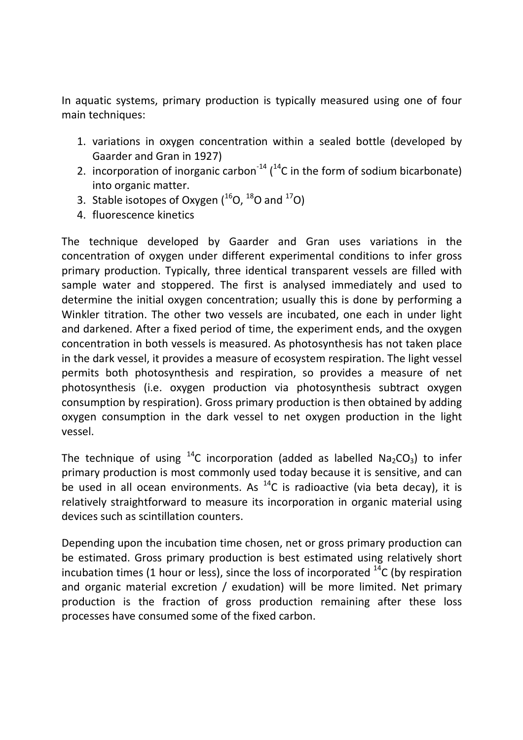In aquatic systems, primary production is typically measured using one of four main techniques:

- 1. variations in oxygen concentration within a sealed bottle (developed by Gaarder and Gran in 1927)
- 2. incorporation of inorganic carbon<sup>-14</sup> ( $^{14}$ C in the form of sodium bicarbonate) into organic matter.
- 3. Stable isotopes of Oxygen  $(^{16}O, ^{18}O$  and  $^{17}O)$
- 4. fluorescence kinetics

The technique developed by Gaarder and Gran uses variations in the concentration of oxygen under different experimental conditions to infer gross primary production. Typically, three identical transparent vessels are filled with sample water and stoppered. The first is analysed immediately and used to determine the initial oxygen concentration; usually this is done by performing a Winkler titration. The other two vessels are incubated, one each in under light and darkened. After a fixed period of time, the experiment ends, and the oxygen concentration in both vessels is measured. As photosynthesis has not taken place in the dark vessel, it provides a measure of ecosystem respiration. The light vessel permits both photosynthesis and respiration, so provides a measure of net photosynthesis (i.e. oxygen production via photosynthesis subtract oxygen consumption by respiration). Gross primary production is then obtained by adding oxygen consumption in the dark vessel to net oxygen production in the light vessel.

The technique of using  $14C$  incorporation (added as labelled Na<sub>2</sub>CO<sub>3</sub>) to infer primary production is most commonly used today because it is sensitive, and can be used in all ocean environments. As  $^{14}$ C is radioactive (via beta decay), it is relatively straightforward to measure its incorporation in organic material using devices such as scintillation counters.

Depending upon the incubation time chosen, net or gross primary production can be estimated. Gross primary production is best estimated using relatively short incubation times (1 hour or less), since the loss of incorporated  $^{14}$ C (by respiration and organic material excretion / exudation) will be more limited. Net primary production is the fraction of gross production remaining after these loss processes have consumed some of the fixed carbon.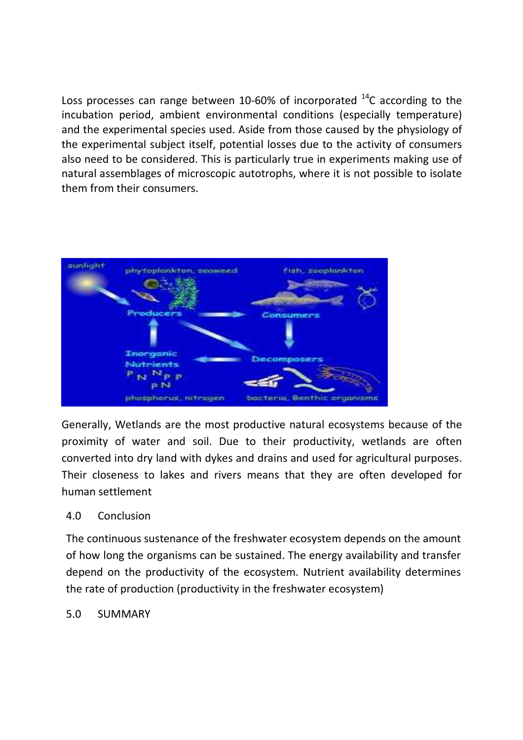Loss processes can range between 10-60% of incorporated  $^{14}$ C according to the incubation period, ambient environmental conditions (especially temperature) and the experimental species used. Aside from those caused by the physiology of the experimental subject itself, potential losses due to the activity of consumers also need to be considered. This is particularly true in experiments making use of natural assemblages of microscopic autotrophs, where it is not possible to isolate them from their consumers.



Generally, Wetlands are the most productive natural ecosystems because of the proximity of water and soil. Due to their productivity, wetlands are often converted into dry land with dykes and drains and used for agricultural purposes. Their closeness to lakes and rivers means that they are often developed for human settlement

# 4.0 Conclusion

The continuous sustenance of the freshwater ecosystem depends on the amount of how long the organisms can be sustained. The energy availability and transfer depend on the productivity of the ecosystem. Nutrient availability determines the rate of production (productivity in the freshwater ecosystem)

# 5.0 SUMMARY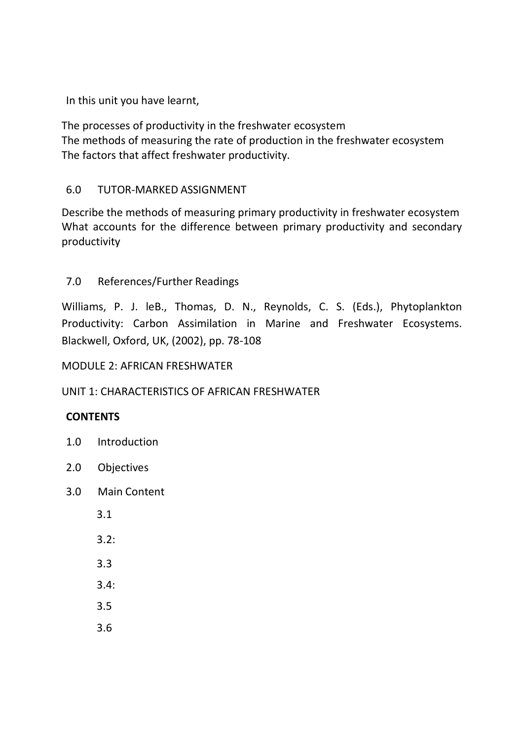In this unit you have learnt,

The processes of productivity in the freshwater ecosystem The methods of measuring the rate of production in the freshwater ecosystem The factors that affect freshwater productivity.

# 6.0 TUTOR-MARKED ASSIGNMENT

Describe the methods of measuring primary productivity in freshwater ecosystem What accounts for the difference between primary productivity and secondary productivity

# 7.0 References/Further Readings

Williams, P. J. leB., Thomas, D. N., Reynolds, C. S. (Eds.), Phytoplankton Productivity: Carbon Assimilation in Marine and Freshwater Ecosystems. Blackwell, Oxford, UK, (2002), pp. 78-108

### MODULE 2: AFRICAN FRESHWATER

# UNIT 1: CHARACTERISTICS OF AFRICAN FRESHWATER

#### **CONTENTS**

- 1.0 Introduction
- 2.0 Objectives
- 3.0 Main Content
	- 3.1
	- 3.2:
	- 3.3
	- 3.4:
	- 3.5
	- 3.6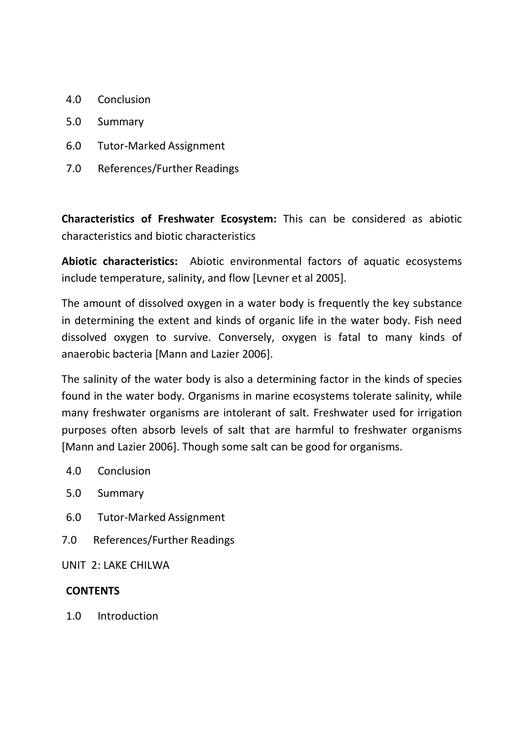- 4.0 Conclusion
- 5.0 Summary
- 6.0 Tutor-Marked Assignment
- 7.0 References/Further Readings

**Characteristics of Freshwater Ecosystem:** This can be considered as abiotic characteristics and biotic characteristics

**Abiotic characteristics:** Abiotic environmental factors of aquatic ecosystems include temperature, salinity, and flow [Levner et al 2005].

The amount of dissolved oxygen in a water body is frequently the key substance in determining the extent and kinds of organic life in the water body. Fish need dissolved oxygen to survive. Conversely, oxygen is fatal to many kinds of anaerobic bacteria [Mann and Lazier 2006].

The salinity of the water body is also a determining factor in the kinds of species found in the water body. Organisms in marine ecosystems tolerate salinity, while many freshwater organisms are intolerant of salt. Freshwater used for irrigation purposes often absorb levels of salt that are harmful to freshwater organisms [Mann and Lazier 2006]. Though some salt can be good for organisms.

- 4.0 Conclusion
- 5.0 Summary
- 6.0 Tutor-Marked Assignment
- 7.0 References/Further Readings
- UNIT 2: LAKE CHILWA

### **CONTENTS**

1.0 Introduction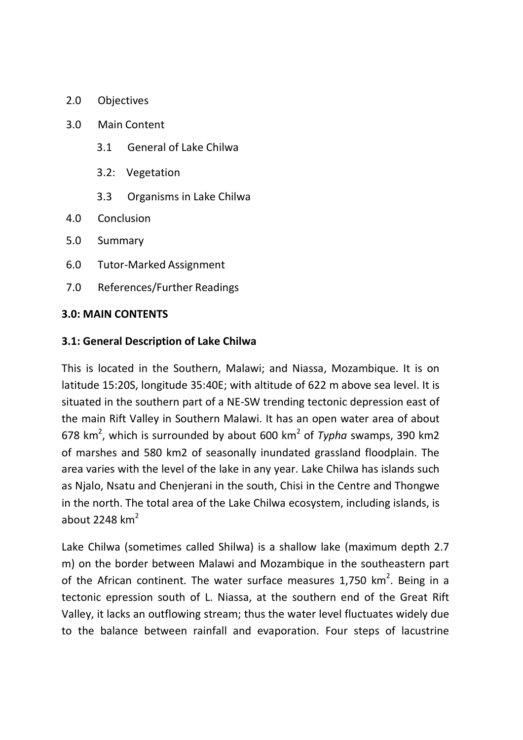- 2.0 Objectives
- 3.0 Main Content
	- 3.1 General of Lake Chilwa
	- 3.2: Vegetation
	- 3.3 Organisms in Lake Chilwa
- 4.0 Conclusion
- 5.0 Summary
- 6.0 Tutor-Marked Assignment
- 7.0 References/Further Readings

#### **3.0: MAIN CONTENTS**

### **3.1: General Description of Lake Chilwa**

This is located in the Southern, Malawi; and Niassa, Mozambique. It is on latitude 15:20S, longitude 35:40E; with altitude of 622 m above sea level. It is situated in the southern part of a NE-SW trending tectonic depression east of the main Rift Valley in Southern Malawi. It has an open water area of about 678 km<sup>2</sup>, which is surrounded by about 600 km<sup>2</sup> of *Typha* swamps, 390 km2 of marshes and 580 km2 of seasonally inundated grassland floodplain. The area varies with the level of the lake in any year. Lake Chilwa has islands such as Njalo, Nsatu and Chenjerani in the south, Chisi in the Centre and Thongwe in the north. The total area of the Lake Chilwa ecosystem, including islands, is about  $2248 \text{ km}^2$ 

Lake Chilwa (sometimes called Shilwa) is a shallow lake (maximum depth 2.7 m) on the border between Malawi and Mozambique in the southeastern part of the African continent. The water surface measures 1,750  $km^2$ . Being in a tectonic epression south of L. Niassa, at the southern end of the Great Rift Valley, it lacks an outflowing stream; thus the water level fluctuates widely due to the balance between rainfall and evaporation. Four steps of lacustrine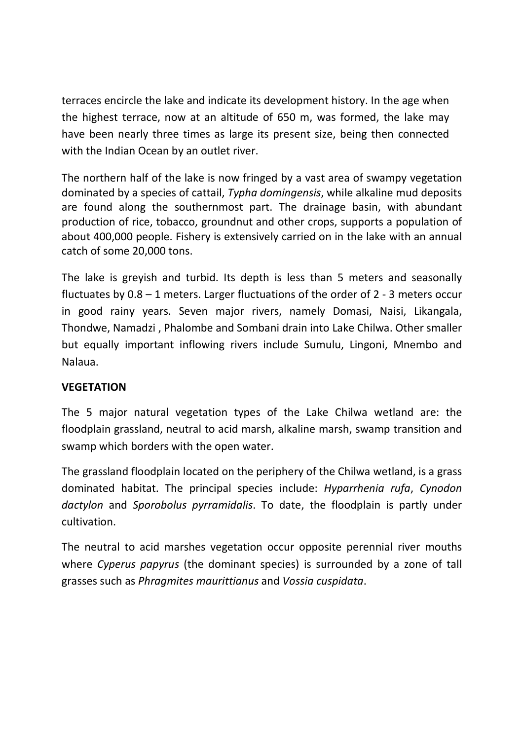terraces encircle the lake and indicate its development history. In the age when the highest terrace, now at an altitude of 650 m, was formed, the lake may have been nearly three times as large its present size, being then connected with the Indian Ocean by an outlet river.

The northern half of the lake is now fringed by a vast area of swampy vegetation dominated by a species of cattail, *Typha domingensis*, while alkaline mud deposits are found along the southernmost part. The drainage basin, with abundant production of rice, tobacco, groundnut and other crops, supports a population of about 400,000 people. Fishery is extensively carried on in the lake with an annual catch of some 20,000 tons.

The lake is greyish and turbid. Its depth is less than 5 meters and seasonally fluctuates by 0.8 – 1 meters. Larger fluctuations of the order of 2 - 3 meters occur in good rainy years. Seven major rivers, namely Domasi, Naisi, Likangala, Thondwe, Namadzi , Phalombe and Sombani drain into Lake Chilwa. Other smaller but equally important inflowing rivers include Sumulu, Lingoni, Mnembo and Nalaua.

# **VEGETATION**

The 5 major natural vegetation types of the Lake Chilwa wetland are: the floodplain grassland, neutral to acid marsh, alkaline marsh, swamp transition and swamp which borders with the open water.

The grassland floodplain located on the periphery of the Chilwa wetland, is a grass dominated habitat. The principal species include: *Hyparrhenia rufa*, *Cynodon dactylon* and *Sporobolus pyrramidalis*. To date, the floodplain is partly under cultivation.

The neutral to acid marshes vegetation occur opposite perennial river mouths where *Cyperus papyrus* (the dominant species) is surrounded by a zone of tall grasses such as *Phragmites maurittianus* and *Vossia cuspidata*.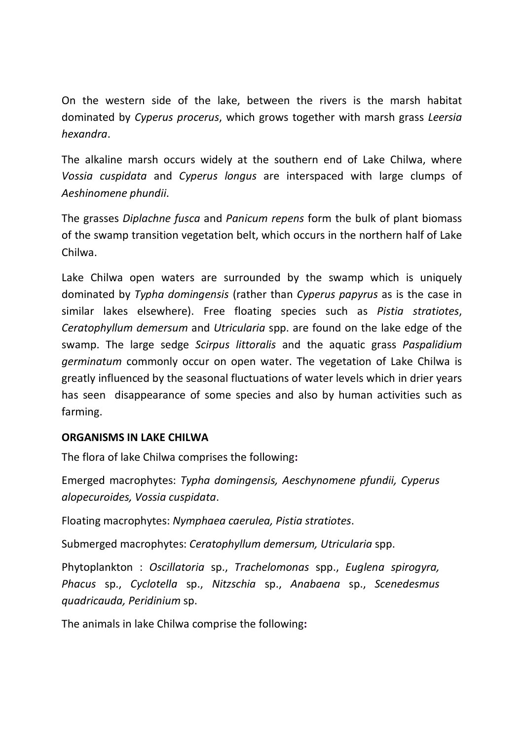On the western side of the lake, between the rivers is the marsh habitat dominated by *Cyperus procerus*, which grows together with marsh grass *Leersia hexandra*.

The alkaline marsh occurs widely at the southern end of Lake Chilwa, where *Vossia cuspidata* and *Cyperus longus* are interspaced with large clumps of *Aeshinomene phundii*.

The grasses *Diplachne fusca* and *Panicum repens* form the bulk of plant biomass of the swamp transition vegetation belt, which occurs in the northern half of Lake Chilwa.

Lake Chilwa open waters are surrounded by the swamp which is uniquely dominated by *Typha domingensis* (rather than *Cyperus papyrus* as is the case in similar lakes elsewhere). Free floating species such as *Pistia stratiotes*, *Ceratophyllum demersum* and *Utricularia* spp. are found on the lake edge of the swamp. The large sedge *Scirpus littoralis* and the aquatic grass *Paspalidium germinatum* commonly occur on open water. The vegetation of Lake Chilwa is greatly influenced by the seasonal fluctuations of water levels which in drier years has seen disappearance of some species and also by human activities such as farming.

#### **ORGANISMS IN LAKE CHILWA**

The flora of lake Chilwa comprises the following**:** 

Emerged macrophytes: *Typha domingensis, Aeschynomene pfundii, Cyperus alopecuroides, Vossia cuspidata*.

Floating macrophytes: *Nymphaea caerulea, Pistia stratiotes*.

Submerged macrophytes: *Ceratophyllum demersum, Utricularia* spp.

Phytoplankton : *Oscillatoria* sp., *Trachelomonas* spp., *Euglena spirogyra, Phacus* sp., *Cyclotella* sp., *Nitzschia* sp., *Anabaena* sp., *Scenedesmus quadricauda, Peridinium* sp.

The animals in lake Chilwa comprise the following**:**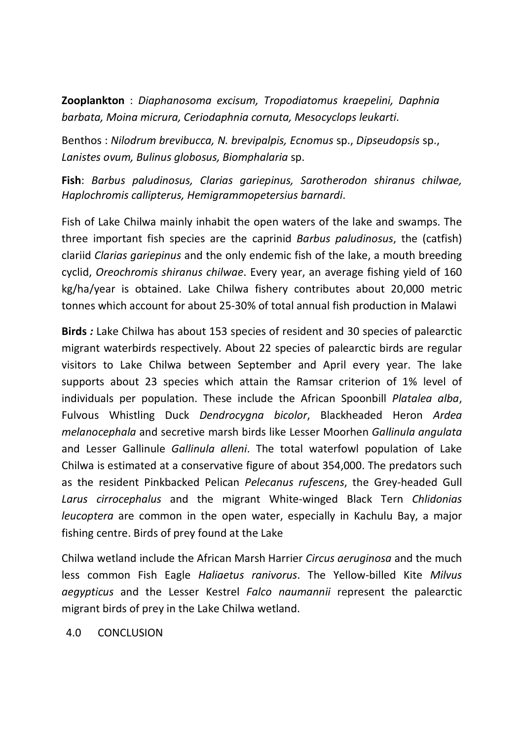**Zooplankton** : *Diaphanosoma excisum, Tropodiatomus kraepelini, Daphnia barbata, Moina micrura, Ceriodaphnia cornuta, Mesocyclops leukarti*.

Benthos : *Nilodrum brevibucca, N. brevipalpis, Ecnomus* sp., *Dipseudopsis* sp., *Lanistes ovum, Bulinus globosus, Biomphalaria* sp.

**Fish**: *Barbus paludinosus, Clarias gariepinus, Sarotherodon shiranus chilwae, Haplochromis callipterus, Hemigrammopetersius barnardi*.

Fish of Lake Chilwa mainly inhabit the open waters of the lake and swamps. The three important fish species are the caprinid *Barbus paludinosus*, the (catfish) clariid *Clarias gariepinus* and the only endemic fish of the lake, a mouth breeding cyclid, *Oreochromis shiranus chilwae*. Every year, an average fishing yield of 160 kg/ha/year is obtained. Lake Chilwa fishery contributes about 20,000 metric tonnes which account for about 25-30% of total annual fish production in Malawi

**Birds** *:* Lake Chilwa has about 153 species of resident and 30 species of palearctic migrant waterbirds respectively. About 22 species of palearctic birds are regular visitors to Lake Chilwa between September and April every year. The lake supports about 23 species which attain the Ramsar criterion of 1% level of individuals per population. These include the African Spoonbill *Platalea alba*, Fulvous Whistling Duck *Dendrocygna bicolor*, Blackheaded Heron *Ardea melanocephala* and secretive marsh birds like Lesser Moorhen *Gallinula angulata*  and Lesser Gallinule *Gallinula alleni*. The total waterfowl population of Lake Chilwa is estimated at a conservative figure of about 354,000. The predators such as the resident Pinkbacked Pelican *Pelecanus rufescens*, the Grey-headed Gull *Larus cirrocephalus* and the migrant White-winged Black Tern *Chlidonias leucoptera* are common in the open water, especially in Kachulu Bay, a major fishing centre. Birds of prey found at the Lake

Chilwa wetland include the African Marsh Harrier *Circus aeruginosa* and the much less common Fish Eagle *Haliaetus ranivorus*. The Yellow-billed Kite *Milvus aegypticus* and the Lesser Kestrel *Falco naumannii* represent the palearctic migrant birds of prey in the Lake Chilwa wetland.

4.0 CONCLUSION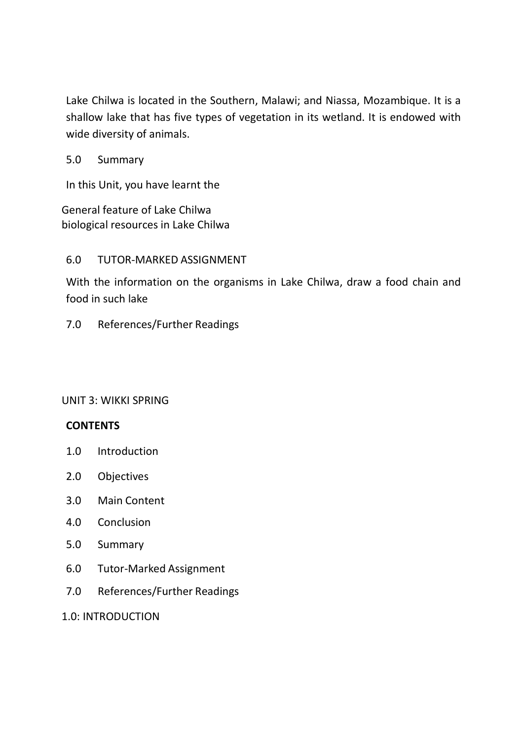Lake Chilwa is located in the Southern, Malawi; and Niassa, Mozambique. It is a shallow lake that has five types of vegetation in its wetland. It is endowed with wide diversity of animals.

5.0 Summary

In this Unit, you have learnt the

General feature of Lake Chilwa biological resources in Lake Chilwa

### 6.0 TUTOR-MARKED ASSIGNMENT

With the information on the organisms in Lake Chilwa, draw a food chain and food in such lake

7.0 References/Further Readings

#### UNIT 3: WIKKI SPRING

# **CONTENTS**

- 1.0 Introduction
- 2.0 Objectives
- 3.0 Main Content
- 4.0 Conclusion
- 5.0 Summary
- 6.0 Tutor-Marked Assignment
- 7.0 References/Further Readings
- 1.0: INTRODUCTION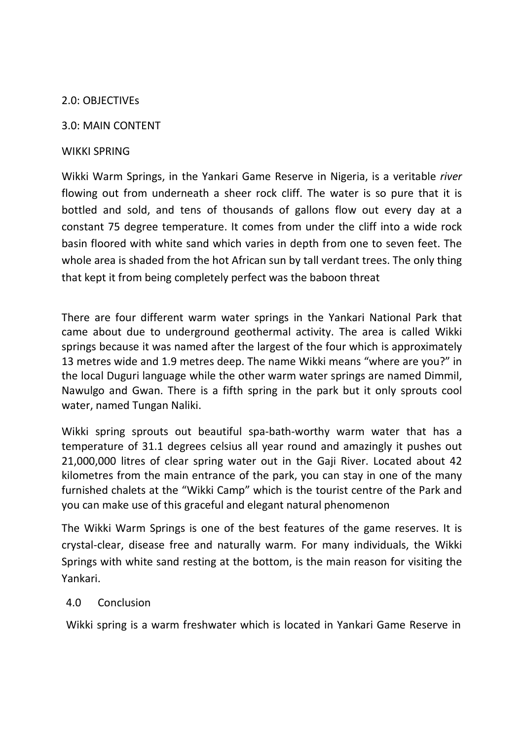### 2.0: OBJECTIVEs

### 3.0: MAIN CONTENT

### WIKKI SPRING

Wikki Warm Springs, in the Yankari Game Reserve in Nigeria, is a veritable *river* flowing out from underneath a sheer rock cliff. The water is so pure that it is bottled and sold, and tens of thousands of gallons flow out every day at a constant 75 degree temperature. It comes from under the cliff into a wide rock basin floored with white sand which varies in depth from one to seven feet. The whole area is shaded from the hot African sun by tall verdant trees. The only thing that kept it from being completely perfect was the baboon threat

There are four different warm water springs in the Yankari National Park that came about due to underground geothermal activity. The area is called Wikki springs because it was named after the largest of the four which is approximately 13 metres wide and 1.9 metres deep. The name Wikki means "where are you?" in the local Duguri language while the other warm water springs are named Dimmil, Nawulgo and Gwan. There is a fifth spring in the park but it only sprouts cool water, named Tungan Naliki.

Wikki spring sprouts out beautiful spa-bath-worthy warm water that has a temperature of 31.1 degrees celsius all year round and amazingly it pushes out 21,000,000 litres of clear spring water out in the Gaji River. Located about 42 kilometres from the main entrance of the park, you can stay in one of the many furnished chalets at the "Wikki Camp" which is the tourist centre of the Park and you can make use of this graceful and elegant natural phenomenon

The Wikki Warm Springs is one of the best features of the game reserves. It is crystal-clear, disease free and naturally warm. For many individuals, the Wikki Springs with white sand resting at the bottom, is the main reason for visiting the Yankari.

#### 4.0 Conclusion

Wikki spring is a warm freshwater which is located in Yankari Game Reserve in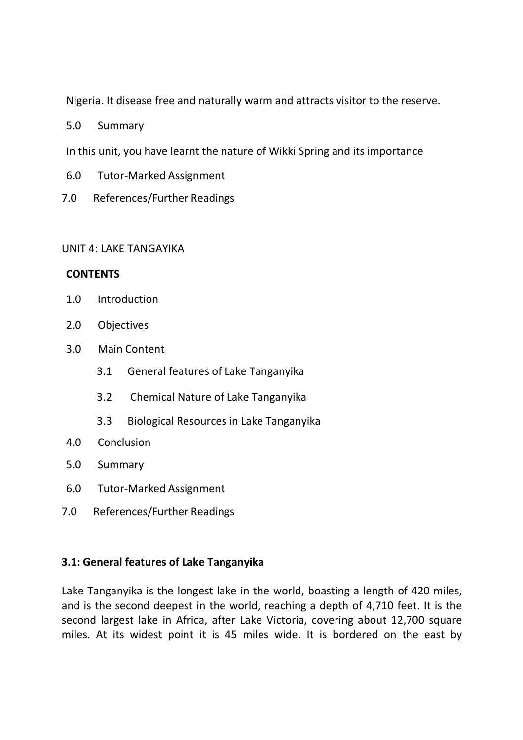Nigeria. It disease free and naturally warm and attracts visitor to the reserve.

5.0 Summary

In this unit, you have learnt the nature of Wikki Spring and its importance

- 6.0 Tutor-Marked Assignment
- 7.0 References/Further Readings

### UNIT 4: LAKE TANGAYIKA

### **CONTENTS**

- 1.0 Introduction
- 2.0 Objectives
- 3.0 Main Content
	- 3.1 General features of Lake Tanganyika
	- 3.2 Chemical Nature of Lake Tanganyika
	- 3.3 Biological Resources in Lake Tanganyika
- 4.0 Conclusion
- 5.0 Summary
- 6.0 Tutor-Marked Assignment
- 7.0 References/Further Readings

# **3.1: General features of Lake Tanganyika**

Lake Tanganyika is the longest lake in the world, boasting a length of 420 miles, and is the second deepest in the world, reaching a depth of 4,710 feet. It is the second largest lake in Africa, after Lake Victoria, covering about 12,700 square miles. At its widest point it is 45 miles wide. It is bordered on the east by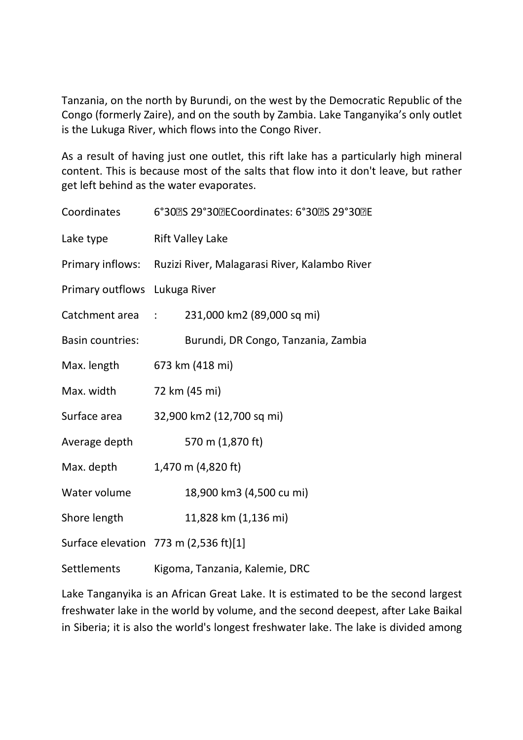Tanzania, on the north by Burundi, on the west by the Democratic Republic of the Congo (formerly Zaire), and on the south by Zambia. Lake Tanganyika's only outlet is the Lukuga River, which flows into the Congo River.

As a result of having just one outlet, this rift lake has a particularly high mineral content. This is because most of the salts that flow into it don't leave, but rather get left behind as the water evaporates.

| Coordinates                   | 6°3025 29°302ECoordinates: 6°3025 29°302E                      |  |  |
|-------------------------------|----------------------------------------------------------------|--|--|
| Lake type                     | <b>Rift Valley Lake</b>                                        |  |  |
|                               | Primary inflows: Ruzizi River, Malagarasi River, Kalambo River |  |  |
| Primary outflows Lukuga River |                                                                |  |  |
| Catchment area :              | 231,000 km2 (89,000 sq mi)                                     |  |  |
| <b>Basin countries:</b>       | Burundi, DR Congo, Tanzania, Zambia                            |  |  |
| Max. length                   | 673 km (418 mi)                                                |  |  |
| Max. width                    | 72 km (45 mi)                                                  |  |  |
| Surface area                  | 32,900 km2 (12,700 sq mi)                                      |  |  |
| Average depth                 | 570 m (1,870 ft)                                               |  |  |
| Max. depth                    | 1,470 m (4,820 ft)                                             |  |  |
| Water volume                  | 18,900 km3 (4,500 cu mi)                                       |  |  |
| Shore length                  | 11,828 km (1,136 mi)                                           |  |  |
|                               | Surface elevation 773 m (2,536 ft)[1]                          |  |  |
| Settlements                   | Kigoma, Tanzania, Kalemie, DRC                                 |  |  |

Lake Tanganyika is an African Great Lake. It is estimated to be the second largest freshwater lake in the world by volume, and the second deepest, after Lake Baikal in Siberia; it is also the world's longest freshwater lake. The lake is divided among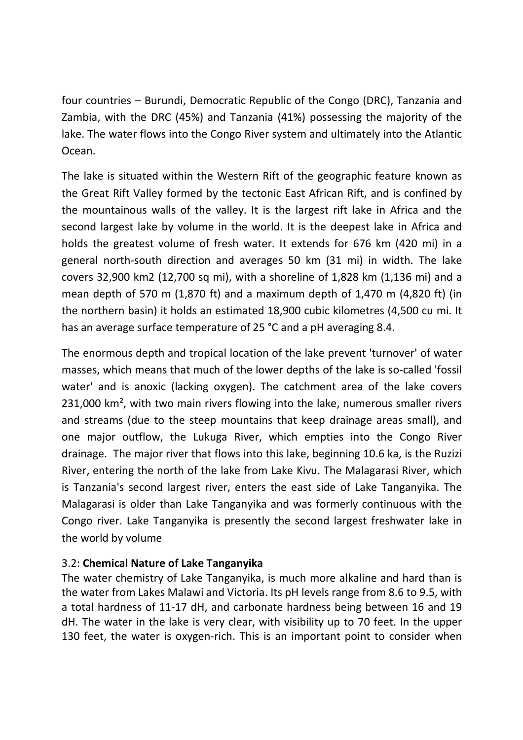four countries – Burundi, Democratic Republic of the Congo (DRC), Tanzania and Zambia, with the DRC (45%) and Tanzania (41%) possessing the majority of the lake. The water flows into the Congo River system and ultimately into the Atlantic Ocean.

The lake is situated within the Western Rift of the geographic feature known as the Great Rift Valley formed by the tectonic East African Rift, and is confined by the mountainous walls of the valley. It is the largest rift lake in Africa and the second largest lake by volume in the world. It is the deepest lake in Africa and holds the greatest volume of fresh water. It extends for 676 km (420 mi) in a general north-south direction and averages 50 km (31 mi) in width. The lake covers 32,900 km2 (12,700 sq mi), with a shoreline of 1,828 km (1,136 mi) and a mean depth of 570 m (1,870 ft) and a maximum depth of 1,470 m (4,820 ft) (in the northern basin) it holds an estimated 18,900 cubic kilometres (4,500 cu mi. It has an average surface temperature of 25 °C and a pH averaging 8.4.

The enormous depth and tropical location of the lake prevent 'turnover' of water masses, which means that much of the lower depths of the lake is so-called 'fossil water' and is anoxic (lacking oxygen). The catchment area of the lake covers 231,000 km<sup>2</sup>, with two main rivers flowing into the lake, numerous smaller rivers and streams (due to the steep mountains that keep drainage areas small), and one major outflow, the Lukuga River, which empties into the Congo River drainage. The major river that flows into this lake, beginning 10.6 ka, is the Ruzizi River, entering the north of the lake from Lake Kivu. The Malagarasi River, which is Tanzania's second largest river, enters the east side of Lake Tanganyika. The Malagarasi is older than Lake Tanganyika and was formerly continuous with the Congo river. Lake Tanganyika is presently the second largest freshwater lake in the world by volume

# 3.2: **Chemical Nature of Lake Tanganyika**

The water chemistry of Lake Tanganyika, is much more alkaline and hard than is the water from Lakes Malawi and Victoria. Its pH levels range from 8.6 to 9.5, with a total hardness of 11-17 dH, and carbonate hardness being between 16 and 19 dH. The water in the lake is very clear, with visibility up to 70 feet. In the upper 130 feet, the water is oxygen-rich. This is an important point to consider when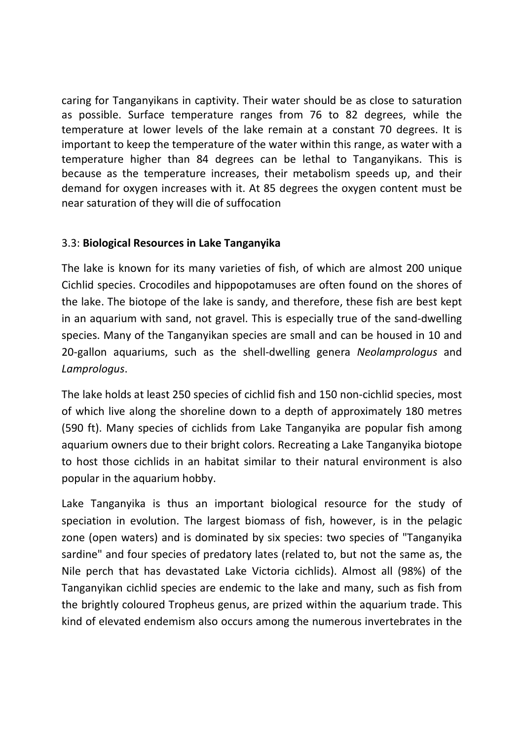caring for Tanganyikans in captivity. Their water should be as close to saturation as possible. Surface temperature ranges from 76 to 82 degrees, while the temperature at lower levels of the lake remain at a constant 70 degrees. It is important to keep the temperature of the water within this range, as water with a temperature higher than 84 degrees can be lethal to Tanganyikans. This is because as the temperature increases, their metabolism speeds up, and their demand for oxygen increases with it. At 85 degrees the oxygen content must be near saturation of they will die of suffocation

# 3.3: **Biological Resources in Lake Tanganyika**

The lake is known for its many varieties of fish, of which are almost 200 unique Cichlid species. Crocodiles and hippopotamuses are often found on the shores of the lake. The biotope of the lake is sandy, and therefore, these fish are best kept in an aquarium with sand, not gravel. This is especially true of the sand-dwelling species. Many of the Tanganyikan species are small and can be housed in 10 and 20-gallon aquariums, such as the shell-dwelling genera *Neolamprologus* and *Lamprologus*.

The lake holds at least 250 species of cichlid fish and 150 non-cichlid species, most of which live along the shoreline down to a depth of approximately 180 metres (590 ft). Many species of cichlids from Lake Tanganyika are popular fish among aquarium owners due to their bright colors. Recreating a Lake Tanganyika biotope to host those cichlids in an habitat similar to their natural environment is also popular in the aquarium hobby.

Lake Tanganyika is thus an important biological resource for the study of speciation in evolution. The largest biomass of fish, however, is in the pelagic zone (open waters) and is dominated by six species: two species of "Tanganyika sardine" and four species of predatory lates (related to, but not the same as, the Nile perch that has devastated Lake Victoria cichlids). Almost all (98%) of the Tanganyikan cichlid species are endemic to the lake and many, such as fish from the brightly coloured Tropheus genus, are prized within the aquarium trade. This kind of elevated endemism also occurs among the numerous invertebrates in the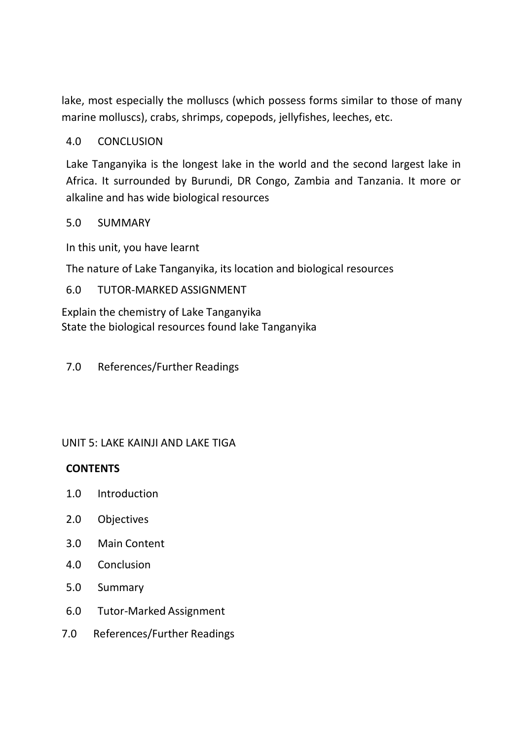lake, most especially the molluscs (which possess forms similar to those of many marine molluscs), crabs, shrimps, copepods, jellyfishes, leeches, etc.

### 4.0 CONCLUSION

Lake Tanganyika is the longest lake in the world and the second largest lake in Africa. It surrounded by Burundi, DR Congo, Zambia and Tanzania. It more or alkaline and has wide biological resources

### 5.0 SUMMARY

In this unit, you have learnt

The nature of Lake Tanganyika, its location and biological resources

# 6.0 TUTOR-MARKED ASSIGNMENT

Explain the chemistry of Lake Tanganyika State the biological resources found lake Tanganyika

### 7.0 References/Further Readings

# UNIT 5: LAKE KAINJI AND LAKE TIGA

#### **CONTENTS**

- 1.0 Introduction
- 2.0 Objectives
- 3.0 Main Content
- 4.0 Conclusion
- 5.0 Summary
- 6.0 Tutor-Marked Assignment
- 7.0 References/Further Readings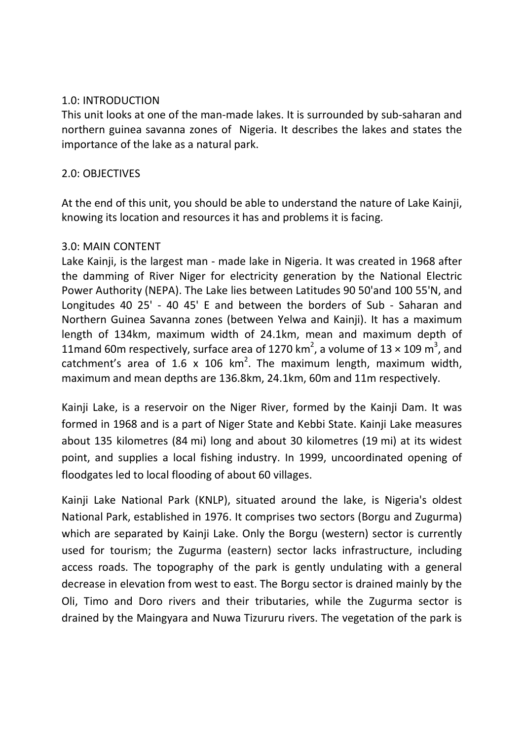#### 1.0: INTRODUCTION

This unit looks at one of the man-made lakes. It is surrounded by sub-saharan and northern guinea savanna zones of Nigeria. It describes the lakes and states the importance of the lake as a natural park.

### 2.0: OBJECTIVES

At the end of this unit, you should be able to understand the nature of Lake Kainji, knowing its location and resources it has and problems it is facing.

### 3.0: MAIN CONTENT

Lake Kainji, is the largest man - made lake in Nigeria. It was created in 1968 after the damming of River Niger for electricity generation by the National Electric Power Authority (NEPA). The Lake lies between Latitudes 90 50'and 100 55'N, and Longitudes 40 25' - 40 45' E and between the borders of Sub - Saharan and Northern Guinea Savanna zones (between Yelwa and Kainji). It has a maximum length of 134km, maximum width of 24.1km, mean and maximum depth of 11 mand 60 m respectively, surface area of 1270 km<sup>2</sup>, a volume of 13  $\times$  109 m<sup>3</sup>, and catchment's area of  $1.6 \times 106 \text{ km}^2$ . The maximum length, maximum width, maximum and mean depths are 136.8km, 24.1km, 60m and 11m respectively.

Kainji Lake, is a reservoir on the Niger River, formed by the Kainji Dam. It was formed in 1968 and is a part of Niger State and Kebbi State. Kainji Lake measures about 135 kilometres (84 mi) long and about 30 kilometres (19 mi) at its widest point, and supplies a local fishing industry. In 1999, uncoordinated opening of floodgates led to local flooding of about 60 villages.

Kainji Lake National Park (KNLP), situated around the lake, is Nigeria's oldest National Park, established in 1976. It comprises two sectors (Borgu and Zugurma) which are separated by Kainji Lake. Only the Borgu (western) sector is currently used for tourism; the Zugurma (eastern) sector lacks infrastructure, including access roads. The topography of the park is gently undulating with a general decrease in elevation from west to east. The Borgu sector is drained mainly by the Oli, Timo and Doro rivers and their tributaries, while the Zugurma sector is drained by the Maingyara and Nuwa Tizururu rivers. The vegetation of the park is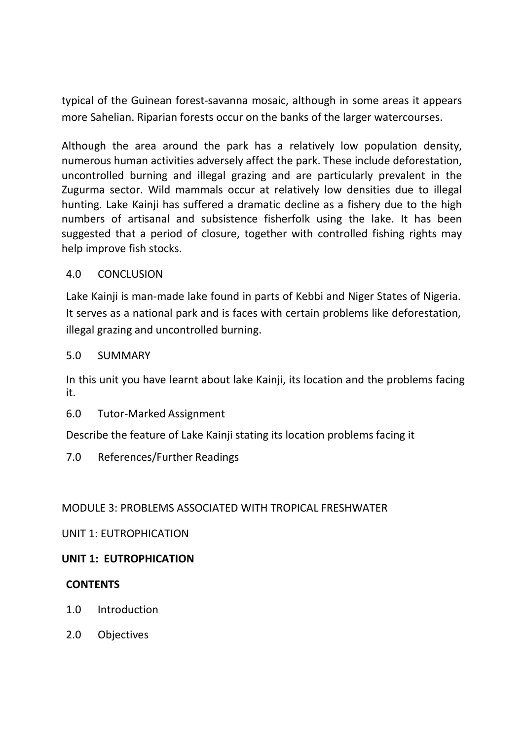typical of the Guinean forest-savanna mosaic, although in some areas it appears more Sahelian. Riparian forests occur on the banks of the larger watercourses.

Although the area around the park has a relatively low population density, numerous human activities adversely affect the park. These include deforestation, uncontrolled burning and illegal grazing and are particularly prevalent in the Zugurma sector. Wild mammals occur at relatively low densities due to illegal hunting. Lake Kainji has suffered a dramatic decline as a fishery due to the high numbers of artisanal and subsistence fisherfolk using the lake. It has been suggested that a period of closure, together with controlled fishing rights may help improve fish stocks.

# 4.0 CONCLUSION

Lake Kainji is man-made lake found in parts of Kebbi and Niger States of Nigeria. It serves as a national park and is faces with certain problems like deforestation, illegal grazing and uncontrolled burning.

5.0 SUMMARY

In this unit you have learnt about lake Kainji, its location and the problems facing it.

6.0 Tutor-Marked Assignment

Describe the feature of Lake Kainji stating its location problems facing it

7.0 References/Further Readings

# MODULE 3: PROBLEMS ASSOCIATED WITH TROPICAL FRESHWATER

UNIT 1: EUTROPHICATION

# **UNIT 1: EUTROPHICATION**

# **CONTENTS**

- 1.0 Introduction
- 2.0 Objectives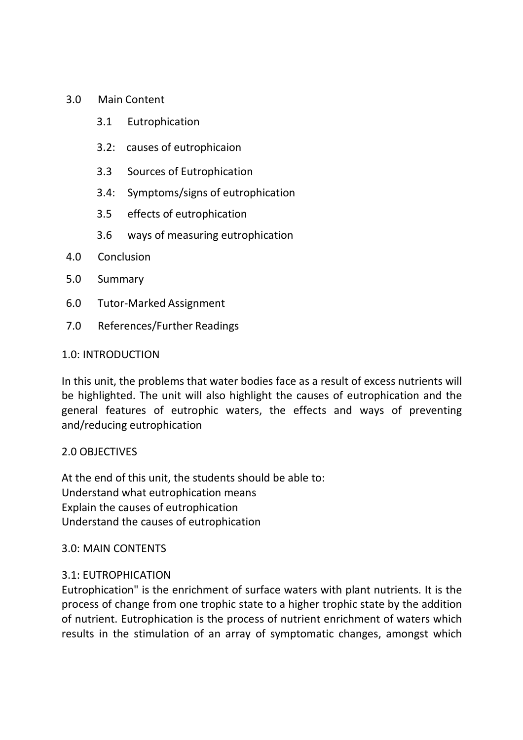#### 3.0 Main Content

- 3.1 Eutrophication
- 3.2: causes of eutrophicaion
- 3.3 Sources of Eutrophication
- 3.4: Symptoms/signs of eutrophication
- 3.5 effects of eutrophication
- 3.6 ways of measuring eutrophication
- 4.0 Conclusion
- 5.0 Summary
- 6.0 Tutor-Marked Assignment
- 7.0 References/Further Readings

#### 1.0: INTRODUCTION

In this unit, the problems that water bodies face as a result of excess nutrients will be highlighted. The unit will also highlight the causes of eutrophication and the general features of eutrophic waters, the effects and ways of preventing and/reducing eutrophication

#### 2.0 OBJECTIVES

At the end of this unit, the students should be able to: Understand what eutrophication means Explain the causes of eutrophication Understand the causes of eutrophication

#### 3.0: MAIN CONTENTS

#### 3.1: EUTROPHICATION

Eutrophication" is the enrichment of surface waters with plant nutrients. It is the process of change from one trophic state to a higher trophic state by the addition of nutrient. Eutrophication is the process of nutrient enrichment of waters which results in the stimulation of an array of symptomatic changes, amongst which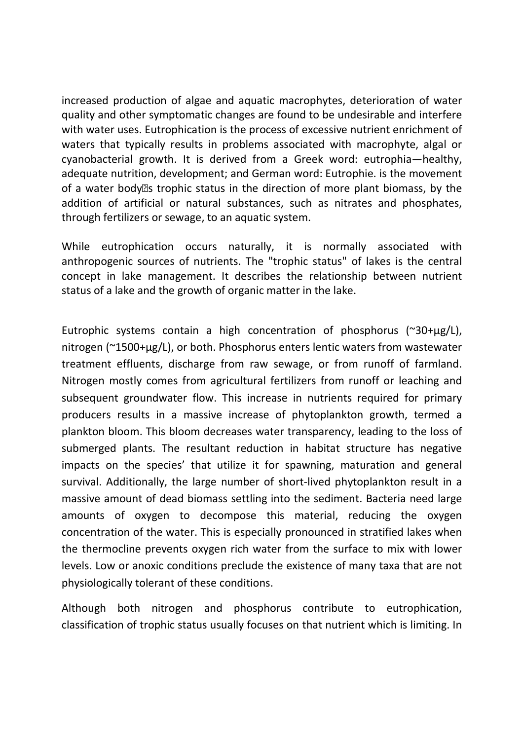increased production of algae and aquatic macrophytes, deterioration of water quality and other symptomatic changes are found to be undesirable and interfere with water uses. Eutrophication is the process of excessive nutrient enrichment of waters that typically results in problems associated with macrophyte, algal or cyanobacterial growth. It is derived from a Greek word: eutrophia—healthy, adequate nutrition, development; and German word: Eutrophie. is the movement of a water body<sup>ol</sup>s trophic status in the direction of more plant biomass, by the addition of artificial or natural substances, such as nitrates and phosphates, through fertilizers or sewage, to an aquatic system.

While eutrophication occurs naturally, it is normally associated with anthropogenic sources of nutrients. The "trophic status" of lakes is the central concept in lake management. It describes the relationship between nutrient status of a lake and the growth of organic matter in the lake.

Eutrophic systems contain a high concentration of phosphorus  $(20 + \mu g/L)$ , nitrogen (~1500+µg/L), or both. Phosphorus enters lentic waters from wastewater treatment effluents, discharge from raw sewage, or from runoff of farmland. Nitrogen mostly comes from agricultural fertilizers from runoff or leaching and subsequent groundwater flow. This increase in nutrients required for primary producers results in a massive increase of phytoplankton growth, termed a plankton bloom. This bloom decreases water transparency, leading to the loss of submerged plants. The resultant reduction in habitat structure has negative impacts on the species' that utilize it for spawning, maturation and general survival. Additionally, the large number of short-lived phytoplankton result in a massive amount of dead biomass settling into the sediment. Bacteria need large amounts of oxygen to decompose this material, reducing the oxygen concentration of the water. This is especially pronounced in stratified lakes when the thermocline prevents oxygen rich water from the surface to mix with lower levels. Low or anoxic conditions preclude the existence of many taxa that are not physiologically tolerant of these conditions.

Although both nitrogen and phosphorus contribute to eutrophication, classification of trophic status usually focuses on that nutrient which is limiting. In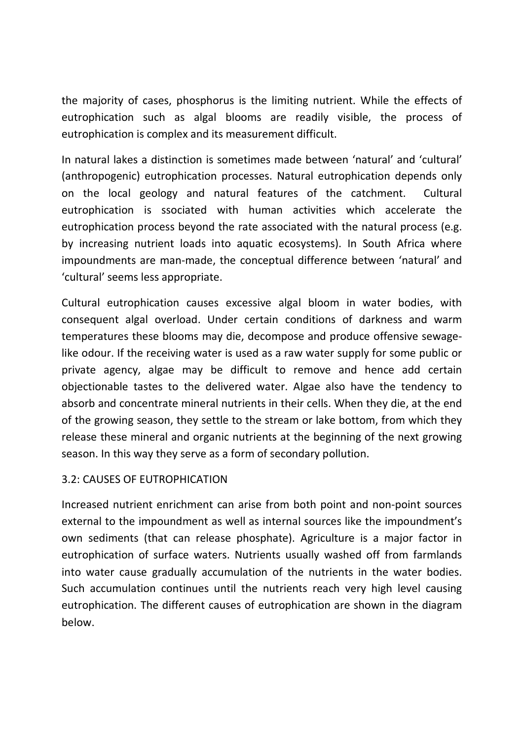the majority of cases, phosphorus is the limiting nutrient. While the effects of eutrophication such as algal blooms are readily visible, the process of eutrophication is complex and its measurement difficult.

In natural lakes a distinction is sometimes made between 'natural' and 'cultural' (anthropogenic) eutrophication processes. Natural eutrophication depends only on the local geology and natural features of the catchment. Cultural eutrophication is ssociated with human activities which accelerate the eutrophication process beyond the rate associated with the natural process (e.g. by increasing nutrient loads into aquatic ecosystems). In South Africa where impoundments are man-made, the conceptual difference between 'natural' and 'cultural' seems less appropriate.

Cultural eutrophication causes excessive algal bloom in water bodies, with consequent algal overload. Under certain conditions of darkness and warm temperatures these blooms may die, decompose and produce offensive sewagelike odour. If the receiving water is used as a raw water supply for some public or private agency, algae may be difficult to remove and hence add certain objectionable tastes to the delivered water. Algae also have the tendency to absorb and concentrate mineral nutrients in their cells. When they die, at the end of the growing season, they settle to the stream or lake bottom, from which they release these mineral and organic nutrients at the beginning of the next growing season. In this way they serve as a form of secondary pollution.

# 3.2: CAUSES OF EUTROPHICATION

Increased nutrient enrichment can arise from both point and non-point sources external to the impoundment as well as internal sources like the impoundment's own sediments (that can release phosphate). Agriculture is a major factor in eutrophication of surface waters. Nutrients usually washed off from farmlands into water cause gradually accumulation of the nutrients in the water bodies. Such accumulation continues until the nutrients reach very high level causing eutrophication. The different causes of eutrophication are shown in the diagram below.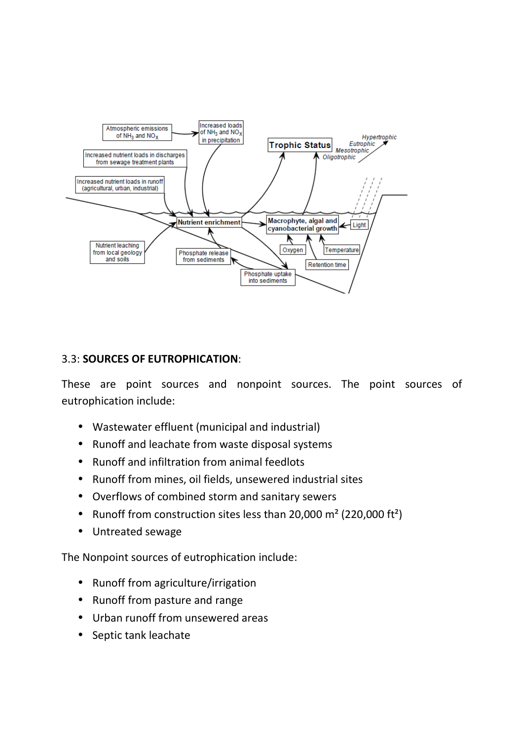

# 3.3: **SOURCES OF EUTROPHICATION**:

These are point sources and nonpoint sources. The point sources of eutrophication include:

- Wastewater effluent (municipal and industrial)
- Runoff and leachate from waste disposal systems
- Runoff and infiltration from animal feedlots
- Runoff from mines, oil fields, unsewered industrial sites
- Overflows of combined storm and sanitary sewers
- Runoff from construction sites less than 20,000 m<sup>2</sup> (220,000 ft<sup>2</sup>)
- Untreated sewage

The Nonpoint sources of eutrophication include:

- Runoff from agriculture/irrigation
- Runoff from pasture and range
- Urban runoff from unsewered areas
- Septic tank leachate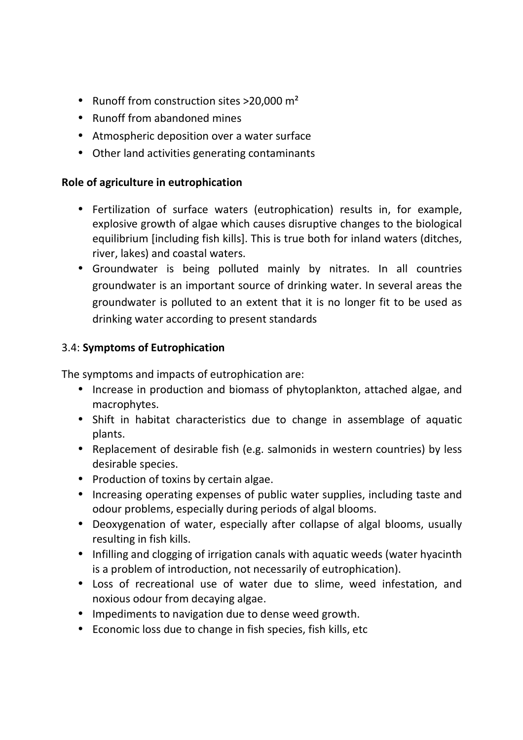- Runoff from construction sites >20,000 m<sup>2</sup>
- Runoff from abandoned mines
- Atmospheric deposition over a water surface
- Other land activities generating contaminants

### **Role of agriculture in eutrophication**

- Fertilization of surface waters (eutrophication) results in, for example, explosive growth of algae which causes disruptive changes to the biological equilibrium [including fish kills]. This is true both for inland waters (ditches, river, lakes) and coastal waters.
- Groundwater is being polluted mainly by nitrates. In all countries groundwater is an important source of drinking water. In several areas the groundwater is polluted to an extent that it is no longer fit to be used as drinking water according to present standards

# 3.4: **Symptoms of Eutrophication**

The symptoms and impacts of eutrophication are:

- Increase in production and biomass of phytoplankton, attached algae, and macrophytes.
- Shift in habitat characteristics due to change in assemblage of aquatic plants.
- Replacement of desirable fish (e.g. salmonids in western countries) by less desirable species.
- Production of toxins by certain algae.
- Increasing operating expenses of public water supplies, including taste and odour problems, especially during periods of algal blooms.
- Deoxygenation of water, especially after collapse of algal blooms, usually resulting in fish kills.
- Infilling and clogging of irrigation canals with aquatic weeds (water hyacinth is a problem of introduction, not necessarily of eutrophication).
- Loss of recreational use of water due to slime, weed infestation, and noxious odour from decaying algae.
- Impediments to navigation due to dense weed growth.
- Economic loss due to change in fish species, fish kills, etc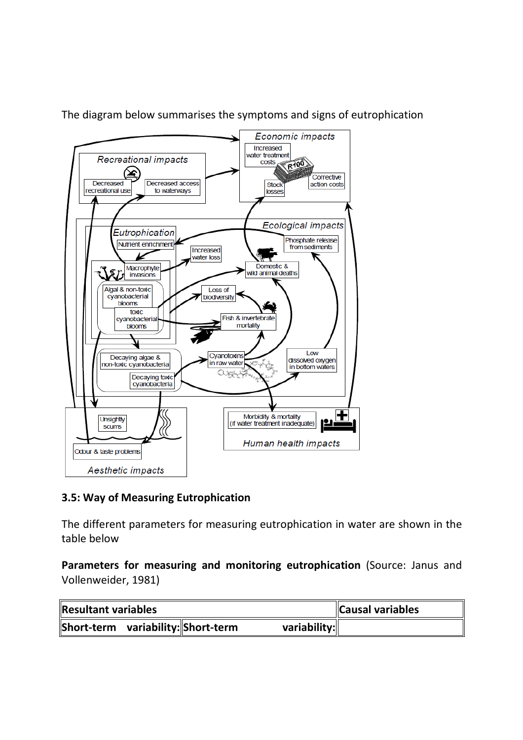

The diagram below summarises the symptoms and signs of eutrophication

# **3.5: Way of Measuring Eutrophication**

The different parameters for measuring eutrophication in water are shown in the table below

**Parameters for measuring and monitoring eutrophication** (Source: Janus and Vollenweider, 1981)

| <b>Resultant variables</b>         |  |  |              | <b>Causal variables</b> |
|------------------------------------|--|--|--------------|-------------------------|
| Short-term variability: Short-term |  |  | variability: |                         |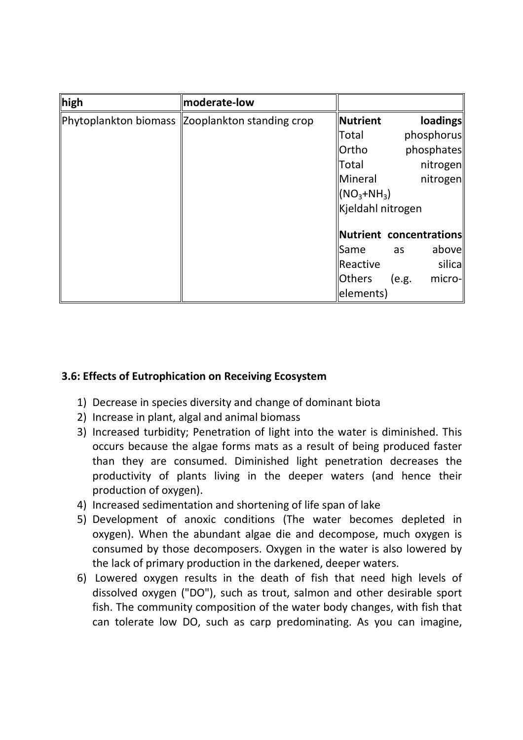| high | moderate-low                                    |                                                 |       |                         |
|------|-------------------------------------------------|-------------------------------------------------|-------|-------------------------|
|      | Phytoplankton biomass Zooplankton standing crop | Nutrient                                        |       | loadings                |
|      |                                                 | $\ $ Total                                      |       | phosphorus              |
|      |                                                 | <b>Ortho</b>                                    |       | phosphates              |
|      |                                                 | <b>Total</b>                                    |       | nitrogen                |
|      |                                                 | <b>Mineral</b>                                  |       | nitrogen                |
|      |                                                 | $\parallel$ (NO <sub>3</sub> +NH <sub>3</sub> ) |       |                         |
|      |                                                 | Kjeldahl nitrogen                               |       |                         |
|      |                                                 |                                                 |       | Nutrient concentrations |
|      |                                                 | <b>Same</b>                                     | as    | above                   |
|      |                                                 | <b>Reactive</b>                                 |       | silica                  |
|      |                                                 | <b>Others</b>                                   | (e.g. | micro-                  |
|      |                                                 | elements)                                       |       |                         |

# **3.6: Effects of Eutrophication on Receiving Ecosystem**

- 1) Decrease in species diversity and change of dominant biota
- 2) Increase in plant, algal and animal biomass
- 3) Increased turbidity; Penetration of light into the water is diminished. This occurs because the algae forms mats as a result of being produced faster than they are consumed. Diminished light penetration decreases the productivity of plants living in the deeper waters (and hence their production of oxygen).
- 4) Increased sedimentation and shortening of life span of lake
- 5) Development of anoxic conditions (The water becomes depleted in oxygen). When the abundant algae die and decompose, much oxygen is consumed by those decomposers. Oxygen in the water is also lowered by the lack of primary production in the darkened, deeper waters.
- 6) Lowered oxygen results in the death of fish that need high levels of dissolved oxygen ("DO"), such as trout, salmon and other desirable sport fish. The community composition of the water body changes, with fish that can tolerate low DO, such as carp predominating. As you can imagine,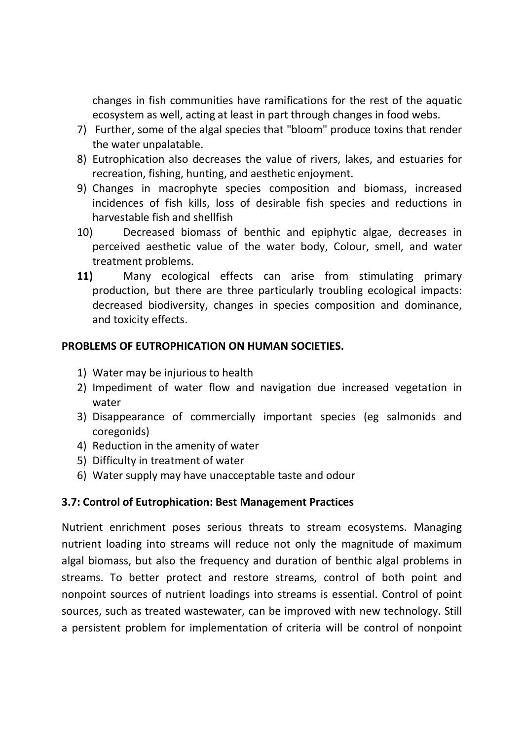changes in fish communities have ramifications for the rest of the aquatic ecosystem as well, acting at least in part through changes in food webs.

- 7) Further, some of the algal species that "bloom" produce toxins that render the water unpalatable.
- 8) Eutrophication also decreases the value of rivers, lakes, and estuaries for recreation, fishing, hunting, and aesthetic enjoyment.
- 9) Changes in macrophyte species composition and biomass, increased incidences of fish kills, loss of desirable fish species and reductions in harvestable fish and shellfish
- 10) Decreased biomass of benthic and epiphytic algae, decreases in perceived aesthetic value of the water body, Colour, smell, and water treatment problems.
- **11)** Many ecological effects can arise from stimulating primary production, but there are three particularly troubling ecological impacts: decreased biodiversity, changes in species composition and dominance, and toxicity effects.

### **PROBLEMS OF EUTROPHICATION ON HUMAN SOCIETIES.**

- 1) Water may be injurious to health
- 2) Impediment of water flow and navigation due increased vegetation in water
- 3) Disappearance of commercially important species (eg salmonids and coregonids)
- 4) Reduction in the amenity of water
- 5) Difficulty in treatment of water
- 6) Water supply may have unacceptable taste and odour

# **3.7: Control of Eutrophication: Best Management Practices**

Nutrient enrichment poses serious threats to stream ecosystems. Managing nutrient loading into streams will reduce not only the magnitude of maximum algal biomass, but also the frequency and duration of benthic algal problems in streams. To better protect and restore streams, control of both point and nonpoint sources of nutrient loadings into streams is essential. Control of point sources, such as treated wastewater, can be improved with new technology. Still a persistent problem for implementation of criteria will be control of nonpoint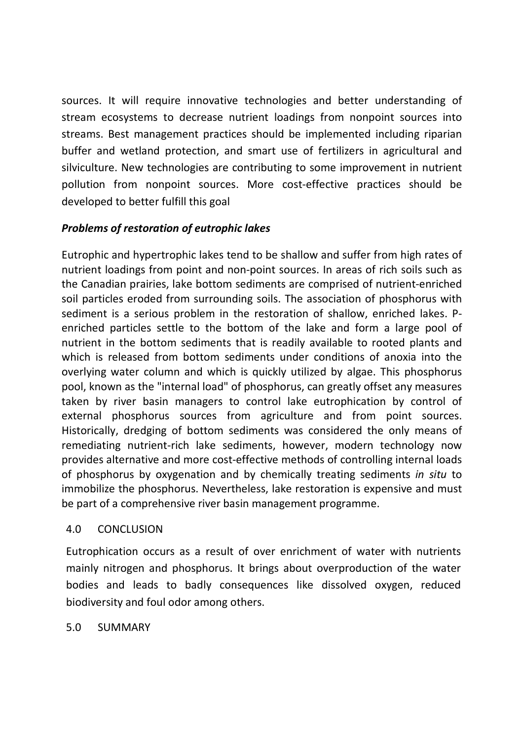sources. It will require innovative technologies and better understanding of stream ecosystems to decrease nutrient loadings from nonpoint sources into streams. Best management practices should be implemented including riparian buffer and wetland protection, and smart use of fertilizers in agricultural and silviculture. New technologies are contributing to some improvement in nutrient pollution from nonpoint sources. More cost-effective practices should be developed to better fulfill this goal

# *Problems of restoration of eutrophic lakes*

Eutrophic and hypertrophic lakes tend to be shallow and suffer from high rates of nutrient loadings from point and non-point sources. In areas of rich soils such as the Canadian prairies, lake bottom sediments are comprised of nutrient-enriched soil particles eroded from surrounding soils. The association of phosphorus with sediment is a serious problem in the restoration of shallow, enriched lakes. Penriched particles settle to the bottom of the lake and form a large pool of nutrient in the bottom sediments that is readily available to rooted plants and which is released from bottom sediments under conditions of anoxia into the overlying water column and which is quickly utilized by algae. This phosphorus pool, known as the "internal load" of phosphorus, can greatly offset any measures taken by river basin managers to control lake eutrophication by control of external phosphorus sources from agriculture and from point sources. Historically, dredging of bottom sediments was considered the only means of remediating nutrient-rich lake sediments, however, modern technology now provides alternative and more cost-effective methods of controlling internal loads of phosphorus by oxygenation and by chemically treating sediments *in situ* to immobilize the phosphorus. Nevertheless, lake restoration is expensive and must be part of a comprehensive river basin management programme.

# 4.0 CONCLUSION

Eutrophication occurs as a result of over enrichment of water with nutrients mainly nitrogen and phosphorus. It brings about overproduction of the water bodies and leads to badly consequences like dissolved oxygen, reduced biodiversity and foul odor among others.

#### 5.0 SUMMARY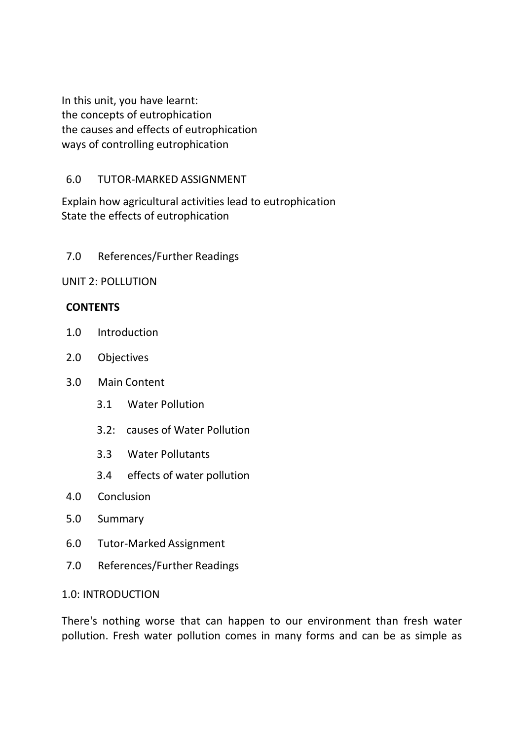In this unit, you have learnt: the concepts of eutrophication the causes and effects of eutrophication ways of controlling eutrophication

# 6.0 TUTOR-MARKED ASSIGNMENT

Explain how agricultural activities lead to eutrophication State the effects of eutrophication

# 7.0 References/Further Readings

# UNIT 2: POLLUTION

# **CONTENTS**

- 1.0 Introduction
- 2.0 Objectives
- 3.0 Main Content
	- 3.1 Water Pollution
	- 3.2: causes of Water Pollution
	- 3.3 Water Pollutants
	- 3.4 effects of water pollution
- 4.0 Conclusion
- 5.0 Summary
- 6.0 Tutor-Marked Assignment
- 7.0 References/Further Readings

#### 1.0: INTRODUCTION

There's nothing worse that can happen to our environment than fresh water pollution. Fresh water pollution comes in many forms and can be as simple as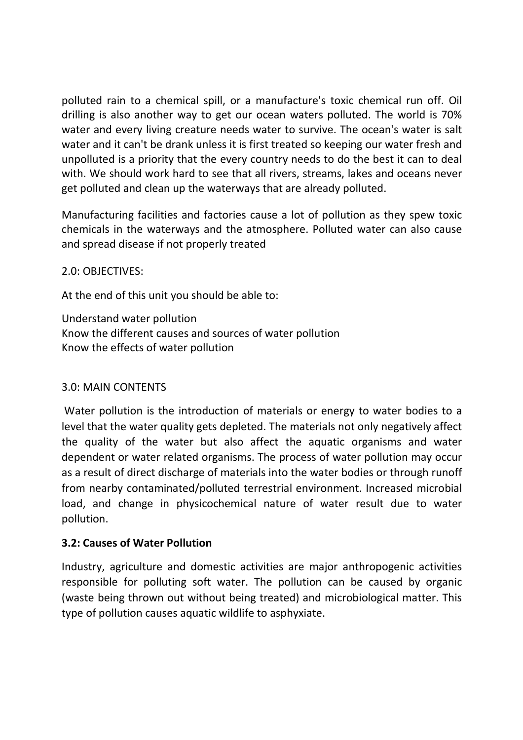polluted rain to a chemical spill, or a manufacture's toxic chemical run off. Oil drilling is also another way to get our ocean waters polluted. The world is 70% water and every living creature needs water to survive. The ocean's water is salt water and it can't be drank unless it is first treated so keeping our water fresh and unpolluted is a priority that the every country needs to do the best it can to deal with. We should work hard to see that all rivers, streams, lakes and oceans never get polluted and clean up the waterways that are already polluted.

Manufacturing facilities and factories cause a lot of pollution as they spew toxic chemicals in the waterways and the atmosphere. Polluted water can also cause and spread disease if not properly treated

# 2.0: OBJECTIVES:

At the end of this unit you should be able to:

Understand water pollution Know the different causes and sources of water pollution Know the effects of water pollution

# 3.0: MAIN CONTENTS

Water pollution is the introduction of materials or energy to water bodies to a level that the water quality gets depleted. The materials not only negatively affect the quality of the water but also affect the aquatic organisms and water dependent or water related organisms. The process of water pollution may occur as a result of direct discharge of materials into the water bodies or through runoff from nearby contaminated/polluted terrestrial environment. Increased microbial load, and change in physicochemical nature of water result due to water pollution.

# **3.2: Causes of Water Pollution**

Industry, agriculture and domestic activities are major anthropogenic activities responsible for polluting soft water. The pollution can be caused by organic (waste being thrown out without being treated) and microbiological matter. This type of pollution causes aquatic wildlife to asphyxiate.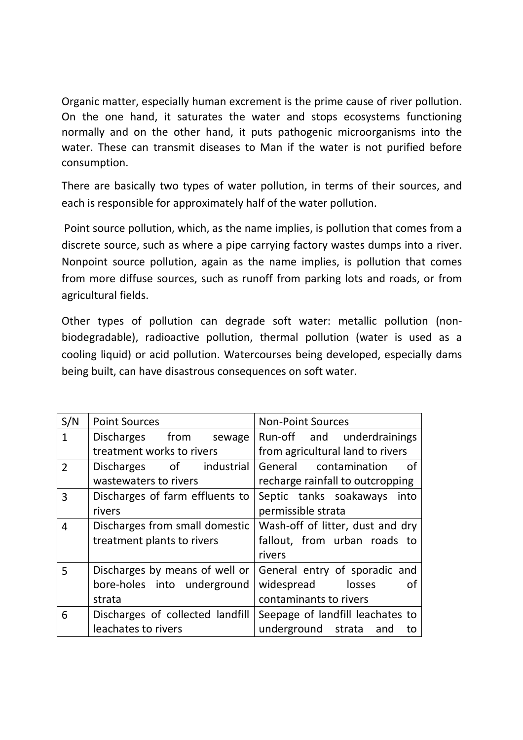Organic matter, especially human excrement is the prime cause of river pollution. On the one hand, it saturates the water and stops ecosystems functioning normally and on the other hand, it puts pathogenic microorganisms into the water. These can transmit diseases to Man if the water is not purified before consumption.

There are basically two types of water pollution, in terms of their sources, and each is responsible for approximately half of the water pollution.

 Point source pollution, which, as the name implies, is pollution that comes from a discrete source, such as where a pipe carrying factory wastes dumps into a river. Nonpoint source pollution, again as the name implies, is pollution that comes from more diffuse sources, such as runoff from parking lots and roads, or from agricultural fields.

Other types of pollution can degrade soft water: metallic pollution (nonbiodegradable), radioactive pollution, thermal pollution (water is used as a cooling liquid) or acid pollution. Watercourses being developed, especially dams being built, can have disastrous consequences on soft water.

| S/N            | <b>Point Sources</b>             | <b>Non-Point Sources</b>         |  |  |
|----------------|----------------------------------|----------------------------------|--|--|
| 1              | Discharges from sewage           | Run-off and underdrainings       |  |  |
|                | treatment works to rivers        | from agricultural land to rivers |  |  |
| $\overline{2}$ | Discharges of industrial         | General contamination<br>of      |  |  |
|                | wastewaters to rivers            | recharge rainfall to outcropping |  |  |
| $\overline{3}$ | Discharges of farm effluents to  | Septic tanks soakaways<br>into   |  |  |
|                | rivers                           | permissible strata               |  |  |
| $\overline{4}$ | Discharges from small domestic   | Wash-off of litter, dust and dry |  |  |
|                | treatment plants to rivers       | fallout, from urban roads to     |  |  |
|                |                                  | rivers                           |  |  |
| 5              | Discharges by means of well or   | General entry of sporadic and    |  |  |
|                | bore-holes into underground      | widespread losses<br>οf          |  |  |
|                | strata                           | contaminants to rivers           |  |  |
| 6              | Discharges of collected landfill | Seepage of landfill leachates to |  |  |
|                | leachates to rivers              | underground strata<br>and<br>to  |  |  |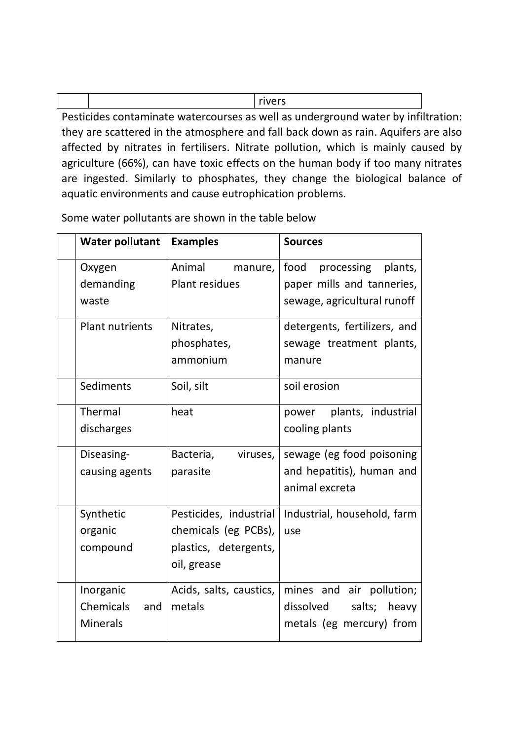| Desticides contaminate watercourses as well as underground water by infiltrati |
|--------------------------------------------------------------------------------|

Pesticides contaminate watercourses as well as underground water by infiltration: they are scattered in the atmosphere and fall back down as rain. Aquifers are also affected by nitrates in fertilisers. Nitrate pollution, which is mainly caused by agriculture (66%), can have toxic effects on the human body if too many nitrates are ingested. Similarly to phosphates, they change the biological balance of aquatic environments and cause eutrophication problems.

**Water pollutant | Examples | Sources | Sources |** Oxygen demanding waste Animal manure, Plant residues food processing plants, paper mills and tanneries, sewage, agricultural runoff Plant nutrients  $\vert$  Nitrates, phosphates, ammonium detergents, fertilizers, and sewage treatment plants, manure Sediments | Soil, silt | soil erosion Thermal discharges heat | power plants, industrial cooling plants Diseasingcausing agents Bacteria, viruses, parasite sewage (eg food poisoning and hepatitis), human and animal excreta Synthetic organic compound Pesticides, industrial chemicals (eg PCBs), plastics, detergents, oil, grease Industrial, household, farm use Inorganic Chemicals and **Minerals** Acids, salts, caustics, metals mines and air pollution; dissolved salts; heavy metals (eg mercury) from

Some water pollutants are shown in the table below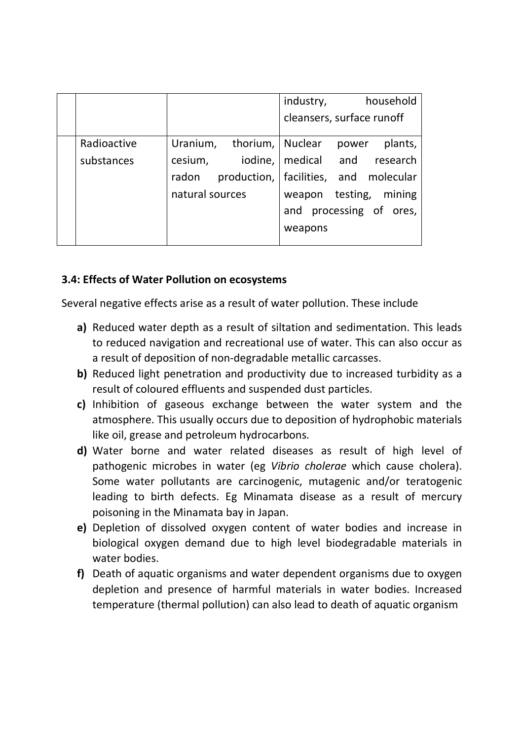|             |                 | industry,                 |       | household                             |
|-------------|-----------------|---------------------------|-------|---------------------------------------|
|             |                 | cleansers, surface runoff |       |                                       |
| Radioactive | Uranium,        | thorium,   Nuclear        | power | plants,                               |
| substances  | cesium,         |                           |       | iodine, medical and research          |
|             | radon           |                           |       | production, facilities, and molecular |
|             | natural sources |                           |       | weapon testing, mining                |
|             |                 |                           |       | and processing of ores,               |
|             |                 | weapons                   |       |                                       |
|             |                 |                           |       |                                       |

# **3.4: Effects of Water Pollution on ecosystems**

Several negative effects arise as a result of water pollution. These include

- **a)** Reduced water depth as a result of siltation and sedimentation. This leads to reduced navigation and recreational use of water. This can also occur as a result of deposition of non-degradable metallic carcasses.
- **b)** Reduced light penetration and productivity due to increased turbidity as a result of coloured effluents and suspended dust particles.
- **c)** Inhibition of gaseous exchange between the water system and the atmosphere. This usually occurs due to deposition of hydrophobic materials like oil, grease and petroleum hydrocarbons.
- **d)** Water borne and water related diseases as result of high level of pathogenic microbes in water (eg *Vibrio cholerae* which cause cholera). Some water pollutants are carcinogenic, mutagenic and/or teratogenic leading to birth defects. Eg Minamata disease as a result of mercury poisoning in the Minamata bay in Japan.
- **e)** Depletion of dissolved oxygen content of water bodies and increase in biological oxygen demand due to high level biodegradable materials in water bodies.
- **f)** Death of aquatic organisms and water dependent organisms due to oxygen depletion and presence of harmful materials in water bodies. Increased temperature (thermal pollution) can also lead to death of aquatic organism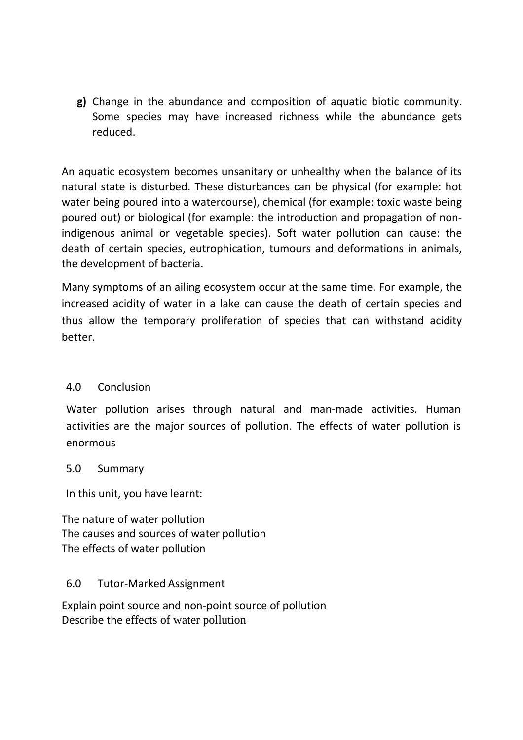**g)** Change in the abundance and composition of aquatic biotic community. Some species may have increased richness while the abundance gets reduced.

An aquatic ecosystem becomes unsanitary or unhealthy when the balance of its natural state is disturbed. These disturbances can be physical (for example: hot water being poured into a watercourse), chemical (for example: toxic waste being poured out) or biological (for example: the introduction and propagation of nonindigenous animal or vegetable species). Soft water pollution can cause: the death of certain species, eutrophication, tumours and deformations in animals, the development of bacteria.

Many symptoms of an ailing ecosystem occur at the same time. For example, the increased acidity of water in a lake can cause the death of certain species and thus allow the temporary proliferation of species that can withstand acidity better.

# 4.0 Conclusion

Water pollution arises through natural and man-made activities. Human activities are the major sources of pollution. The effects of water pollution is enormous

#### 5.0 Summary

In this unit, you have learnt:

The nature of water pollution The causes and sources of water pollution The effects of water pollution

#### 6.0 Tutor-Marked Assignment

Explain point source and non-point source of pollution Describe the effects of water pollution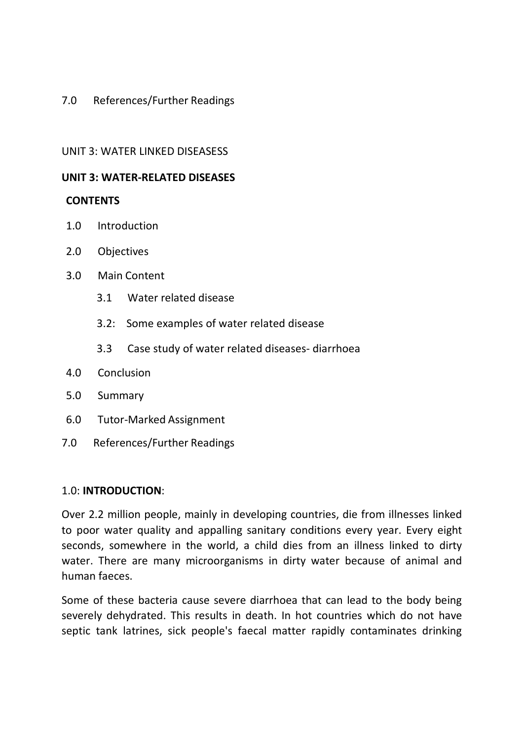### 7.0 References/Further Readings

#### UNIT 3: WATER LINKED DISEASESS

#### **UNIT 3: WATER-RELATED DISEASES**

#### **CONTENTS**

- 1.0 Introduction
- 2.0 Objectives
- 3.0 Main Content
	- 3.1 Water related disease
	- 3.2: Some examples of water related disease
	- 3.3 Case study of water related diseases- diarrhoea
- 4.0 Conclusion
- 5.0 Summary
- 6.0 Tutor-Marked Assignment
- 7.0 References/Further Readings

#### 1.0: **INTRODUCTION**:

Over 2.2 million people, mainly in developing countries, die from illnesses linked to poor water quality and appalling sanitary conditions every year. Every eight seconds, somewhere in the world, a child dies from an illness linked to dirty water. There are many microorganisms in dirty water because of animal and human faeces.

Some of these bacteria cause severe diarrhoea that can lead to the body being severely dehydrated. This results in death. In hot countries which do not have septic tank latrines, sick people's faecal matter rapidly contaminates drinking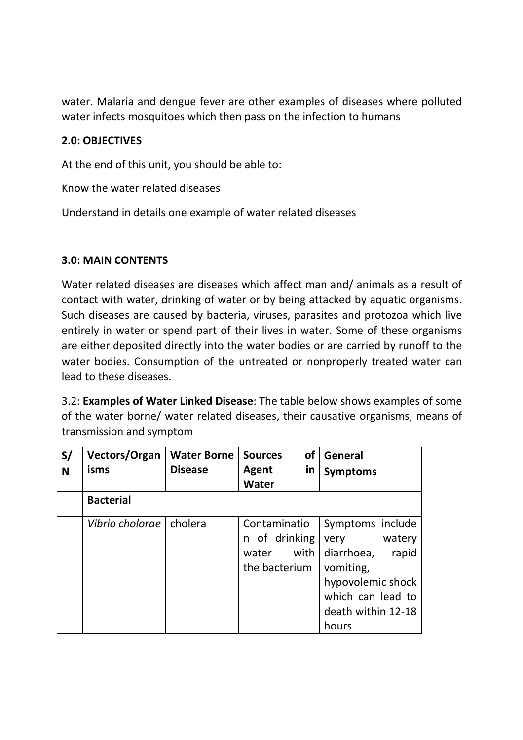water. Malaria and dengue fever are other examples of diseases where polluted water infects mosquitoes which then pass on the infection to humans

# **2.0: OBJECTIVES**

At the end of this unit, you should be able to:

Know the water related diseases

Understand in details one example of water related diseases

### **3.0: MAIN CONTENTS**

Water related diseases are diseases which affect man and/ animals as a result of contact with water, drinking of water or by being attacked by aquatic organisms. Such diseases are caused by bacteria, viruses, parasites and protozoa which live entirely in water or spend part of their lives in water. Some of these organisms are either deposited directly into the water bodies or are carried by runoff to the water bodies. Consumption of the untreated or nonproperly treated water can lead to these diseases.

3.2: **Examples of Water Linked Disease**: The table below shows examples of some of the water borne/ water related diseases, their causative organisms, means of transmission and symptom

| S/<br>N | Vectors/Organ<br>isms | <b>Water Borne</b><br><b>Disease</b> | οf<br><b>Sources</b><br>Agent<br><u>in</u><br>Water             | <b>General</b><br><b>Symptoms</b>                                                                                                               |
|---------|-----------------------|--------------------------------------|-----------------------------------------------------------------|-------------------------------------------------------------------------------------------------------------------------------------------------|
|         | <b>Bacterial</b>      |                                      |                                                                 |                                                                                                                                                 |
|         | Vibrio cholorae       | cholera                              | Contaminatio<br>n of drinking<br>with<br>water<br>the bacterium | Symptoms include<br>very<br>watery<br>diarrhoea,<br>rapid<br>vomiting,<br>hypovolemic shock<br>which can lead to<br>death within 12-18<br>hours |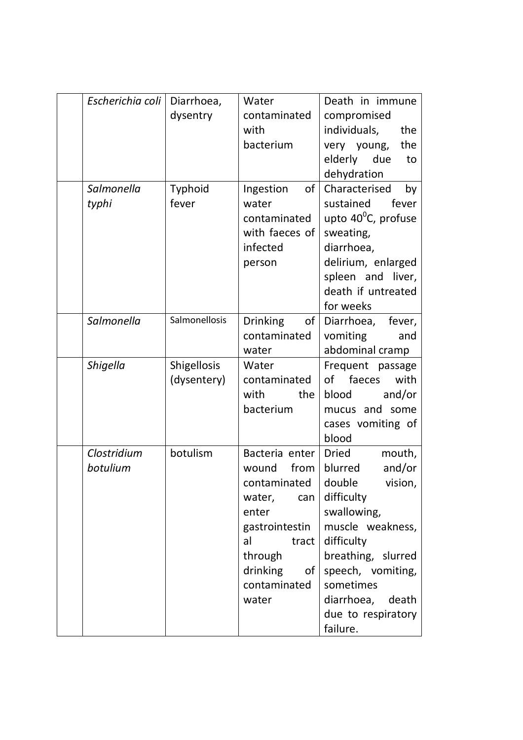| Escherichia coli | Diarrhoea,         | Water                 | Death in immune              |
|------------------|--------------------|-----------------------|------------------------------|
|                  | dysentry           | contaminated          | compromised                  |
|                  |                    | with                  | individuals,<br>the          |
|                  |                    | bacterium             | the<br>very young,           |
|                  |                    |                       | elderly due<br>to            |
|                  |                    |                       | dehydration                  |
| Salmonella       | <b>Typhoid</b>     | Ingestion<br>0f       | Characterised<br>by          |
| typhi            | fever              | water                 | fever<br>sustained           |
|                  |                    | contaminated          | upto $40^{\circ}$ C, profuse |
|                  |                    | with faeces of        | sweating,                    |
|                  |                    | infected              | diarrhoea,                   |
|                  |                    | person                | delirium, enlarged           |
|                  |                    |                       | spleen and liver,            |
|                  |                    |                       | death if untreated           |
|                  |                    |                       | for weeks                    |
| Salmonella       | Salmonellosis      | <b>Drinking</b><br>0f | Diarrhoea, fever,            |
|                  |                    | contaminated          | vomiting<br>and              |
|                  |                    | water                 | abdominal cramp              |
| <b>Shigella</b>  | <b>Shigellosis</b> | Water                 | Frequent passage             |
|                  | (dysentery)        | contaminated          | of<br>faeces<br>with         |
|                  |                    | the<br>with           | and/or<br>blood              |
|                  |                    | bacterium             | mucus and some               |
|                  |                    |                       | cases vomiting of            |
|                  |                    |                       | blood                        |
| Clostridium      | botulism           | Bacteria enter        | Dried<br>mouth,              |
| botulium         |                    | wound<br>from         | blurred<br>and/or            |
|                  |                    | contaminated          | double<br>vision,            |
|                  |                    | water,<br>can         | difficulty                   |
|                  |                    | enter                 | swallowing,                  |
|                  |                    | gastrointestin        | muscle weakness,             |
|                  |                    | al<br>tract           | difficulty                   |
|                  |                    | through               | breathing, slurred           |
|                  |                    | drinking<br>of        | speech, vomiting,            |
|                  |                    | contaminated          | sometimes                    |
|                  |                    | water                 | diarrhoea, death             |
|                  |                    |                       | due to respiratory           |
|                  |                    |                       | failure.                     |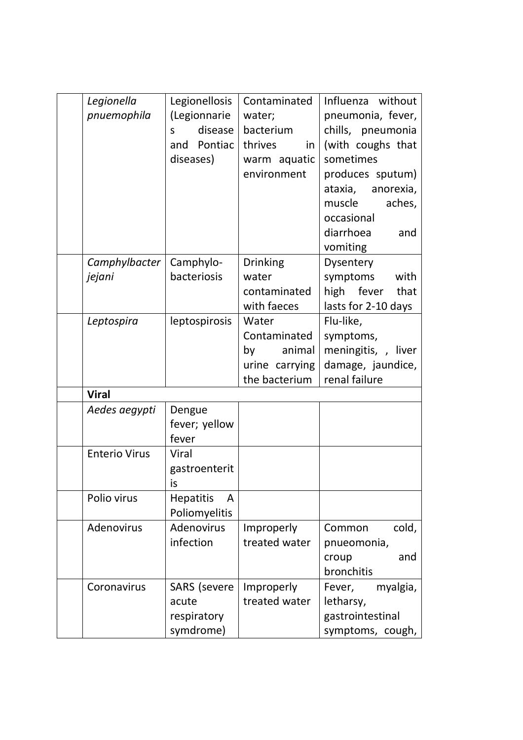| Legionella           | Legionellosis          | Contaminated    | Influenza without    |
|----------------------|------------------------|-----------------|----------------------|
| pnuemophila          | (Legionnarie           | water;          | pneumonia, fever,    |
|                      | disease<br>S           | bacterium       | chills, pneumonia    |
|                      | Pontiac<br>and         | thrives<br>in   | (with coughs that    |
|                      | diseases)              | warm aquatic    | sometimes            |
|                      |                        | environment     | produces sputum)     |
|                      |                        |                 | ataxia,<br>anorexia, |
|                      |                        |                 | muscle<br>aches,     |
|                      |                        |                 | occasional           |
|                      |                        |                 | diarrhoea<br>and     |
|                      |                        |                 | vomiting             |
| Camphylbacter        | Camphylo-              | <b>Drinking</b> | Dysentery            |
| jejani               | bacteriosis            | water           | symptoms<br>with     |
|                      |                        | contaminated    | high fever<br>that   |
|                      |                        | with faeces     | lasts for 2-10 days  |
| Leptospira           | leptospirosis          | Water           | Flu-like,            |
|                      |                        | Contaminated    | symptoms,            |
|                      |                        | animal<br>by    | meningitis, , liver  |
|                      |                        | urine carrying  | damage, jaundice,    |
|                      |                        | the bacterium   | renal failure        |
| <b>Viral</b>         |                        |                 |                      |
| Aedes aegypti        | Dengue                 |                 |                      |
|                      | fever; yellow<br>fever |                 |                      |
| <b>Enterio Virus</b> | Viral                  |                 |                      |
|                      |                        |                 |                      |
|                      | gastroenterit<br>is    |                 |                      |
| Polio virus          | <b>Hepatitis</b><br>A  |                 |                      |
|                      | Poliomyelitis          |                 |                      |
| Adenovirus           | Adenovirus             | Improperly      | Common<br>cold,      |
|                      | infection              | treated water   | pnueomonia,          |
|                      |                        |                 | croup<br>and         |
|                      |                        |                 | bronchitis           |
| Coronavirus          | <b>SARS</b> (severe    | Improperly      | myalgia,<br>Fever,   |
|                      | acute                  | treated water   | letharsy,            |
|                      | respiratory            |                 | gastrointestinal     |
|                      | symdrome)              |                 | symptoms, cough,     |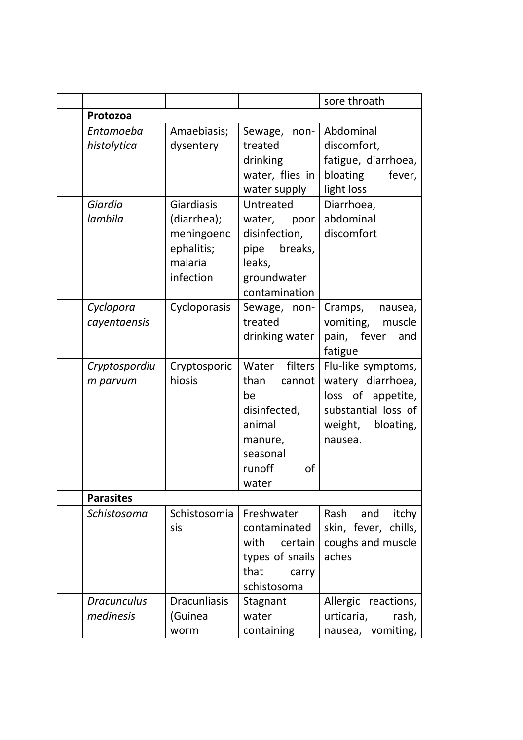|                    |                     |                  | sore throath         |
|--------------------|---------------------|------------------|----------------------|
| Protozoa           |                     |                  |                      |
| Entamoeba          | Amaebiasis;         | Sewage,<br>non-  | Abdominal            |
| histolytica        | dysentery           | treated          | discomfort,          |
|                    |                     | drinking         | fatigue, diarrhoea,  |
|                    |                     | water, flies in  | bloating<br>fever,   |
|                    |                     | water supply     | light loss           |
| Giardia            | Giardiasis          | Untreated        | Diarrhoea,           |
| lambila            | (diarrhea);         | water, poor      | abdominal            |
|                    | meningoenc          | disinfection,    | discomfort           |
|                    | ephalitis;          | breaks,<br>pipe  |                      |
|                    | malaria             | leaks,           |                      |
|                    | infection           | groundwater      |                      |
|                    |                     | contamination    |                      |
| Cyclopora          | Cycloporasis        | Sewage, non-     | Cramps,<br>nausea,   |
| cayentaensis       |                     | treated          | vomiting,<br>muscle  |
|                    |                     | drinking water   | pain, fever<br>and   |
|                    |                     |                  | fatigue              |
| Cryptospordiu      | Cryptosporic        | filters<br>Water | Flu-like symptoms,   |
| m parvum           | hiosis              | than<br>cannot   | watery diarrhoea,    |
|                    |                     | be               | loss of appetite,    |
|                    |                     | disinfected,     | substantial loss of  |
|                    |                     | animal           | weight, bloating,    |
|                    |                     | manure,          | nausea.              |
|                    |                     | seasonal         |                      |
|                    |                     | runoff<br>of     |                      |
|                    |                     | water            |                      |
| <b>Parasites</b>   |                     |                  |                      |
| Schistosoma        | Schistosomia        | Freshwater       | Rash<br>and<br>itchy |
|                    | sis                 | contaminated     | skin, fever, chills, |
|                    |                     | with<br>certain  | coughs and muscle    |
|                    |                     | types of snails  | aches                |
|                    |                     | that<br>carry    |                      |
|                    |                     | schistosoma      |                      |
| <b>Dracunculus</b> | <b>Dracunliasis</b> | Stagnant         | Allergic reactions,  |
| medinesis          | (Guinea             | water            | urticaria,<br>rash,  |
|                    | worm                | containing       | nausea, vomiting,    |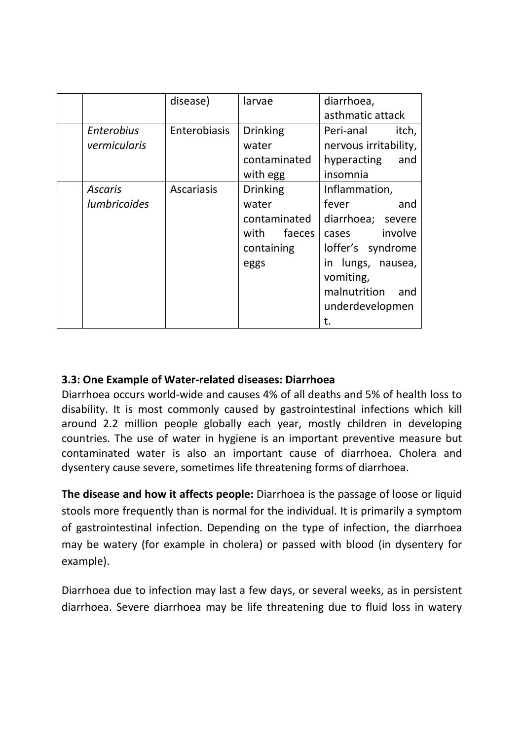|                     | disease)          | larvae          | diarrhoea,            |
|---------------------|-------------------|-----------------|-----------------------|
|                     |                   |                 | asthmatic attack      |
| Enterobius          | Enterobiasis      | <b>Drinking</b> | itch,<br>Peri-anal    |
| vermicularis        |                   | water           | nervous irritability, |
|                     |                   | contaminated    | hyperacting<br>and    |
|                     |                   | with egg        | insomnia              |
| <b>Ascaris</b>      | <b>Ascariasis</b> | <b>Drinking</b> | Inflammation,         |
| <i>lumbricoides</i> |                   | water           | fever<br>and          |
|                     |                   | contaminated    | diarrhoea; severe     |
|                     |                   | with<br>faeces  | involve<br>cases      |
|                     |                   | containing      | loffer's syndrome     |
|                     |                   | eggs            | in lungs, nausea,     |
|                     |                   |                 | vomiting,             |
|                     |                   |                 | malnutrition<br>and   |
|                     |                   |                 | underdevelopmen       |
|                     |                   |                 | t.                    |

# **3.3: One Example of Water-related diseases: Diarrhoea**

Diarrhoea occurs world-wide and causes 4% of all deaths and 5% of health loss to disability. It is most commonly caused by gastrointestinal infections which kill around 2.2 million people globally each year, mostly children in developing countries. The use of water in hygiene is an important preventive measure but contaminated water is also an important cause of diarrhoea. Cholera and dysentery cause severe, sometimes life threatening forms of diarrhoea.

**The disease and how it affects people:** Diarrhoea is the passage of loose or liquid stools more frequently than is normal for the individual. It is primarily a symptom of gastrointestinal infection. Depending on the type of infection, the diarrhoea may be watery (for example in cholera) or passed with blood (in dysentery for example).

Diarrhoea due to infection may last a few days, or several weeks, as in persistent diarrhoea. Severe diarrhoea may be life threatening due to fluid loss in watery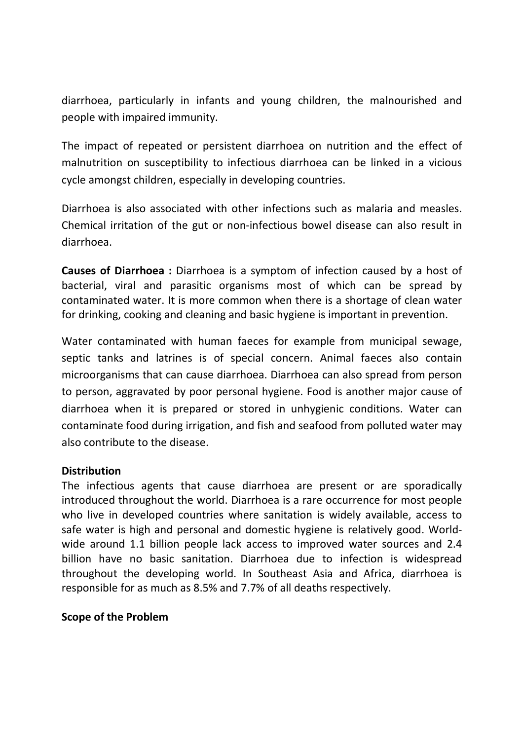diarrhoea, particularly in infants and young children, the malnourished and people with impaired immunity.

The impact of repeated or persistent diarrhoea on nutrition and the effect of malnutrition on susceptibility to infectious diarrhoea can be linked in a vicious cycle amongst children, especially in developing countries.

Diarrhoea is also associated with other infections such as malaria and measles. Chemical irritation of the gut or non-infectious bowel disease can also result in diarrhoea.

**Causes of Diarrhoea :** Diarrhoea is a symptom of infection caused by a host of bacterial, viral and parasitic organisms most of which can be spread by contaminated water. It is more common when there is a shortage of clean water for drinking, cooking and cleaning and basic hygiene is important in prevention.

Water contaminated with human faeces for example from municipal sewage, septic tanks and latrines is of special concern. Animal faeces also contain microorganisms that can cause diarrhoea. Diarrhoea can also spread from person to person, aggravated by poor personal hygiene. Food is another major cause of diarrhoea when it is prepared or stored in unhygienic conditions. Water can contaminate food during irrigation, and fish and seafood from polluted water may also contribute to the disease.

#### **Distribution**

The infectious agents that cause diarrhoea are present or are sporadically introduced throughout the world. Diarrhoea is a rare occurrence for most people who live in developed countries where sanitation is widely available, access to safe water is high and personal and domestic hygiene is relatively good. Worldwide around 1.1 billion people lack access to improved water sources and 2.4 billion have no basic sanitation. Diarrhoea due to infection is widespread throughout the developing world. In Southeast Asia and Africa, diarrhoea is responsible for as much as 8.5% and 7.7% of all deaths respectively.

#### **Scope of the Problem**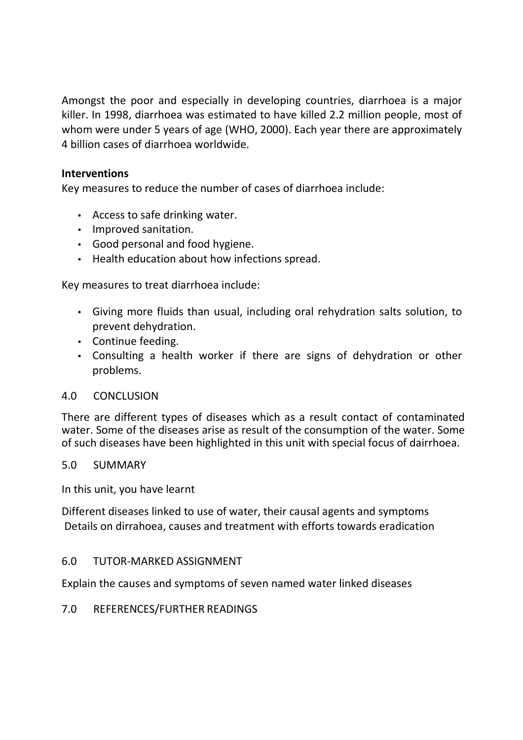Amongst the poor and especially in developing countries, diarrhoea is a major killer. In 1998, diarrhoea was estimated to have killed 2.2 million people, most of whom were under 5 years of age (WHO, 2000). Each year there are approximately 4 billion cases of diarrhoea worldwide.

### **Interventions**

Key measures to reduce the number of cases of diarrhoea include:

- Access to safe drinking water.
- Improved sanitation.
- Good personal and food hygiene.
- Health education about how infections spread.

Key measures to treat diarrhoea include:

- Giving more fluids than usual, including oral rehydration salts solution, to prevent dehydration.
- Continue feeding.
- Consulting a health worker if there are signs of dehydration or other problems.

#### 4.0 CONCLUSION

There are different types of diseases which as a result contact of contaminated water. Some of the diseases arise as result of the consumption of the water. Some of such diseases have been highlighted in this unit with special focus of dairrhoea.

#### 5.0 SUMMARY

In this unit, you have learnt

Different diseases linked to use of water, their causal agents and symptoms Details on dirrahoea, causes and treatment with efforts towards eradication

#### 6.0 TUTOR-MARKED ASSIGNMENT

Explain the causes and symptoms of seven named water linked diseases

#### 7.0 REFERENCES/FURTHER READINGS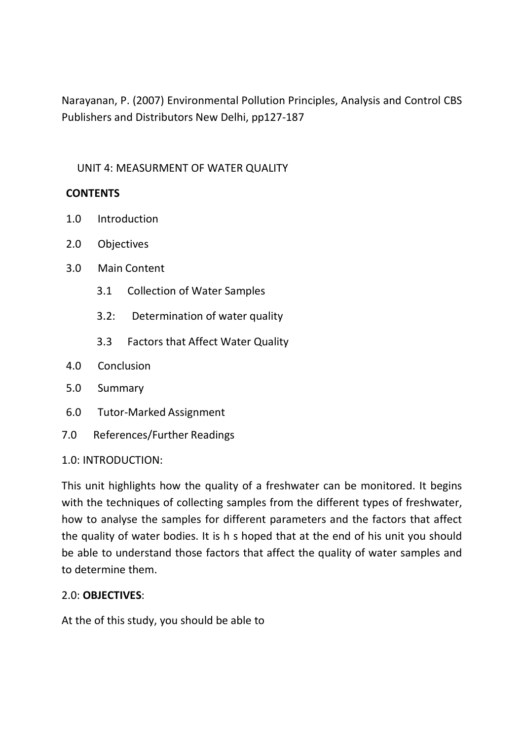Narayanan, P. (2007) Environmental Pollution Principles, Analysis and Control CBS Publishers and Distributors New Delhi, pp127-187

# UNIT 4: MEASURMENT OF WATER QUALITY

# **CONTENTS**

- 1.0 Introduction
- 2.0 Objectives
- 3.0 Main Content
	- 3.1 Collection of Water Samples
	- 3.2: Determination of water quality
	- 3.3 Factors that Affect Water Quality
- 4.0 Conclusion
- 5.0 Summary
- 6.0 Tutor-Marked Assignment
- 7.0 References/Further Readings

# 1.0: INTRODUCTION:

This unit highlights how the quality of a freshwater can be monitored. It begins with the techniques of collecting samples from the different types of freshwater, how to analyse the samples for different parameters and the factors that affect the quality of water bodies. It is h s hoped that at the end of his unit you should be able to understand those factors that affect the quality of water samples and to determine them.

# 2.0: **OBJECTIVES**:

At the of this study, you should be able to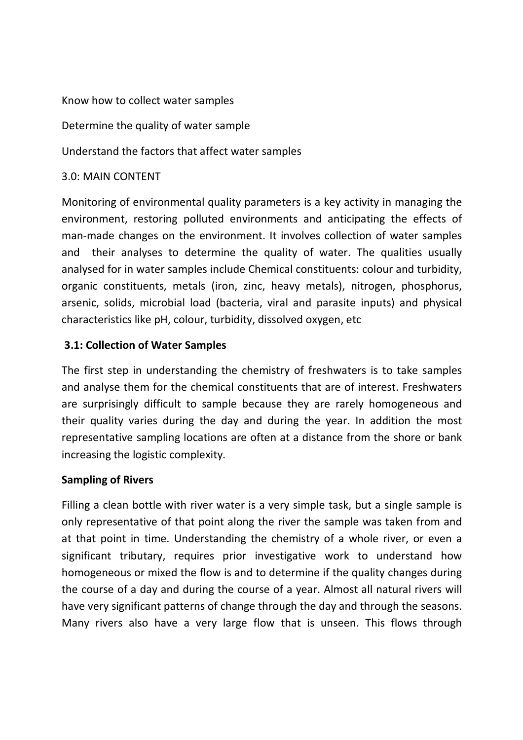Know how to collect water samples Determine the quality of water sample Understand the factors that affect water samples

# 3.0: MAIN CONTENT

Monitoring of environmental quality parameters is a key activity in managing the environment, restoring polluted environments and anticipating the effects of man-made changes on the environment. It involves collection of water samples and their analyses to determine the quality of water. The qualities usually analysed for in water samples include Chemical constituents: colour and turbidity, organic constituents, metals (iron, zinc, heavy metals), nitrogen, phosphorus, arsenic, solids, microbial load (bacteria, viral and parasite inputs) and physical characteristics like pH, colour, turbidity, dissolved oxygen, etc

# **3.1: Collection of Water Samples**

The first step in understanding the chemistry of freshwaters is to take samples and analyse them for the chemical constituents that are of interest. Freshwaters are surprisingly difficult to sample because they are rarely homogeneous and their quality varies during the day and during the year. In addition the most representative sampling locations are often at a distance from the shore or bank increasing the logistic complexity.

# **Sampling of Rivers**

Filling a clean bottle with river water is a very simple task, but a single sample is only representative of that point along the river the sample was taken from and at that point in time. Understanding the chemistry of a whole river, or even a significant tributary, requires prior investigative work to understand how homogeneous or mixed the flow is and to determine if the quality changes during the course of a day and during the course of a year. Almost all natural rivers will have very significant patterns of change through the day and through the seasons. Many rivers also have a very large flow that is unseen. This flows through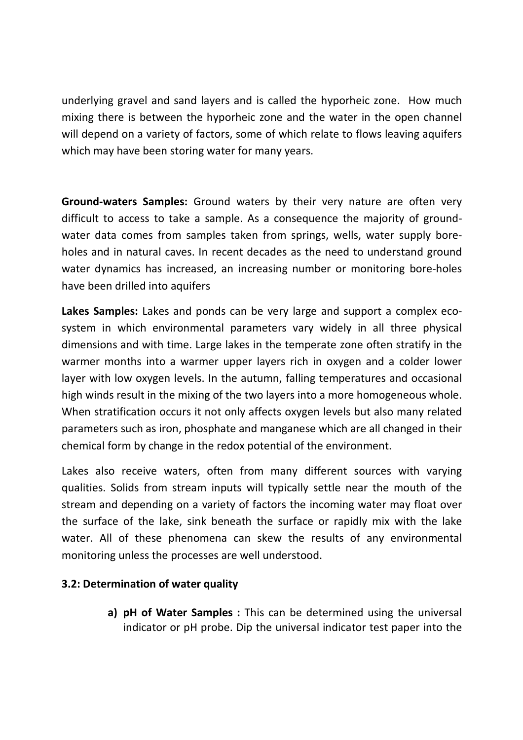underlying gravel and sand layers and is called the hyporheic zone. How much mixing there is between the hyporheic zone and the water in the open channel will depend on a variety of factors, some of which relate to flows leaving aquifers which may have been storing water for many years.

**Ground-waters Samples:** Ground waters by their very nature are often very difficult to access to take a sample. As a consequence the majority of groundwater data comes from samples taken from springs, wells, water supply boreholes and in natural caves. In recent decades as the need to understand ground water dynamics has increased, an increasing number or monitoring bore-holes have been drilled into aquifers

**Lakes Samples:** Lakes and ponds can be very large and support a complex ecosystem in which environmental parameters vary widely in all three physical dimensions and with time. Large lakes in the temperate zone often stratify in the warmer months into a warmer upper layers rich in oxygen and a colder lower layer with low oxygen levels. In the autumn, falling temperatures and occasional high winds result in the mixing of the two layers into a more homogeneous whole. When stratification occurs it not only affects oxygen levels but also many related parameters such as iron, phosphate and manganese which are all changed in their chemical form by change in the redox potential of the environment.

Lakes also receive waters, often from many different sources with varying qualities. Solids from stream inputs will typically settle near the mouth of the stream and depending on a variety of factors the incoming water may float over the surface of the lake, sink beneath the surface or rapidly mix with the lake water. All of these phenomena can skew the results of any environmental monitoring unless the processes are well understood.

# **3.2: Determination of water quality**

**a) pH of Water Samples :** This can be determined using the universal indicator or pH probe. Dip the universal indicator test paper into the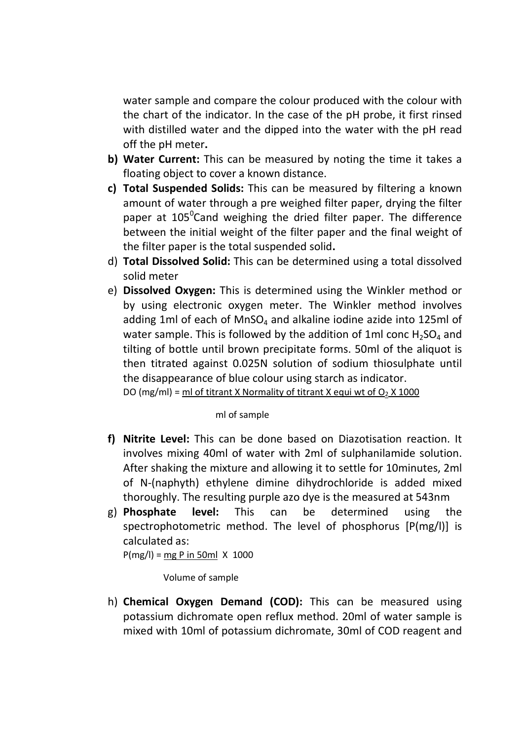water sample and compare the colour produced with the colour with the chart of the indicator. In the case of the pH probe, it first rinsed with distilled water and the dipped into the water with the pH read off the pH meter**.** 

- **b) Water Current:** This can be measured by noting the time it takes a floating object to cover a known distance.
- **c) Total Suspended Solids:** This can be measured by filtering a known amount of water through a pre weighed filter paper, drying the filter paper at  $105^0$ Cand weighing the dried filter paper. The difference between the initial weight of the filter paper and the final weight of the filter paper is the total suspended solid**.**
- d) **Total Dissolved Solid:** This can be determined using a total dissolved solid meter
- e) **Dissolved Oxygen:** This is determined using the Winkler method or by using electronic oxygen meter. The Winkler method involves adding 1ml of each of  $MnSO<sub>4</sub>$  and alkaline iodine azide into 125ml of water sample. This is followed by the addition of 1ml conc  $H_2SO_4$  and tilting of bottle until brown precipitate forms. 50ml of the aliquot is then titrated against 0.025N solution of sodium thiosulphate until the disappearance of blue colour using starch as indicator. DO (mg/ml) = ml of titrant X Normality of titrant X equi wt of  $O_2$  X 1000

ml of sample

- **f) Nitrite Level:** This can be done based on Diazotisation reaction. It involves mixing 40ml of water with 2ml of sulphanilamide solution. After shaking the mixture and allowing it to settle for 10minutes, 2ml of N-(naphyth) ethylene dimine dihydrochloride is added mixed thoroughly. The resulting purple azo dye is the measured at 543nm
- g) **Phosphate level:** This can be determined using the spectrophotometric method. The level of phosphorus [P(mg/l)] is calculated as:

 $P(mg/I) = mg P$  in 50ml  $X$  1000

Volume of sample

h) **Chemical Oxygen Demand (COD):** This can be measured using potassium dichromate open reflux method. 20ml of water sample is mixed with 10ml of potassium dichromate, 30ml of COD reagent and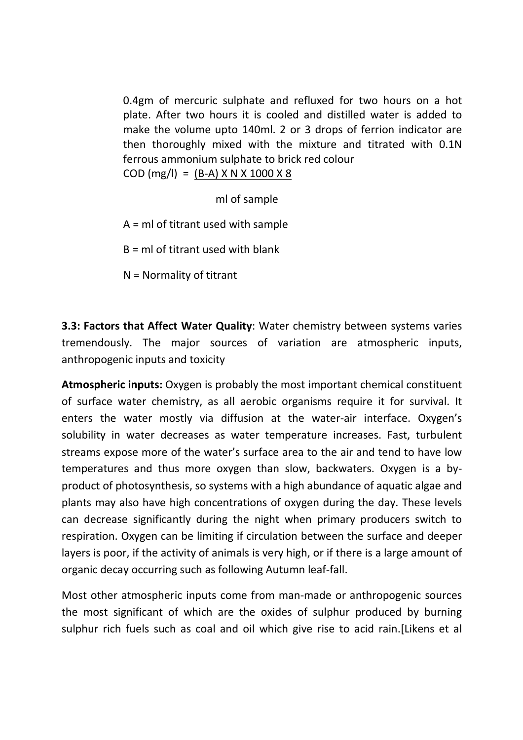0.4gm of mercuric sulphate and refluxed for two hours on a hot plate. After two hours it is cooled and distilled water is added to make the volume upto 140ml. 2 or 3 drops of ferrion indicator are then thoroughly mixed with the mixture and titrated with 0.1N ferrous ammonium sulphate to brick red colour

COD (mg/l) = (B-A) X N X 1000 X 8

ml of sample

A = ml of titrant used with sample

 $B = mI$  of titrant used with blank

N = Normality of titrant

**3.3: Factors that Affect Water Quality**: Water chemistry between systems varies tremendously. The major sources of variation are atmospheric inputs, anthropogenic inputs and toxicity

**Atmospheric inputs:** Oxygen is probably the most important chemical constituent of surface water chemistry, as all aerobic organisms require it for survival. It enters the water mostly via diffusion at the water-air interface. Oxygen's solubility in water decreases as water temperature increases. Fast, turbulent streams expose more of the water's surface area to the air and tend to have low temperatures and thus more oxygen than slow, backwaters. Oxygen is a byproduct of photosynthesis, so systems with a high abundance of aquatic algae and plants may also have high concentrations of oxygen during the day. These levels can decrease significantly during the night when primary producers switch to respiration. Oxygen can be limiting if circulation between the surface and deeper layers is poor, if the activity of animals is very high, or if there is a large amount of organic decay occurring such as following Autumn leaf-fall.

Most other atmospheric inputs come from man-made or anthropogenic sources the most significant of which are the oxides of sulphur produced by burning sulphur rich fuels such as coal and oil which give rise to acid rain.[Likens et al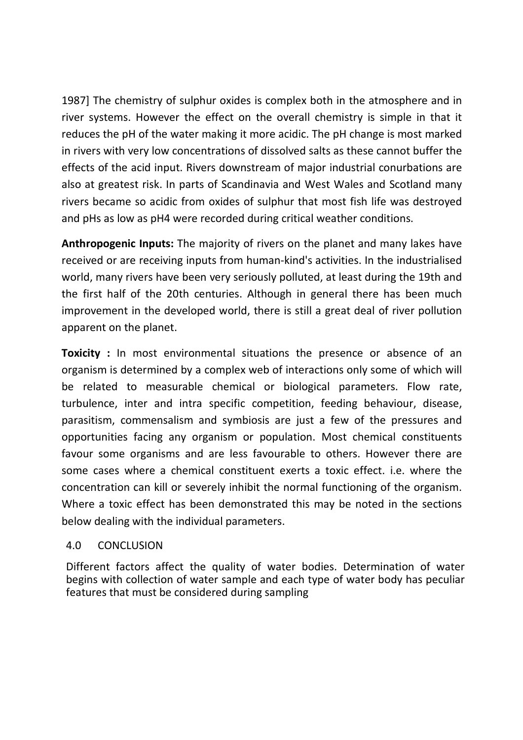1987] The chemistry of sulphur oxides is complex both in the atmosphere and in river systems. However the effect on the overall chemistry is simple in that it reduces the pH of the water making it more acidic. The pH change is most marked in rivers with very low concentrations of dissolved salts as these cannot buffer the effects of the acid input. Rivers downstream of major industrial conurbations are also at greatest risk. In parts of Scandinavia and West Wales and Scotland many rivers became so acidic from oxides of sulphur that most fish life was destroyed and pHs as low as pH4 were recorded during critical weather conditions.

**Anthropogenic Inputs:** The majority of rivers on the planet and many lakes have received or are receiving inputs from human-kind's activities. In the industrialised world, many rivers have been very seriously polluted, at least during the 19th and the first half of the 20th centuries. Although in general there has been much improvement in the developed world, there is still a great deal of river pollution apparent on the planet.

**Toxicity** : In most environmental situations the presence or absence of an organism is determined by a complex web of interactions only some of which will be related to measurable chemical or biological parameters. Flow rate, turbulence, inter and intra specific competition, feeding behaviour, disease, parasitism, commensalism and symbiosis are just a few of the pressures and opportunities facing any organism or population. Most chemical constituents favour some organisms and are less favourable to others. However there are some cases where a chemical constituent exerts a toxic effect. i.e. where the concentration can kill or severely inhibit the normal functioning of the organism. Where a toxic effect has been demonstrated this may be noted in the sections below dealing with the individual parameters.

#### 4.0 CONCLUSION

Different factors affect the quality of water bodies. Determination of water begins with collection of water sample and each type of water body has peculiar features that must be considered during sampling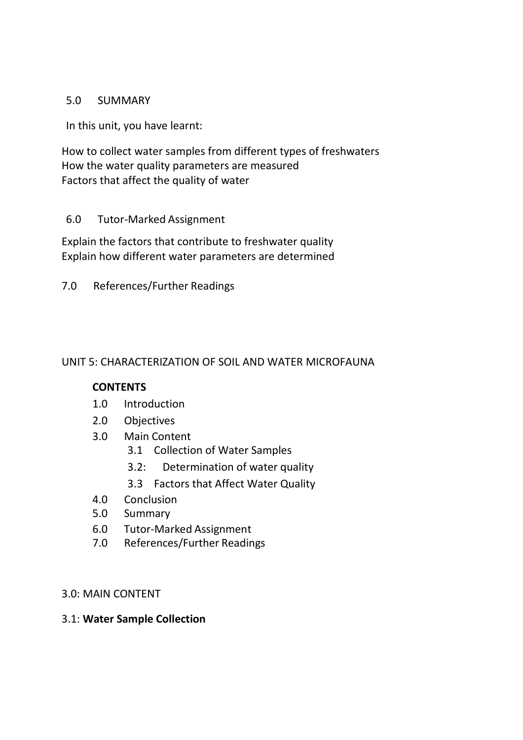### 5.0 SUMMARY

In this unit, you have learnt:

How to collect water samples from different types of freshwaters How the water quality parameters are measured Factors that affect the quality of water

### 6.0 Tutor-Marked Assignment

Explain the factors that contribute to freshwater quality Explain how different water parameters are determined

7.0 References/Further Readings

# UNIT 5: CHARACTERIZATION OF SOIL AND WATER MICROFAUNA

# **CONTENTS**

- 1.0 Introduction
- 2.0 Objectives
- 3.0 Main Content
	- 3.1 Collection of Water Samples
	- 3.2: Determination of water quality
	- 3.3 Factors that Affect Water Quality
- 4.0 Conclusion
- 5.0 Summary
- 6.0 Tutor-Marked Assignment
- 7.0 References/Further Readings

#### 3.0: MAIN CONTENT

#### 3.1: **Water Sample Collection**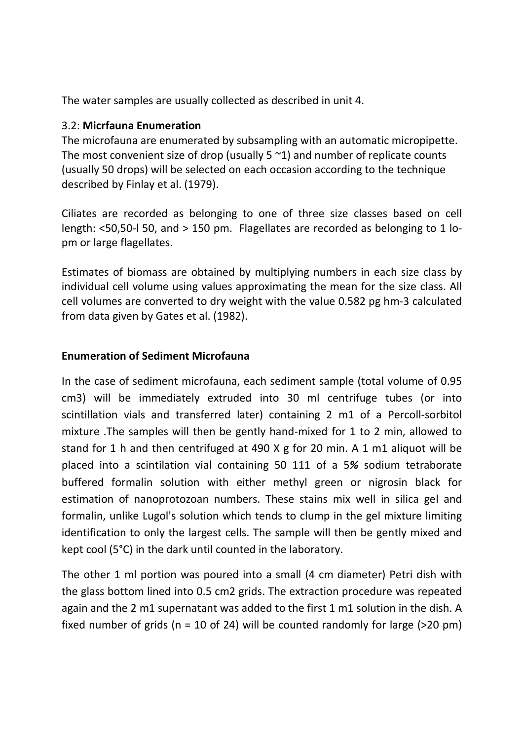The water samples are usually collected as described in unit 4.

### 3.2: **Micrfauna Enumeration**

The microfauna are enumerated by subsampling with an automatic micropipette. The most convenient size of drop (usually  $5 \sim 1$ ) and number of replicate counts (usually 50 drops) will be selected on each occasion according to the technique described by Finlay et al. (1979).

Ciliates are recorded as belonging to one of three size classes based on cell length: <50,50-l 50, and > 150 pm. Flagellates are recorded as belonging to 1 lopm or large flagellates.

Estimates of biomass are obtained by multiplying numbers in each size class by individual cell volume using values approximating the mean for the size class. All cell volumes are converted to dry weight with the value 0.582 pg hm-3 calculated from data given by Gates et al. (1982).

### **Enumeration of Sediment Microfauna**

In the case of sediment microfauna, each sediment sample (total volume of 0.95 cm3) will be immediately extruded into 30 ml centrifuge tubes (or into scintillation vials and transferred later) containing 2 m1 of a Percoll-sorbitol mixture .The samples will then be gently hand-mixed for 1 to 2 min, allowed to stand for 1 h and then centrifuged at 490 X g for 20 min. A 1 m1 aliquot will be placed into a scintilation vial containing 50 111 of a 5*%* sodium tetraborate buffered formalin solution with either methyl green or nigrosin black for estimation of nanoprotozoan numbers. These stains mix well in silica gel and formalin, unlike Lugol's solution which tends to clump in the gel mixture limiting identification to only the largest cells. The sample will then be gently mixed and kept cool (5°C) in the dark until counted in the laboratory.

The other 1 ml portion was poured into a small (4 cm diameter) Petri dish with the glass bottom lined into 0.5 cm2 grids. The extraction procedure was repeated again and the 2 m1 supernatant was added to the first 1 m1 solution in the dish. A fixed number of grids (n = 10 of 24) will be counted randomly for large (>20 pm)